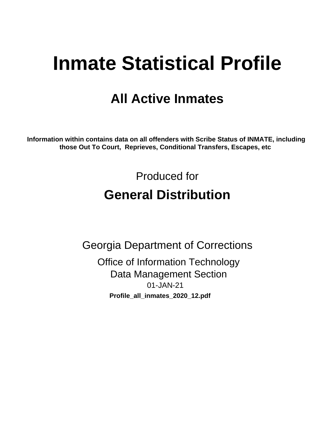# **Inmate Statistical Profile**

# **All Active Inmates**

Information within contains data on all offenders with Scribe Status of INMATE, including those Out To Court, Reprieves, Conditional Transfers, Escapes, etc

> Produced for **General Distribution**

**Georgia Department of Corrections Office of Information Technology Data Management Section** 01-JAN-21 Profile\_all\_inmates\_2020\_12.pdf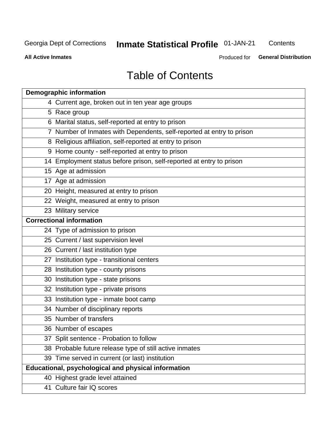# **Inmate Statistical Profile 01-JAN-21**

Contents

**All Active Inmates** 

**General Distribution** Produced for

# **Table of Contents**

| <b>Demographic information</b>                                        |
|-----------------------------------------------------------------------|
| 4 Current age, broken out in ten year age groups                      |
| 5 Race group                                                          |
| 6 Marital status, self-reported at entry to prison                    |
| 7 Number of Inmates with Dependents, self-reported at entry to prison |
| 8 Religious affiliation, self-reported at entry to prison             |
| 9 Home county - self-reported at entry to prison                      |
| 14 Employment status before prison, self-reported at entry to prison  |
| 15 Age at admission                                                   |
| 17 Age at admission                                                   |
| 20 Height, measured at entry to prison                                |
| 22 Weight, measured at entry to prison                                |
| 23 Military service                                                   |
| <b>Correctional information</b>                                       |
| 24 Type of admission to prison                                        |
| 25 Current / last supervision level                                   |
| 26 Current / last institution type                                    |
| 27 Institution type - transitional centers                            |
| 28 Institution type - county prisons                                  |
| 30 Institution type - state prisons                                   |
| 32 Institution type - private prisons                                 |
| 33 Institution type - inmate boot camp                                |
| 34 Number of disciplinary reports                                     |
| 35 Number of transfers                                                |
| 36 Number of escapes                                                  |
| 37 Split sentence - Probation to follow                               |
| 38 Probable future release type of still active inmates               |
| 39 Time served in current (or last) institution                       |
| Educational, psychological and physical information                   |
| 40 Highest grade level attained                                       |
| 41 Culture fair IQ scores                                             |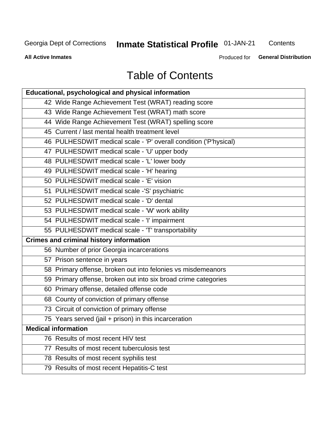# Inmate Statistical Profile 01-JAN-21

Contents

**All Active Inmates** 

Produced for **General Distribution** 

# **Table of Contents**

| Educational, psychological and physical information              |
|------------------------------------------------------------------|
| 42 Wide Range Achievement Test (WRAT) reading score              |
| 43 Wide Range Achievement Test (WRAT) math score                 |
| 44 Wide Range Achievement Test (WRAT) spelling score             |
| 45 Current / last mental health treatment level                  |
| 46 PULHESDWIT medical scale - 'P' overall condition ('P'hysical) |
| 47 PULHESDWIT medical scale - 'U' upper body                     |
| 48 PULHESDWIT medical scale - 'L' lower body                     |
| 49 PULHESDWIT medical scale - 'H' hearing                        |
| 50 PULHESDWIT medical scale - 'E' vision                         |
| 51 PULHESDWIT medical scale -'S' psychiatric                     |
| 52 PULHESDWIT medical scale - 'D' dental                         |
| 53 PULHESDWIT medical scale - 'W' work ability                   |
| 54 PULHESDWIT medical scale - 'I' impairment                     |
| 55 PULHESDWIT medical scale - 'T' transportability               |
| <b>Crimes and criminal history information</b>                   |
| 56 Number of prior Georgia incarcerations                        |
| 57 Prison sentence in years                                      |
| 58 Primary offense, broken out into felonies vs misdemeanors     |
| 59 Primary offense, broken out into six broad crime categories   |
| 60 Primary offense, detailed offense code                        |
| 68 County of conviction of primary offense                       |
| 73 Circuit of conviction of primary offense                      |
| 75 Years served (jail + prison) in this incarceration            |
| <b>Medical information</b>                                       |
| 76 Results of most recent HIV test                               |
| 77 Results of most recent tuberculosis test                      |
| 78 Results of most recent syphilis test                          |
| 79 Results of most recent Hepatitis-C test                       |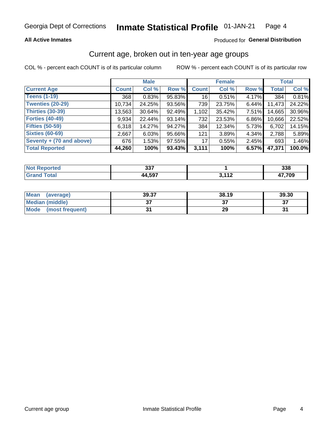### **All Active Inmates**

### Produced for General Distribution

# Current age, broken out in ten-year age groups

COL % - percent each COUNT is of its particular column

|                          |              | <b>Male</b> |        |              | <b>Female</b> | <b>Total</b> |              |        |
|--------------------------|--------------|-------------|--------|--------------|---------------|--------------|--------------|--------|
| <b>Current Age</b>       | <b>Count</b> | Col %       | Row %  | <b>Count</b> | Col %         | Row %        | <b>Total</b> | Col %  |
| <b>Teens (1-19)</b>      | 368          | 0.83%       | 95.83% | 16           | 0.51%         | 4.17%        | 384          | 0.81%  |
| <b>Twenties (20-29)</b>  | 10,734       | 24.25%      | 93.56% | 739          | 23.75%        | $6.44\%$     | 11,473       | 24.22% |
| <b>Thirties (30-39)</b>  | 13,563       | 30.64%      | 92.49% | 1,102        | 35.42%        | $7.51\%$     | 14,665       | 30.96% |
| <b>Forties (40-49)</b>   | 9,934        | 22.44%      | 93.14% | 732          | 23.53%        | 6.86%        | 10,666       | 22.52% |
| <b>Fifties (50-59)</b>   | 6,318        | 14.27%      | 94.27% | 384          | 12.34%        | 5.73%        | 6,702        | 14.15% |
| <b>Sixties (60-69)</b>   | 2,667        | 6.03%       | 95.66% | 121          | 3.89%         | 4.34%        | 2,788        | 5.89%  |
| Seventy + (70 and above) | 676          | 1.53%       | 97.55% | 17           | 0.55%         | 2.45%        | 693          | 1.46%  |
| <b>Total Reported</b>    | 44,260       | 100%        | 93.43% | 3,111        | 100%          | 6.57%        | 47,371       | 100.0% |

| <b>Enorted</b> | 227     |                       | າາດ   |
|----------------|---------|-----------------------|-------|
| <b>NOT</b>     | וטט     |                       | ააი   |
| <b>Total</b>   | $A$ 507 | , 449<br>. . <i>.</i> | 7,709 |

| <b>Mean</b><br>(average) | 39.37         | 38.19 | 39.30    |
|--------------------------|---------------|-------|----------|
| Median (middle)          | $\sim$<br>ا پ |       | ^¬<br>o. |
| Mode<br>(most frequent)  |               | 29    |          |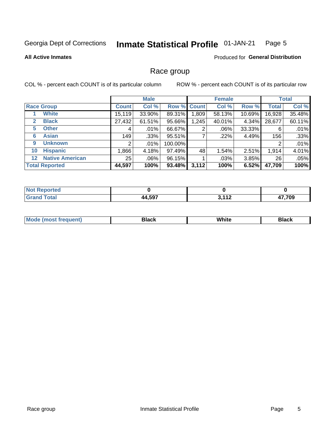#### **Inmate Statistical Profile 01-JAN-21** Page 5

### **All Active Inmates**

### Produced for General Distribution

## Race group

COL % - percent each COUNT is of its particular column

|                                   |                 | <b>Male</b> |             |       | <b>Female</b> |          |              | <b>Total</b> |  |
|-----------------------------------|-----------------|-------------|-------------|-------|---------------|----------|--------------|--------------|--|
| <b>Race Group</b>                 | <b>Count</b>    | Col %       | Row % Count |       | Col %         | Row %    | <b>Total</b> | Col %        |  |
| <b>White</b>                      | 15,119          | 33.90%      | 89.31%      | .809  | 58.13%        | 10.69%   | 16,928       | 35.48%       |  |
| <b>Black</b><br>2                 | 27,432          | 61.51%      | 95.66%      | 1,245 | 40.01%        | 4.34%    | 28,677       | 60.11%       |  |
| <b>Other</b><br>5.                | 4               | $.01\%$     | 66.67%      | 2     | $.06\%$       | 33.33%   | 6            | .01%         |  |
| <b>Asian</b><br>6                 | 149             | .33%        | 95.51%      |       | $.22\%$       | 4.49%    | 156          | .33%         |  |
| <b>Unknown</b><br>9               | 2               | $.01\%$     | 100.00%     |       |               |          | 2            | .01%         |  |
| <b>Hispanic</b><br>10             | ,866            | 4.18%       | 97.49%      | 48    | 1.54%         | 2.51%    | 1,914        | 4.01%        |  |
| <b>Native American</b><br>$12 \,$ | 25 <sub>1</sub> | $.06\%$     | 96.15%      |       | $.03\%$       | $3.85\%$ | 26           | .05%         |  |
| <b>Total Reported</b>             | 44,597          | 100%        | 93.48%      | 3,112 | 100%          | 6.52%    | 47,709       | 100%         |  |

| <b>Not</b><br>Reported |        |            |        |
|------------------------|--------|------------|--------|
| <b>Total</b>           | 44,597 | . 110<br>. | 17,709 |

| IМ | - - -- |  |
|----|--------|--|
|    |        |  |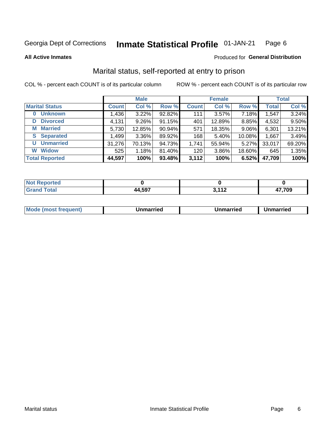#### **Inmate Statistical Profile 01-JAN-21** Page 6

**All Active Inmates** 

### Produced for General Distribution

# Marital status, self-reported at entry to prison

COL % - percent each COUNT is of its particular column

|                            | <b>Male</b>  |          |        |              | <b>Female</b> | <b>Total</b> |              |        |
|----------------------------|--------------|----------|--------|--------------|---------------|--------------|--------------|--------|
| <b>Marital Status</b>      | <b>Count</b> | Col %    | Row %  | <b>Count</b> | Col %         | Row %        | <b>Total</b> | Col %  |
| <b>Unknown</b><br>$\bf{0}$ | 1,436        | 3.22%    | 92.82% | 111          | $3.57\%$      | 7.18%        | 1,547        | 3.24%  |
| <b>Divorced</b><br>D       | 4,131        | $9.26\%$ | 91.15% | 401          | 12.89%        | 8.85%        | 4,532        | 9.50%  |
| <b>Married</b><br>М        | 5,730        | 12.85%   | 90.94% | 571          | 18.35%        | 9.06%        | 6,301        | 13.21% |
| <b>Separated</b><br>S.     | 1,499        | 3.36%    | 89.92% | 168          | 5.40%         | 10.08%       | 1,667        | 3.49%  |
| <b>Unmarried</b><br>U      | 31,276       | 70.13%   | 94.73% | 1,741        | 55.94%        | 5.27%        | 33,017       | 69.20% |
| <b>Widow</b><br>W          | 525          | 1.18%    | 81.40% | 120          | 3.86%         | 18.60%       | 645          | 1.35%  |
| <b>Total Reported</b>      | 44,597       | 100%     | 93.48% | 3,112        | 100%          | 6.52%        | 47,709       | 100%   |

| <b>rtea</b><br><b>NOT</b> |              |                |      |
|---------------------------|--------------|----------------|------|
| $\sim$                    | 4 5Q7<br>,,, | 113<br>v.<br>. | .709 |

|--|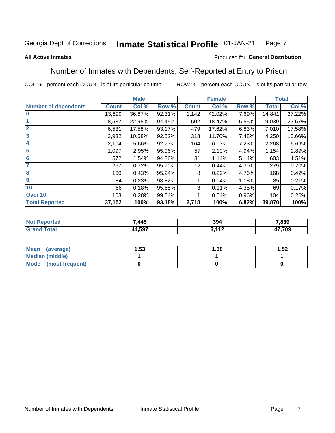#### **Inmate Statistical Profile 01-JAN-21** Page 7

### **All Active Inmates**

### Produced for General Distribution

# Number of Inmates with Dependents, Self-Reported at Entry to Prison

COL % - percent each COUNT is of its particular column

|                             | <b>Male</b>  |        |        | <b>Female</b> |        |       | <b>Total</b> |        |
|-----------------------------|--------------|--------|--------|---------------|--------|-------|--------------|--------|
| <b>Number of dependents</b> | <b>Count</b> | Col %  | Row %  | <b>Count</b>  | Col %  | Row % | <b>Total</b> | Col %  |
| l 0                         | 13,699       | 36.87% | 92.31% | 1,142         | 42.02% | 7.69% | 14,841       | 37.22% |
|                             | 8,537        | 22.98% | 94.45% | 502           | 18.47% | 5.55% | 9,039        | 22.67% |
| $\overline{2}$              | 6,531        | 17.58% | 93.17% | 479           | 17.62% | 6.83% | 7,010        | 17.58% |
| $\mathbf{3}$                | 3,932        | 10.58% | 92.52% | 318           | 11.70% | 7.48% | 4,250        | 10.66% |
| $\overline{\mathbf{4}}$     | 2,104        | 5.66%  | 92.77% | 164           | 6.03%  | 7.23% | 2,268        | 5.69%  |
| 5                           | 1,097        | 2.95%  | 95.06% | 57            | 2.10%  | 4.94% | 1,154        | 2.89%  |
| 6                           | 572          | 1.54%  | 94.86% | 31            | 1.14%  | 5.14% | 603          | 1.51%  |
| 7                           | 267          | 0.72%  | 95.70% | 12            | 0.44%  | 4.30% | 279          | 0.70%  |
| 8                           | 160          | 0.43%  | 95.24% | 8             | 0.29%  | 4.76% | 168          | 0.42%  |
| 9                           | 84           | 0.23%  | 98.82% |               | 0.04%  | 1.18% | 85           | 0.21%  |
| 10                          | 66           | 0.18%  | 95.65% | 3             | 0.11%  | 4.35% | 69           | 0.17%  |
| Over 10                     | 103          | 0.28%  | 99.04% |               | 0.04%  | 0.96% | 104          | 0.26%  |
| <b>Total Reported</b>       | 37,152       | 100%   | 93.18% | 2,718         | 100%   | 6.82% | 39,870       | 100%   |

| 7,445           | 394                     | 7,839        |
|-----------------|-------------------------|--------------|
| E <sub>07</sub> | .11 <sup>2</sup><br>. . | 47,709<br>т, |

| Mean (average)          | l.53 | 1.38 | 1.52 |
|-------------------------|------|------|------|
| <b>Median (middle)</b>  |      |      |      |
| Mode<br>(most frequent) |      |      |      |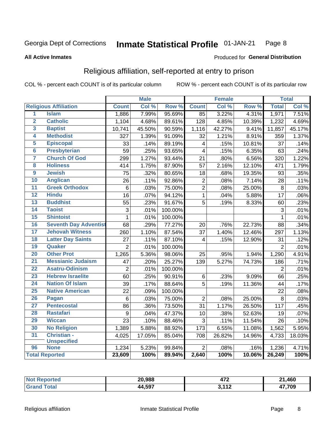#### **Inmate Statistical Profile 01-JAN-21** Page 8

#### **All Active Inmates**

### Produced for General Distribution

# Religious affiliation, self-reported at entry to prison

COL % - percent each COUNT is of its particular column

|                         |                              |                 | <b>Male</b> |         |                         | <b>Female</b> |                  |                 | <b>Total</b> |
|-------------------------|------------------------------|-----------------|-------------|---------|-------------------------|---------------|------------------|-----------------|--------------|
|                         | <b>Religious Affiliation</b> | <b>Count</b>    | Col %       | Row %   | <b>Count</b>            | Col %         | Row <sup>%</sup> | <b>Total</b>    | Col %        |
| 1                       | <b>Islam</b>                 | 1,886           | 7.99%       | 95.69%  | 85                      | 3.22%         | 4.31%            | 1,971           | 7.51%        |
| $\overline{\mathbf{2}}$ | <b>Catholic</b>              | 1,104           | 4.68%       | 89.61%  | 128                     | 4.85%         | 10.39%           | 1,232           | 4.69%        |
| 3                       | <b>Baptist</b>               | 10,741          | 45.50%      | 90.59%  | 1,116                   | 42.27%        | 9.41%            | 11,857          | 45.17%       |
| 4                       | <b>Methodist</b>             | 327             | 1.39%       | 91.09%  | 32                      | 1.21%         | 8.91%            | 359             | 1.37%        |
| 5                       | <b>Episcopal</b>             | 33              | .14%        | 89.19%  | $\overline{\mathbf{4}}$ | .15%          | 10.81%           | 37              | .14%         |
| $\overline{6}$          | <b>Presbyterian</b>          | 59              | .25%        | 93.65%  | $\overline{4}$          | .15%          | 6.35%            | 63              | .24%         |
| 7                       | <b>Church Of God</b>         | 299             | 1.27%       | 93.44%  | 21                      | .80%          | 6.56%            | 320             | 1.22%        |
| 8                       | <b>Holiness</b>              | 414             | 1.75%       | 87.90%  | 57                      | 2.16%         | 12.10%           | 471             | 1.79%        |
| $\overline{9}$          | <b>Jewish</b>                | $\overline{75}$ | .32%        | 80.65%  | 18                      | .68%          | 19.35%           | 93              | .35%         |
| 10                      | <b>Anglican</b>              | 26              | .11%        | 92.86%  | $\mathbf 2$             | .08%          | 7.14%            | 28              | .11%         |
| 11                      | <b>Greek Orthodox</b>        | $6\phantom{1}6$ | .03%        | 75.00%  | $\overline{2}$          | .08%          | 25.00%           | 8               | .03%         |
| 12                      | <b>Hindu</b>                 | $\overline{16}$ | .07%        | 94.12%  | $\mathbf{1}$            | .04%          | 5.88%            | $\overline{17}$ | .06%         |
| 13                      | <b>Buddhist</b>              | 55              | .23%        | 91.67%  | 5                       | .19%          | 8.33%            | 60              | .23%         |
| $\overline{14}$         | <b>Taoist</b>                | 3               | .01%        | 100.00% |                         |               |                  | 3               | .01%         |
| 15                      | <b>Shintoist</b>             | $\mathbf{1}$    | .01%        | 100.00% |                         |               |                  | 1               | .01%         |
| 16                      | <b>Seventh Day Adventist</b> | 68              | .29%        | 77.27%  | 20                      | .76%          | 22.73%           | 88              | .34%         |
| 17                      | <b>Jehovah Witness</b>       | 260             | 1.10%       | 87.54%  | 37                      | 1.40%         | 12.46%           | 297             | 1.13%        |
| 18                      | <b>Latter Day Saints</b>     | 27              | .11%        | 87.10%  | 4                       | .15%          | 12.90%           | 31              | .12%         |
| 19                      | Quaker                       | $\overline{2}$  | .01%        | 100.00% |                         |               |                  | $\overline{2}$  | .01%         |
| 20                      | <b>Other Prot</b>            | 1,265           | 5.36%       | 98.06%  | 25                      | .95%          | 1.94%            | 1,290           | 4.91%        |
| 21                      | <b>Messianic Judaism</b>     | 47              | .20%        | 25.27%  | 139                     | 5.27%         | 74.73%           | 186             | .71%         |
| 22                      | <b>Asatru-Odinism</b>        | $\overline{2}$  | .01%        | 100.00% |                         |               |                  | $\overline{2}$  | .01%         |
| 23                      | <b>Hebrew Israelite</b>      | 60              | .25%        | 90.91%  | 6                       | .23%          | 9.09%            | 66              | .25%         |
| 24                      | <b>Nation Of Islam</b>       | 39              | .17%        | 88.64%  | 5                       | .19%          | 11.36%           | 44              | .17%         |
| 25                      | <b>Native American</b>       | 22              | .09%        | 100.00% |                         |               |                  | 22              | .08%         |
| 26                      | Pagan                        | $6\phantom{1}6$ | .03%        | 75.00%  | $\overline{2}$          | .08%          | 25.00%           | 8               | .03%         |
| 27                      | <b>Pentecostal</b>           | 86              | .36%        | 73.50%  | 31                      | 1.17%         | 26.50%           | 117             | .45%         |
| 28                      | <b>Rastafari</b>             | 9               | .04%        | 47.37%  | 10                      | .38%          | 52.63%           | 19              | .07%         |
| 29                      | <b>Wiccan</b>                | 23              | .10%        | 88.46%  | $\overline{3}$          | .11%          | 11.54%           | 26              | .10%         |
| 30                      | <b>No Religion</b>           | 1,389           | 5.88%       | 88.92%  | 173                     | 6.55%         | 11.08%           | 1,562           | 5.95%        |
| 31                      | Christian -                  | 4,025           | 17.05%      | 85.04%  | 708                     | 26.82%        | 14.96%           | 4,733           | 18.03%       |
|                         | <b>Unspecified</b>           |                 |             |         |                         |               |                  |                 |              |
| 96                      | <b>None</b>                  | 1,234           | 5.23%       | 99.84%  | $\overline{2}$          | .08%          | .16%             | 1,236           | 4.71%        |
|                         | <b>Total Reported</b>        | 23,609          | 100%        | 89.94%  | 2,640                   | 100%          | 10.06%           | 26,249          | 100%         |

| rrec. | 20.988 | ים<br>41 Z  | 460<br>O4.   |
|-------|--------|-------------|--------------|
|       | +4,597 | <b>2442</b> | 17,709       |
|       | 44     | . <i>.</i>  | $\mathbf{r}$ |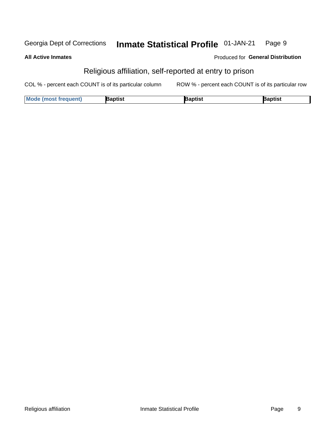#### **Inmate Statistical Profile 01-JAN-21** Georgia Dept of Corrections Page 9

**All Active Inmates** 

Produced for General Distribution

# Religious affiliation, self-reported at entry to prison

COL % - percent each COUNT is of its particular column ROW % - percent each COUNT is of its particular row

| <b>Mode (most frequent)</b> | <b>3aptist</b> | }aptist | <b>Baptist</b> |
|-----------------------------|----------------|---------|----------------|
|-----------------------------|----------------|---------|----------------|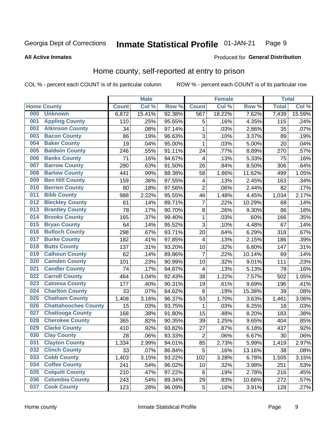#### Inmate Statistical Profile 01-JAN-21 Page 9

**All Active Inmates** 

### Produced for General Distribution

# Home county, self-reported at entry to prison

COL % - percent each COUNT is of its particular column

|     |                             |              | <b>Male</b> |        |                         | <b>Female</b> |        | <b>Total</b> |        |
|-----|-----------------------------|--------------|-------------|--------|-------------------------|---------------|--------|--------------|--------|
|     | <b>Home County</b>          | <b>Count</b> | Col %       | Row %  | <b>Count</b>            | Col %         | Row %  | <b>Total</b> | Col %  |
| 000 | <b>Unknown</b>              | 6,872        | 15.41%      | 92.38% | 567                     | 18.22%        | 7.62%  | 7,439        | 15.59% |
| 001 | <b>Appling County</b>       | 110          | .25%        | 95.65% | 5                       | .16%          | 4.35%  | 115          | .24%   |
| 002 | <b>Atkinson County</b>      | 34           | .08%        | 97.14% | 1                       | .03%          | 2.86%  | 35           | .07%   |
| 003 | <b>Bacon County</b>         | 86           | .19%        | 96.63% | 3                       | .10%          | 3.37%  | 89           | .19%   |
| 004 | <b>Baker County</b>         | 19           | .04%        | 95.00% | 1                       | .03%          | 5.00%  | 20           | .04%   |
| 005 | <b>Baldwin County</b>       | 246          | .55%        | 91.11% | 24                      | .77%          | 8.89%  | 270          | .57%   |
| 006 | <b>Banks County</b>         | 71           | .16%        | 94.67% | $\overline{4}$          | .13%          | 5.33%  | 75           | .16%   |
| 007 | <b>Barrow County</b>        | 280          | .63%        | 91.50% | 26                      | .84%          | 8.50%  | 306          | .64%   |
| 008 | <b>Bartow County</b>        | 441          | .99%        | 88.38% | 58                      | 1.86%         | 11.62% | 499          | 1.05%  |
| 009 | <b>Ben Hill County</b>      | 159          | .36%        | 97.55% | 4                       | .13%          | 2.45%  | 163          | .34%   |
| 010 | <b>Berrien County</b>       | 80           | .18%        | 97.56% | $\mathbf 2$             | .06%          | 2.44%  | 82           | .17%   |
| 011 | <b>Bibb County</b>          | 988          | 2.22%       | 95.55% | 46                      | 1.48%         | 4.45%  | 1,034        | 2.17%  |
| 012 | <b>Bleckley County</b>      | 61           | .14%        | 89.71% | $\overline{7}$          | .22%          | 10.29% | 68           | .14%   |
| 013 | <b>Brantley County</b>      | 78           | .17%        | 90.70% | 8                       | .26%          | 9.30%  | 86           | .18%   |
| 014 | <b>Brooks County</b>        | 165          | .37%        | 99.40% | $\mathbf{1}$            | .03%          | .60%   | 166          | .35%   |
| 015 | <b>Bryan County</b>         | 64           | .14%        | 95.52% | 3                       | .10%          | 4.48%  | 67           | .14%   |
| 016 | <b>Bulloch County</b>       | 298          | .67%        | 93.71% | 20                      | .64%          | 6.29%  | 318          | .67%   |
| 017 | <b>Burke County</b>         | 182          | .41%        | 97.85% | 4                       | .13%          | 2.15%  | 186          | .39%   |
| 018 | <b>Butts County</b>         | 137          | .31%        | 93.20% | 10                      | .32%          | 6.80%  | 147          | .31%   |
| 019 | <b>Calhoun County</b>       | 62           | .14%        | 89.86% | $\overline{7}$          | .22%          | 10.14% | 69           | .14%   |
| 020 | <b>Camden County</b>        | 101          | .23%        | 90.99% | 10                      | .32%          | 9.01%  | 111          | .23%   |
| 021 | <b>Candler County</b>       | 74           | .17%        | 94.87% | $\overline{\mathbf{4}}$ | .13%          | 5.13%  | 78           | .16%   |
| 022 | <b>Carroll County</b>       | 464          | 1.04%       | 92.43% | 38                      | 1.22%         | 7.57%  | 502          | 1.05%  |
| 023 | <b>Catoosa County</b>       | 177          | .40%        | 90.31% | 19                      | .61%          | 9.69%  | 196          | .41%   |
| 024 | <b>Charlton County</b>      | 33           | .07%        | 84.62% | 6                       | .19%          | 15.38% | 39           | .08%   |
| 025 | <b>Chatham County</b>       | 1,408        | 3.16%       | 96.37% | 53                      | 1.70%         | 3.63%  | 1,461        | 3.06%  |
| 026 | <b>Chattahoochee County</b> | 15           | .03%        | 93.75% | 1                       | .03%          | 6.25%  | 16           | .03%   |
| 027 | <b>Chattooga County</b>     | 168          | .38%        | 91.80% | 15                      | .48%          | 8.20%  | 183          | .38%   |
| 028 | <b>Cherokee County</b>      | 365          | .82%        | 90.35% | 39                      | 1.25%         | 9.65%  | 404          | .85%   |
| 029 | <b>Clarke County</b>        | 410          | .92%        | 93.82% | 27                      | .87%          | 6.18%  | 437          | .92%   |
| 030 | <b>Clay County</b>          | 28           | .06%        | 93.33% | $\overline{2}$          | .06%          | 6.67%  | 30           | .06%   |
| 031 | <b>Clayton County</b>       | 1,334        | 2.99%       | 94.01% | 85                      | 2.73%         | 5.99%  | 1,419        | 2.97%  |
| 032 | <b>Clinch County</b>        | 33           | .07%        | 86.84% | 5                       | .16%          | 13.16% | 38           | .08%   |
| 033 | <b>Cobb County</b>          | 1,403        | 3.15%       | 93.22% | 102                     | 3.28%         | 6.78%  | 1,505        | 3.15%  |
| 034 | <b>Coffee County</b>        | 241          | .54%        | 96.02% | 10                      | .32%          | 3.98%  | 251          | .53%   |
| 035 | <b>Colquitt County</b>      | 210          | .47%        | 97.22% | $\,6$                   | .19%          | 2.78%  | 216          | .45%   |
| 036 | <b>Columbia County</b>      | 243          | .54%        | 89.34% | 29                      | .93%          | 10.66% | 272          | .57%   |
| 037 | <b>Cook County</b>          | 123          | .28%        | 96.09% | $\sqrt{5}$              | .16%          | 3.91%  | 128          | .27%   |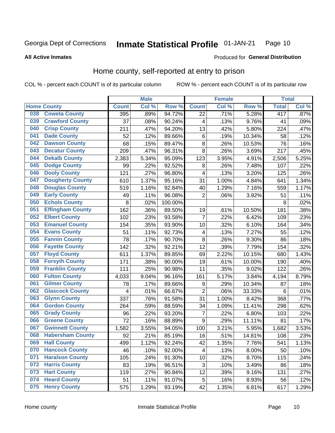#### Inmate Statistical Profile 01-JAN-21 Page 10

### **All Active Inmates**

### Produced for General Distribution

# Home county, self-reported at entry to prison

COL % - percent each COUNT is of its particular column

|     |                         |              | <b>Male</b> |         |                         | <b>Female</b> |        | <b>Total</b> |         |
|-----|-------------------------|--------------|-------------|---------|-------------------------|---------------|--------|--------------|---------|
|     | <b>Home County</b>      | <b>Count</b> | Col %       | Row %   | <b>Count</b>            | Col %         | Row %  | <b>Total</b> | Col%    |
| 038 | <b>Coweta County</b>    | 395          | .89%        | 94.72%  | $\overline{22}$         | .71%          | 5.28%  | 417          | $.87\%$ |
| 039 | <b>Crawford County</b>  | 37           | .08%        | 90.24%  | 4                       | .13%          | 9.76%  | 41           | .09%    |
| 040 | <b>Crisp County</b>     | 211          | .47%        | 94.20%  | 13                      | .42%          | 5.80%  | 224          | .47%    |
| 041 | <b>Dade County</b>      | 52           | .12%        | 89.66%  | 6                       | .19%          | 10.34% | 58           | .12%    |
| 042 | <b>Dawson County</b>    | 68           | .15%        | 89.47%  | 8                       | .26%          | 10.53% | 76           | .16%    |
| 043 | <b>Decatur County</b>   | 209          | .47%        | 96.31%  | 8                       | .26%          | 3.69%  | 217          | .45%    |
| 044 | <b>Dekalb County</b>    | 2,383        | 5.34%       | 95.09%  | 123                     | 3.95%         | 4.91%  | 2,506        | 5.25%   |
| 045 | <b>Dodge County</b>     | 99           | .22%        | 92.52%  | 8                       | .26%          | 7.48%  | 107          | .22%    |
| 046 | <b>Dooly County</b>     | 121          | .27%        | 96.80%  | $\overline{\mathbf{4}}$ | .13%          | 3.20%  | 125          | .26%    |
| 047 | <b>Dougherty County</b> | 610          | 1.37%       | 95.16%  | 31                      | 1.00%         | 4.84%  | 641          | 1.34%   |
| 048 | <b>Douglas County</b>   | 519          | 1.16%       | 92.84%  | 40                      | 1.29%         | 7.16%  | 559          | 1.17%   |
| 049 | <b>Early County</b>     | 49           | .11%        | 96.08%  | $\overline{2}$          | .06%          | 3.92%  | 51           | .11%    |
| 050 | <b>Echols County</b>    | 8            | .02%        | 100.00% |                         |               |        | 8            | .02%    |
| 051 | <b>Effingham County</b> | 162          | .36%        | 89.50%  | 19                      | .61%          | 10.50% | 181          | .38%    |
| 052 | <b>Elbert County</b>    | 102          | .23%        | 93.58%  | $\overline{7}$          | .22%          | 6.42%  | 109          | .23%    |
| 053 | <b>Emanuel County</b>   | 154          | .35%        | 93.90%  | 10                      | .32%          | 6.10%  | 164          | .34%    |
| 054 | <b>Evans County</b>     | 51           | .11%        | 92.73%  | $\overline{\mathbf{4}}$ | .13%          | 7.27%  | 55           | .12%    |
| 055 | <b>Fannin County</b>    | 78           | .17%        | 90.70%  | 8                       | .26%          | 9.30%  | 86           | .18%    |
| 056 | <b>Fayette County</b>   | 142          | .32%        | 92.21%  | 12                      | .39%          | 7.79%  | 154          | .32%    |
| 057 | <b>Floyd County</b>     | 611          | 1.37%       | 89.85%  | 69                      | 2.22%         | 10.15% | 680          | 1.43%   |
| 058 | <b>Forsyth County</b>   | 171          | .38%        | 90.00%  | 19                      | .61%          | 10.00% | 190          | .40%    |
| 059 | <b>Franklin County</b>  | 111          | .25%        | 90.98%  | 11                      | .35%          | 9.02%  | 122          | .26%    |
| 060 | <b>Fulton County</b>    | 4,033        | 9.04%       | 96.16%  | 161                     | 5.17%         | 3.84%  | 4,194        | 8.79%   |
| 061 | <b>Gilmer County</b>    | 78           | .17%        | 89.66%  | 9                       | .29%          | 10.34% | 87           | .18%    |
| 062 | <b>Glascock County</b>  | 4            | .01%        | 66.67%  | $\overline{2}$          | .06%          | 33.33% | 6            | .01%    |
| 063 | <b>Glynn County</b>     | 337          | .76%        | 91.58%  | 31                      | 1.00%         | 8.42%  | 368          | .77%    |
| 064 | <b>Gordon County</b>    | 264          | .59%        | 88.59%  | 34                      | 1.09%         | 11.41% | 298          | .62%    |
| 065 | <b>Grady County</b>     | 96           | .22%        | 93.20%  | 7                       | .22%          | 6.80%  | 103          | .22%    |
| 066 | <b>Greene County</b>    | 72           | .16%        | 88.89%  | 9                       | .29%          | 11.11% | 81           | .17%    |
| 067 | <b>Gwinnett County</b>  | 1,582        | 3.55%       | 94.05%  | 100                     | 3.21%         | 5.95%  | 1,682        | 3.53%   |
| 068 | <b>Habersham County</b> | 92           | .21%        | 85.19%  | 16                      | .51%          | 14.81% | 108          | .23%    |
| 069 | <b>Hall County</b>      | 499          | 1.12%       | 92.24%  | 42                      | 1.35%         | 7.76%  | 541          | 1.13%   |
| 070 | <b>Hancock County</b>   | 46           | .10%        | 92.00%  | 4                       | .13%          | 8.00%  | 50           | .10%    |
| 071 | <b>Haralson County</b>  | 105          | .24%        | 91.30%  | 10                      | .32%          | 8.70%  | 115          | .24%    |
| 072 | <b>Harris County</b>    | 83           | .19%        | 96.51%  | 3                       | .10%          | 3.49%  | 86           | .18%    |
| 073 | <b>Hart County</b>      | 119          | .27%        | 90.84%  | 12                      | .39%          | 9.16%  | 131          | .27%    |
| 074 | <b>Heard County</b>     | 51           | .11%        | 91.07%  | 5                       | .16%          | 8.93%  | 56           | .12%    |
| 075 | <b>Henry County</b>     | 575          | 1.29%       | 93.19%  | 42                      | 1.35%         | 6.81%  | 617          | 1.29%   |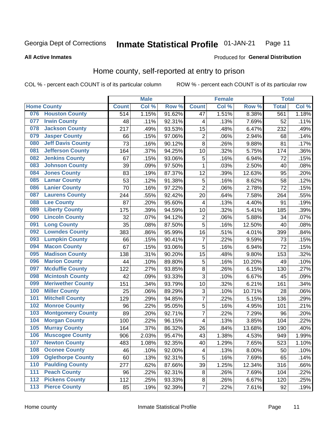#### Inmate Statistical Profile 01-JAN-21 Page 11

### **All Active Inmates**

# Produced for General Distribution

# Home county, self-reported at entry to prison

COL % - percent each COUNT is of its particular column

|     |                          |                  | <b>Male</b> |        |                         | <b>Female</b> |        | <b>Total</b> |       |
|-----|--------------------------|------------------|-------------|--------|-------------------------|---------------|--------|--------------|-------|
|     | <b>Home County</b>       | <b>Count</b>     | Col %       | Row %  | <b>Count</b>            | Col %         | Row %  | <b>Total</b> | Col % |
| 076 | <b>Houston County</b>    | $\overline{514}$ | 1.15%       | 91.62% | 47                      | 1.51%         | 8.38%  | 561          | 1.18% |
| 077 | <b>Irwin County</b>      | 48               | .11%        | 92.31% | 4                       | .13%          | 7.69%  | 52           | .11%  |
| 078 | <b>Jackson County</b>    | 217              | .49%        | 93.53% | 15                      | .48%          | 6.47%  | 232          | .49%  |
| 079 | <b>Jasper County</b>     | 66               | .15%        | 97.06% | $\overline{c}$          | .06%          | 2.94%  | 68           | .14%  |
| 080 | <b>Jeff Davis County</b> | 73               | .16%        | 90.12% | 8                       | .26%          | 9.88%  | 81           | .17%  |
| 081 | <b>Jefferson County</b>  | 164              | .37%        | 94.25% | 10                      | .32%          | 5.75%  | 174          | .36%  |
| 082 | <b>Jenkins County</b>    | 67               | .15%        | 93.06% | 5                       | .16%          | 6.94%  | 72           | .15%  |
| 083 | <b>Johnson County</b>    | 39               | .09%        | 97.50% | 1                       | .03%          | 2.50%  | 40           | .08%  |
| 084 | <b>Jones County</b>      | 83               | .19%        | 87.37% | 12                      | .39%          | 12.63% | 95           | .20%  |
| 085 | <b>Lamar County</b>      | 53               | .12%        | 91.38% | 5                       | .16%          | 8.62%  | 58           | .12%  |
| 086 | <b>Lanier County</b>     | 70               | .16%        | 97.22% | $\overline{2}$          | .06%          | 2.78%  | 72           | .15%  |
| 087 | <b>Laurens County</b>    | 244              | .55%        | 92.42% | 20                      | .64%          | 7.58%  | 264          | .55%  |
| 088 | <b>Lee County</b>        | 87               | .20%        | 95.60% | $\overline{\mathbf{4}}$ | .13%          | 4.40%  | 91           | .19%  |
| 089 | <b>Liberty County</b>    | 175              | .39%        | 94.59% | 10                      | .32%          | 5.41%  | 185          | .39%  |
| 090 | <b>Lincoln County</b>    | 32               | .07%        | 94.12% | $\overline{2}$          | .06%          | 5.88%  | 34           | .07%  |
| 091 | <b>Long County</b>       | 35               | .08%        | 87.50% | 5                       | .16%          | 12.50% | 40           | .08%  |
| 092 | <b>Lowndes County</b>    | 383              | .86%        | 95.99% | 16                      | .51%          | 4.01%  | 399          | .84%  |
| 093 | <b>Lumpkin County</b>    | 66               | .15%        | 90.41% | $\overline{7}$          | .22%          | 9.59%  | 73           | .15%  |
| 094 | <b>Macon County</b>      | 67               | .15%        | 93.06% | 5                       | .16%          | 6.94%  | 72           | .15%  |
| 095 | <b>Madison County</b>    | 138              | .31%        | 90.20% | 15                      | .48%          | 9.80%  | 153          | .32%  |
| 096 | <b>Marion County</b>     | 44               | .10%        | 89.80% | 5                       | .16%          | 10.20% | 49           | .10%  |
| 097 | <b>Mcduffie County</b>   | 122              | .27%        | 93.85% | $\bf 8$                 | .26%          | 6.15%  | 130          | .27%  |
| 098 | <b>Mcintosh County</b>   | 42               | .09%        | 93.33% | $\overline{3}$          | .10%          | 6.67%  | 45           | .09%  |
| 099 | <b>Meriwether County</b> | 151              | .34%        | 93.79% | 10                      | .32%          | 6.21%  | 161          | .34%  |
| 100 | <b>Miller County</b>     | 25               | .06%        | 89.29% | 3                       | .10%          | 10.71% | 28           | .06%  |
| 101 | <b>Mitchell County</b>   | 129              | .29%        | 94.85% | 7                       | .22%          | 5.15%  | 136          | .29%  |
| 102 | <b>Monroe County</b>     | 96               | .22%        | 95.05% | 5                       | .16%          | 4.95%  | 101          | .21%  |
| 103 | <b>Montgomery County</b> | 89               | .20%        | 92.71% | $\overline{7}$          | .22%          | 7.29%  | 96           | .20%  |
| 104 | <b>Morgan County</b>     | 100              | .22%        | 96.15% | $\overline{\mathbf{4}}$ | .13%          | 3.85%  | 104          | .22%  |
| 105 | <b>Murray County</b>     | 164              | .37%        | 86.32% | 26                      | .84%          | 13.68% | 190          | .40%  |
| 106 | <b>Muscogee County</b>   | 906              | 2.03%       | 95.47% | 43                      | 1.38%         | 4.53%  | 949          | 1.99% |
| 107 | <b>Newton County</b>     | 483              | 1.08%       | 92.35% | 40                      | 1.29%         | 7.65%  | 523          | 1.10% |
| 108 | <b>Oconee County</b>     | 46               | .10%        | 92.00% | 4                       | .13%          | 8.00%  | 50           | .10%  |
| 109 | <b>Oglethorpe County</b> | 60               | .13%        | 92.31% | 5                       | .16%          | 7.69%  | 65           | .14%  |
| 110 | <b>Paulding County</b>   | 277              | .62%        | 87.66% | 39                      | 1.25%         | 12.34% | 316          | .66%  |
| 111 | <b>Peach County</b>      | 96               | .22%        | 92.31% | 8                       | .26%          | 7.69%  | 104          | .22%  |
| 112 | <b>Pickens County</b>    | 112              | .25%        | 93.33% | $\bf 8$                 | .26%          | 6.67%  | 120          | .25%  |
| 113 | <b>Pierce County</b>     | 85               | .19%        | 92.39% | 7                       | .22%          | 7.61%  | 92           | .19%  |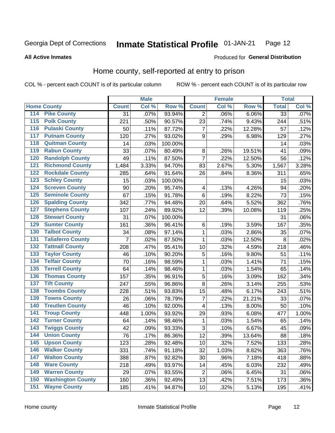#### Inmate Statistical Profile 01-JAN-21 Page 12

**All Active Inmates** 

### Produced for General Distribution

# Home county, self-reported at entry to prison

COL % - percent each COUNT is of its particular column

|                  |                          |              | <b>Male</b> |         |                         | <b>Female</b> |        | <b>Total</b>    |       |
|------------------|--------------------------|--------------|-------------|---------|-------------------------|---------------|--------|-----------------|-------|
|                  | <b>Home County</b>       | <b>Count</b> | Col %       | Row %   | <b>Count</b>            | Col %         | Row %  | <b>Total</b>    | Col % |
| 114              | <b>Pike County</b>       | 31           | .07%        | 93.94%  | 2                       | .06%          | 6.06%  | $\overline{33}$ | .07%  |
| 115              | <b>Polk County</b>       | 221          | .50%        | 90.57%  | 23                      | .74%          | 9.43%  | 244             | .51%  |
| 116              | <b>Pulaski County</b>    | 50           | .11%        | 87.72%  | $\overline{7}$          | .22%          | 12.28% | 57              | .12%  |
| 117              | <b>Putnam County</b>     | 120          | .27%        | 93.02%  | 9                       | .29%          | 6.98%  | 129             | .27%  |
| 118              | <b>Quitman County</b>    | 14           | .03%        | 100.00% |                         |               |        | 14              | .03%  |
| 119              | <b>Rabun County</b>      | 33           | .07%        | 80.49%  | 8                       | .26%          | 19.51% | 41              | .09%  |
| 120              | <b>Randolph County</b>   | 49           | .11%        | 87.50%  | $\overline{7}$          | .22%          | 12.50% | 56              | .12%  |
| 121              | <b>Richmond County</b>   | 1,484        | 3.33%       | 94.70%  | 83                      | 2.67%         | 5.30%  | 1,567           | 3.28% |
| 122              | <b>Rockdale County</b>   | 285          | .64%        | 91.64%  | 26                      | .84%          | 8.36%  | 311             | .65%  |
| 123              | <b>Schley County</b>     | 15           | .03%        | 100.00% |                         |               |        | 15              | .03%  |
| 124              | <b>Screven County</b>    | 90           | .20%        | 95.74%  | $\overline{\mathbf{4}}$ | .13%          | 4.26%  | 94              | .20%  |
| 125              | <b>Seminole County</b>   | 67           | .15%        | 91.78%  | $\,6$                   | .19%          | 8.22%  | 73              | .15%  |
| 126              | <b>Spalding County</b>   | 342          | .77%        | 94.48%  | 20                      | .64%          | 5.52%  | 362             | .76%  |
| 127              | <b>Stephens County</b>   | 107          | .24%        | 89.92%  | 12                      | .39%          | 10.08% | 119             | .25%  |
| 128              | <b>Stewart County</b>    | 31           | .07%        | 100.00% |                         |               |        | 31              | .06%  |
| 129              | <b>Sumter County</b>     | 161          | .36%        | 96.41%  | $\,6$                   | .19%          | 3.59%  | 167             | .35%  |
| 130              | <b>Talbot County</b>     | 34           | .08%        | 97.14%  | 1                       | .03%          | 2.86%  | 35              | .07%  |
| 131              | <b>Taliaferro County</b> | 7            | .02%        | 87.50%  | 1                       | .03%          | 12.50% | 8               | .02%  |
| 132              | <b>Tattnall County</b>   | 208          | .47%        | 95.41%  | 10                      | .32%          | 4.59%  | 218             | .46%  |
| 133              | <b>Taylor County</b>     | 46           | .10%        | 90.20%  | 5                       | .16%          | 9.80%  | 51              | .11%  |
| 134              | <b>Telfair County</b>    | 70           | .16%        | 98.59%  | 1                       | .03%          | 1.41%  | 71              | .15%  |
| 135              | <b>Terrell County</b>    | 64           | .14%        | 98.46%  | 1                       | .03%          | 1.54%  | 65              | .14%  |
| 136              | <b>Thomas County</b>     | 157          | .35%        | 96.91%  | 5                       | .16%          | 3.09%  | 162             | .34%  |
| 137              | <b>Tift County</b>       | 247          | .55%        | 96.86%  | 8                       | .26%          | 3.14%  | 255             | .53%  |
| 138              | <b>Toombs County</b>     | 228          | .51%        | 93.83%  | 15                      | .48%          | 6.17%  | 243             | .51%  |
| 139              | <b>Towns County</b>      | 26           | .06%        | 78.79%  | 7                       | .22%          | 21.21% | 33              | .07%  |
| 140              | <b>Treutlen County</b>   | 46           | .10%        | 92.00%  | $\overline{\mathbf{4}}$ | .13%          | 8.00%  | 50              | .10%  |
| 141              | <b>Troup County</b>      | 448          | 1.00%       | 93.92%  | 29                      | .93%          | 6.08%  | 477             | 1.00% |
| $\overline{142}$ | <b>Turner County</b>     | 64           | .14%        | 98.46%  | 1                       | .03%          | 1.54%  | 65              | .14%  |
| 143              | <b>Twiggs County</b>     | 42           | .09%        | 93.33%  | 3                       | .10%          | 6.67%  | 45              | .09%  |
| 144              | <b>Union County</b>      | 76           | .17%        | 86.36%  | 12                      | .39%          | 13.64% | 88              | .18%  |
| 145              | <b>Upson County</b>      | 123          | .28%        | 92.48%  | 10                      | .32%          | 7.52%  | 133             | .28%  |
| 146              | <b>Walker County</b>     | 331          | .74%        | 91.18%  | 32                      | 1.03%         | 8.82%  | 363             | .76%  |
| 147              | <b>Walton County</b>     | 388          | .87%        | 92.82%  | 30                      | .96%          | 7.18%  | 418             | .88%  |
| 148              | <b>Ware County</b>       | 218          | .49%        | 93.97%  | 14                      | .45%          | 6.03%  | 232             | .49%  |
| 149              | <b>Warren County</b>     | 29           | .07%        | 93.55%  | $\overline{2}$          | .06%          | 6.45%  | 31              | .06%  |
| 150              | <b>Washington County</b> | 160          | .36%        | 92.49%  | 13                      | .42%          | 7.51%  | 173             | .36%  |
| 151              | <b>Wayne County</b>      | 185          | .41%        | 94.87%  | 10                      | .32%          | 5.13%  | 195             | .41%  |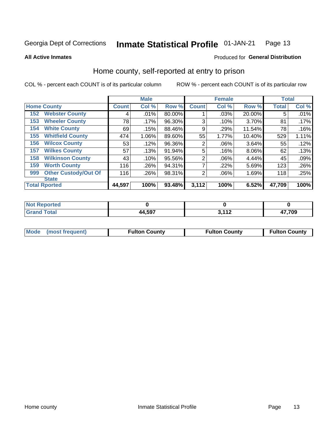#### Inmate Statistical Profile 01-JAN-21 Page 13

Produced for General Distribution

### **All Active Inmates**

# Home county, self-reported at entry to prison

COL % - percent each COUNT is of its particular column

|     |                             |              | <b>Male</b> |        |                | <b>Female</b> |           | <b>Total</b> |       |
|-----|-----------------------------|--------------|-------------|--------|----------------|---------------|-----------|--------------|-------|
|     | <b>Home County</b>          | <b>Count</b> | Col %       | Row %  | <b>Count</b>   | Col %         | Row %     | <b>Total</b> | Col % |
| 152 | <b>Webster County</b>       | 4            | .01%        | 80.00% |                | .03%          | 20.00%    | 5            | .01%  |
| 153 | <b>Wheeler County</b>       | 78           | .17%        | 96.30% | 3              | .10%          | 3.70%     | 81           | .17%  |
| 154 | <b>White County</b>         | 69           | .15%        | 88.46% | 9              | .29%          | 11.54%    | 78           | .16%  |
| 155 | <b>Whitfield County</b>     | 474          | 1.06%       | 89.60% | 55             | 1.77%         | $10.40\%$ | 529          | 1.11% |
| 156 | <b>Wilcox County</b>        | 53           | .12%        | 96.36% | $\overline{2}$ | .06%          | 3.64%     | 55           | .12%  |
| 157 | <b>Wilkes County</b>        | 57           | .13%        | 91.94% | 5              | .16%          | $8.06\%$  | 62           | .13%  |
| 158 | <b>Wilkinson County</b>     | 43           | .10%        | 95.56% | $\overline{2}$ | .06%          | 4.44%     | 45           | .09%  |
| 159 | <b>Worth County</b>         | 116          | .26%        | 94.31% | 7              | .22%          | 5.69%     | 123          | .26%  |
| 999 | <b>Other Custody/Out Of</b> | 116          | .26%        | 98.31% | $\overline{2}$ | .06%          | 1.69%     | 118          | .25%  |
|     | <b>State</b>                |              |             |        |                |               |           |              |       |
|     | <b>Total Rported</b>        | 44,597       | 100%        | 93.48% | 3,112          | 100%          | 6.52%     | 47,709       | 100%  |

| <b>Not</b><br>eported        |        |             |       |
|------------------------------|--------|-------------|-------|
| <b>Total</b><br><b>Grand</b> | 44,597 | <b>2440</b> | 7,709 |

| Mode (most frequent) | <b>Fulton County</b> | <b>Fulton County</b> | <b>Fulton County</b> |
|----------------------|----------------------|----------------------|----------------------|
|                      |                      |                      |                      |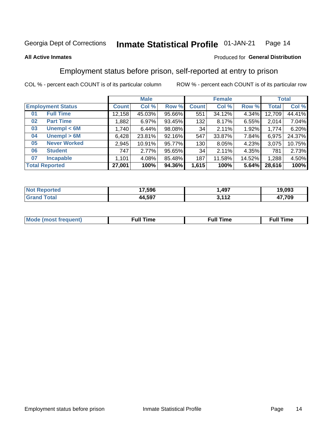#### Inmate Statistical Profile 01-JAN-21 Page 14

### **All Active Inmates**

### Produced for General Distribution

# Employment status before prison, self-reported at entry to prison

COL % - percent each COUNT is of its particular column

|                           | <b>Male</b>  |        |        |              | <b>Female</b> |        |              | <b>Total</b> |
|---------------------------|--------------|--------|--------|--------------|---------------|--------|--------------|--------------|
| <b>Employment Status</b>  | <b>Count</b> | Col %  | Row %  | <b>Count</b> | Col %         | Row %  | <b>Total</b> | Col %        |
| <b>Full Time</b><br>01    | 12,158       | 45.03% | 95.66% | 551          | 34.12%        | 4.34%  | 12,709       | 44.41%       |
| <b>Part Time</b><br>02    | 1,882        | 6.97%  | 93.45% | 132          | 8.17%         | 6.55%  | 2,014        | 7.04%        |
| Unempl $<$ 6M<br>03       | 1,740        | 6.44%  | 98.08% | 34           | 2.11%         | 1.92%  | 1,774        | 6.20%        |
| Unempl > 6M<br>04         | 6,428        | 23.81% | 92.16% | 547          | 33.87%        | 7.84%  | 6,975        | 24.37%       |
| <b>Never Worked</b><br>05 | 2,945        | 10.91% | 95.77% | 130          | 8.05%         | 4.23%  | 3,075        | 10.75%       |
| <b>Student</b><br>06      | 747          | 2.77%  | 95.65% | 34           | 2.11%         | 4.35%  | 781          | 2.73%        |
| <b>Incapable</b><br>07    | 1,101        | 4.08%  | 85.48% | 187          | 11.58%        | 14.52% | 1,288        | 4.50%        |
| <b>Total Reported</b>     | 27,001       | 100%   | 94.36% | 1,615        | 100%          | 5.64%  | 28,616       | 100%         |

| orteo<br>NO | 17,596 | ,497               | 19.093 |
|-------------|--------|--------------------|--------|
| $\sim$      | 44,597 | <b>2440</b><br>. L | 709.   |

| Mc | ----<br>me<br>ш | nc<br>. |
|----|-----------------|---------|
|    |                 |         |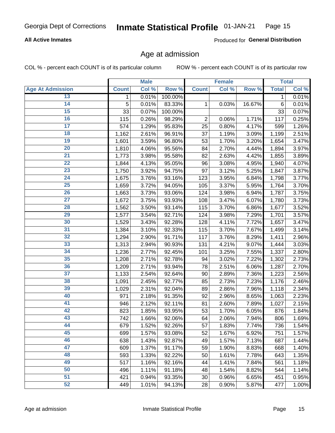### **All Active Inmates**

Produced for General Distribution

# Age at admission

COL % - percent each COUNT is of its particular column

|                         |              | <b>Male</b> |         |                | <b>Female</b> |        |              | <b>Total</b> |
|-------------------------|--------------|-------------|---------|----------------|---------------|--------|--------------|--------------|
| <b>Age At Admission</b> | <b>Count</b> | Col %       | Row %   | <b>Count</b>   | Col %         | Row %  | <b>Total</b> | Col %        |
| 13                      | 1            | 0.01%       | 100.00% |                |               |        | 1            | 0.01%        |
| $\overline{14}$         | 5            | 0.01%       | 83.33%  | 1              | 0.03%         | 16.67% | $\,6$        | 0.01%        |
| 15                      | 33           | 0.07%       | 100.00% |                |               |        | 33           | 0.07%        |
| 16                      | 115          | 0.26%       | 98.29%  | $\overline{2}$ | 0.06%         | 1.71%  | 117          | 0.25%        |
| $\overline{17}$         | 574          | 1.29%       | 95.83%  | 25             | 0.80%         | 4.17%  | 599          | 1.26%        |
| 18                      | 1,162        | 2.61%       | 96.91%  | 37             | 1.19%         | 3.09%  | 1,199        | 2.51%        |
| 19                      | 1,601        | 3.59%       | 96.80%  | 53             | 1.70%         | 3.20%  | 1,654        | 3.47%        |
| $\overline{20}$         | 1,810        | 4.06%       | 95.56%  | 84             | 2.70%         | 4.44%  | 1,894        | 3.97%        |
| $\overline{21}$         | 1,773        | 3.98%       | 95.58%  | 82             | 2.63%         | 4.42%  | 1,855        | 3.89%        |
| $\overline{22}$         | 1,844        | 4.13%       | 95.05%  | 96             | 3.08%         | 4.95%  | 1,940        | 4.07%        |
| 23                      | 1,750        | 3.92%       | 94.75%  | 97             | 3.12%         | 5.25%  | 1,847        | 3.87%        |
| $\overline{24}$         | 1,675        | 3.76%       | 93.16%  | 123            | 3.95%         | 6.84%  | 1,798        | 3.77%        |
| $\overline{25}$         | 1,659        | 3.72%       | 94.05%  | 105            | 3.37%         | 5.95%  | 1,764        | 3.70%        |
| 26                      | 1,663        | 3.73%       | 93.06%  | 124            | 3.98%         | 6.94%  | 1,787        | 3.75%        |
| $\overline{27}$         | 1,672        | 3.75%       | 93.93%  | 108            | 3.47%         | 6.07%  | 1,780        | 3.73%        |
| 28                      | 1,562        | 3.50%       | 93.14%  | 115            | 3.70%         | 6.86%  | 1,677        | 3.52%        |
| 29                      | 1,577        | 3.54%       | 92.71%  | 124            | 3.98%         | 7.29%  | 1,701        | 3.57%        |
| 30                      | 1,529        | 3.43%       | 92.28%  | 128            | 4.11%         | 7.72%  | 1,657        | 3.47%        |
| 31                      | 1,384        | 3.10%       | 92.33%  | 115            | 3.70%         | 7.67%  | 1,499        | 3.14%        |
| 32                      | 1,294        | 2.90%       | 91.71%  | 117            | 3.76%         | 8.29%  | 1,411        | 2.96%        |
| 33                      | 1,313        | 2.94%       | 90.93%  | 131            | 4.21%         | 9.07%  | 1,444        | 3.03%        |
| 34                      | 1,236        | 2.77%       | 92.45%  | 101            | 3.25%         | 7.55%  | 1,337        | 2.80%        |
| 35                      | 1,208        | 2.71%       | 92.78%  | 94             | 3.02%         | 7.22%  | 1,302        | 2.73%        |
| 36                      | 1,209        | 2.71%       | 93.94%  | 78             | 2.51%         | 6.06%  | 1,287        | 2.70%        |
| $\overline{37}$         | 1,133        | 2.54%       | 92.64%  | 90             | 2.89%         | 7.36%  | 1,223        | 2.56%        |
| 38                      | 1,091        | 2.45%       | 92.77%  | 85             | 2.73%         | 7.23%  | 1,176        | 2.46%        |
| 39                      | 1,029        | 2.31%       | 92.04%  | 89             | 2.86%         | 7.96%  | 1,118        | 2.34%        |
| 40                      | 971          | 2.18%       | 91.35%  | 92             | 2.96%         | 8.65%  | 1,063        | 2.23%        |
| 41                      | 946          | 2.12%       | 92.11%  | 81             | 2.60%         | 7.89%  | 1,027        | 2.15%        |
| 42                      | 823          | 1.85%       | 93.95%  | 53             | 1.70%         | 6.05%  | 876          | 1.84%        |
| 43                      | 742          | 1.66%       | 92.06%  | 64             | 2.06%         | 7.94%  | 806          | 1.69%        |
| 44                      | 679          | 1.52%       | 92.26%  | 57             | 1.83%         | 7.74%  | 736          | 1.54%        |
| 45                      | 699          | 1.57%       | 93.08%  | 52             | 1.67%         | 6.92%  | 751          | 1.57%        |
| 46                      | 638          | 1.43%       | 92.87%  | 49             | 1.57%         | 7.13%  | 687          | 1.44%        |
| 47                      | 609          | 1.37%       | 91.17%  | 59             | 1.90%         | 8.83%  | 668          | 1.40%        |
| 48                      | 593          | 1.33%       | 92.22%  | 50             | 1.61%         | 7.78%  | 643          | 1.35%        |
| 49                      | 517          | 1.16%       | 92.16%  | 44             | 1.41%         | 7.84%  | 561          | 1.18%        |
| 50                      | 496          | 1.11%       | 91.18%  | 48             | 1.54%         | 8.82%  | 544          | 1.14%        |
| $\overline{51}$         | 421          | 0.94%       | 93.35%  | 30             | 0.96%         | 6.65%  | 451          | 0.95%        |
| 52                      | 449          | 1.01%       | 94.13%  | 28             | 0.90%         | 5.87%  | 477          | 1.00%        |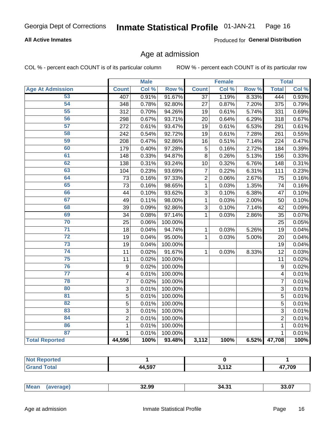### **All Active Inmates**

Produced for General Distribution

# Age at admission

COL % - percent each COUNT is of its particular column

|                         |                         | <b>Male</b> |         |                | <b>Female</b> |       |                | <b>Total</b> |
|-------------------------|-------------------------|-------------|---------|----------------|---------------|-------|----------------|--------------|
| <b>Age At Admission</b> | <b>Count</b>            | Col %       | Row %   | <b>Count</b>   | Col %         | Row % | <b>Total</b>   | Col %        |
| 53                      | 407                     | 0.91%       | 91.67%  | 37             | 1.19%         | 8.33% | 444            | 0.93%        |
| 54                      | 348                     | 0.78%       | 92.80%  | 27             | 0.87%         | 7.20% | 375            | 0.79%        |
| 55                      | 312                     | 0.70%       | 94.26%  | 19             | 0.61%         | 5.74% | 331            | 0.69%        |
| 56                      | 298                     | 0.67%       | 93.71%  | 20             | 0.64%         | 6.29% | 318            | 0.67%        |
| $\overline{57}$         | 272                     | 0.61%       | 93.47%  | 19             | 0.61%         | 6.53% | 291            | 0.61%        |
| 58                      | 242                     | 0.54%       | 92.72%  | 19             | 0.61%         | 7.28% | 261            | 0.55%        |
| 59                      | 208                     | 0.47%       | 92.86%  | 16             | 0.51%         | 7.14% | 224            | 0.47%        |
| 60                      | 179                     | 0.40%       | 97.28%  | 5              | 0.16%         | 2.72% | 184            | 0.39%        |
| 61                      | 148                     | 0.33%       | 94.87%  | $\overline{8}$ | 0.26%         | 5.13% | 156            | 0.33%        |
| 62                      | 138                     | 0.31%       | 93.24%  | 10             | 0.32%         | 6.76% | 148            | 0.31%        |
| 63                      | 104                     | 0.23%       | 93.69%  | $\overline{7}$ | 0.22%         | 6.31% | 111            | 0.23%        |
| 64                      | 73                      | 0.16%       | 97.33%  | $\overline{c}$ | 0.06%         | 2.67% | 75             | 0.16%        |
| 65                      | 73                      | 0.16%       | 98.65%  | $\mathbf 1$    | 0.03%         | 1.35% | 74             | 0.16%        |
| 66                      | 44                      | 0.10%       | 93.62%  | $\overline{3}$ | 0.10%         | 6.38% | 47             | 0.10%        |
| 67                      | 49                      | 0.11%       | 98.00%  | 1              | 0.03%         | 2.00% | 50             | 0.10%        |
| 68                      | 39                      | 0.09%       | 92.86%  | 3              | 0.10%         | 7.14% | 42             | 0.09%        |
| 69                      | 34                      | 0.08%       | 97.14%  | $\mathbf{1}$   | 0.03%         | 2.86% | 35             | 0.07%        |
| 70                      | 25                      | 0.06%       | 100.00% |                |               |       | 25             | 0.05%        |
| $\overline{71}$         | 18                      | 0.04%       | 94.74%  | $\mathbf{1}$   | 0.03%         | 5.26% | 19             | 0.04%        |
| $\overline{72}$         | 19                      | 0.04%       | 95.00%  | $\mathbf{1}$   | 0.03%         | 5.00% | 20             | 0.04%        |
| 73                      | 19                      | 0.04%       | 100.00% |                |               |       | 19             | 0.04%        |
| $\overline{74}$         | 11                      | 0.02%       | 91.67%  | 1              | 0.03%         | 8.33% | 12             | 0.03%        |
| $\overline{75}$         | 11                      | 0.02%       | 100.00% |                |               |       | 11             | 0.02%        |
| 76                      | 9                       | 0.02%       | 100.00% |                |               |       | $\mathsf g$    | 0.02%        |
| $\overline{77}$         | $\overline{\mathbf{4}}$ | 0.01%       | 100.00% |                |               |       | 4              | 0.01%        |
| 78                      | $\overline{7}$          | 0.02%       | 100.00% |                |               |       | 7              | 0.01%        |
| 80                      | 3                       | 0.01%       | 100.00% |                |               |       | $\overline{3}$ | 0.01%        |
| 81                      | 5                       | 0.01%       | 100.00% |                |               |       | 5              | 0.01%        |
| 82                      | 5                       | 0.01%       | 100.00% |                |               |       | $\overline{5}$ | 0.01%        |
| 83                      | 3                       | 0.01%       | 100.00% |                |               |       | 3              | 0.01%        |
| 84                      | $\overline{2}$          | 0.01%       | 100.00% |                |               |       | $\overline{2}$ | 0.01%        |
| 86                      | $\mathbf{1}$            | 0.01%       | 100.00% |                |               |       | 1              | 0.01%        |
| 87                      | $\mathbf{1}$            | 0.01%       | 100.00% |                |               |       | 1              | 0.01%        |
| <b>Total Reported</b>   | 44,596                  | 100%        | 93.48%  | 3,112          | 100%          | 6.52% | 47,708         | 100%         |

| rtea |        |            |             |
|------|--------|------------|-------------|
|      | 44,597 | , 440<br>. | 47,709<br>" |

| Mear | 32.99 | $\sim$<br>. .<br>34.3. | דה הה<br>33.U. |
|------|-------|------------------------|----------------|
|      |       |                        |                |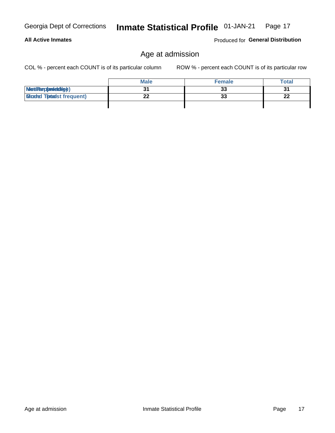# Age at admission

COL % - percent each COUNT is of its particular column

ROW % - percent each COUNT is of its particular row

|                                  | <b>Male</b> | <b>Female</b> | <b>Total</b> |
|----------------------------------|-------------|---------------|--------------|
| MetiRep(aniektlig)               |             | 33            | ີ            |
| <b>Micaded Tomadst frequent)</b> |             | 33            | ne.<br>22    |
|                                  |             |               |              |

Produced for General Distribution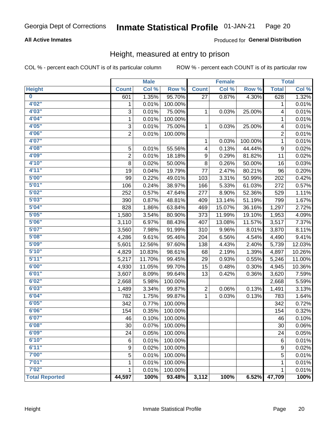### **All Active Inmates**

### Produced for General Distribution

# Height, measured at entry to prison

COL % - percent each COUNT is of its particular column

|                         |                | <b>Male</b> |         |              | <b>Female</b> |         |                | <b>Total</b> |
|-------------------------|----------------|-------------|---------|--------------|---------------|---------|----------------|--------------|
| <b>Height</b>           | <b>Count</b>   | Col %       | Row %   | <b>Count</b> | Col %         | Row %   | <b>Total</b>   | Col %        |
| $\overline{\mathbf{0}}$ | 601            | 1.35%       | 95.70%  | 27           | 0.87%         | 4.30%   | 628            | 1.32%        |
| 4'02''                  | 1              | 0.01%       | 100.00% |              |               |         | 1              | 0.01%        |
| 4'03''                  | 3              | 0.01%       | 75.00%  | 1            | 0.03%         | 25.00%  | 4              | 0.01%        |
| 4'04"                   | 1              | 0.01%       | 100.00% |              |               |         | 1              | 0.01%        |
| 4'05"                   | 3              | 0.01%       | 75.00%  | $\mathbf{1}$ | 0.03%         | 25.00%  | 4              | 0.01%        |
| 4'06"                   | $\overline{2}$ | 0.01%       | 100.00% |              |               |         | $\overline{2}$ | 0.01%        |
| 4'07"                   |                |             |         | 1            | 0.03%         | 100.00% | 1              | 0.01%        |
| 4'08"                   | 5              | 0.01%       | 55.56%  | 4            | 0.13%         | 44.44%  | 9              | 0.02%        |
| 4'09"                   | $\overline{2}$ | 0.01%       | 18.18%  | 9            | 0.29%         | 81.82%  | 11             | 0.02%        |
| 4'10''                  | 8              | 0.02%       | 50.00%  | 8            | 0.26%         | 50.00%  | 16             | 0.03%        |
| 4'11''                  | 19             | 0.04%       | 19.79%  | 77           | 2.47%         | 80.21%  | 96             | 0.20%        |
| 5'00''                  | 99             | 0.22%       | 49.01%  | 103          | 3.31%         | 50.99%  | 202            | 0.42%        |
| 5'01"                   | 106            | 0.24%       | 38.97%  | 166          | 5.33%         | 61.03%  | 272            | 0.57%        |
| 5'02"                   | 252            | 0.57%       | 47.64%  | 277          | 8.90%         | 52.36%  | 529            | 1.11%        |
| 5'03''                  | 390            | 0.87%       | 48.81%  | 409          | 13.14%        | 51.19%  | 799            | 1.67%        |
| 5'04"                   | 828            | 1.86%       | 63.84%  | 469          | 15.07%        | 36.16%  | 1,297          | 2.72%        |
| 5'05"                   | 1,580          | 3.54%       | 80.90%  | 373          | 11.99%        | 19.10%  | 1,953          | 4.09%        |
| 5'06''                  | 3,110          | 6.97%       | 88.43%  | 407          | 13.08%        | 11.57%  | 3,517          | 7.37%        |
| 5'07"                   | 3,560          | 7.98%       | 91.99%  | 310          | 9.96%         | 8.01%   | 3,870          | 8.11%        |
| 5'08''                  | 4,286          | 9.61%       | 95.46%  | 204          | 6.56%         | 4.54%   | 4,490          | 9.41%        |
| 5'09''                  | 5,601          | 12.56%      | 97.60%  | 138          | 4.43%         | 2.40%   | 5,739          | 12.03%       |
| 5'10''                  | 4,829          | 10.83%      | 98.61%  | 68           | 2.19%         | 1.39%   | 4,897          | 10.26%       |
| 5'11''                  | 5,217          | 11.70%      | 99.45%  | 29           | 0.93%         | 0.55%   | 5,246          | 11.00%       |
| 6'00''                  | 4,930          | 11.05%      | 99.70%  | 15           | 0.48%         | 0.30%   | 4,945          | 10.36%       |
| 6'01''                  | 3,607          | 8.09%       | 99.64%  | 13           | 0.42%         | 0.36%   | 3,620          | 7.59%        |
| 6'02"                   | 2,668          | 5.98%       | 100.00% |              |               |         | 2,668          | 5.59%        |
| 6'03''                  | 1,489          | 3.34%       | 99.87%  | 2            | 0.06%         | 0.13%   | 1,491          | 3.13%        |
| 6'04"                   | 782            | 1.75%       | 99.87%  | $\mathbf{1}$ | 0.03%         | 0.13%   | 783            | 1.64%        |
| 6'05"                   | 342            | 0.77%       | 100.00% |              |               |         | 342            | 0.72%        |
| 6'06''                  | 154            | 0.35%       | 100.00% |              |               |         | 154            | 0.32%        |
| 6'07''                  | 46             | 0.10%       | 100.00% |              |               |         | 46             | 0.10%        |
| 6'08"                   | 30             | 0.07%       | 100.00% |              |               |         | 30             | 0.06%        |
| 6'09''                  | 24             | 0.05%       | 100.00% |              |               |         | 24             | 0.05%        |
| 6'10''                  | 6              | 0.01%       | 100.00% |              |               |         | 6              | 0.01%        |
| 6'11''                  | 9              | 0.02%       | 100.00% |              |               |         | 9              | 0.02%        |
| 7'00"                   | 5              | 0.01%       | 100.00% |              |               |         | 5              | 0.01%        |
| 7'01''                  | 1              | 0.01%       | 100.00% |              |               |         | 1              | 0.01%        |
| 7'02"                   | 1              | 0.01%       | 100.00% |              |               |         | 1              | 0.01%        |
| <b>Total Reported</b>   | 44,597         | 100%        | 93.48%  | 3,112        | 100%          | 6.52%   | 47,709         | 100%         |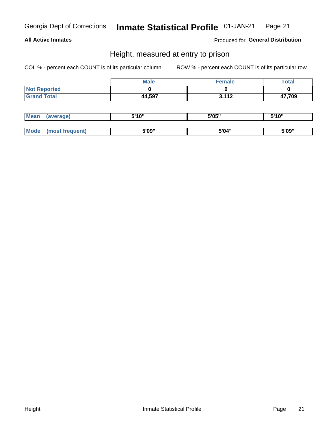### **All Active Inmates**

Produced for General Distribution

# Height, measured at entry to prison

COL % - percent each COUNT is of its particular column

|                     | <b>Male</b> | <b>Female</b> | Total  |
|---------------------|-------------|---------------|--------|
| <b>Not Reported</b> |             |               |        |
| <b>Grand Total</b>  | 44,597      | 3,112         | 47,709 |

| <b>Mean</b> | erage) | 5'10" | 5'05" | <b>CIA AIL</b><br>. . |
|-------------|--------|-------|-------|-----------------------|
|             |        |       |       |                       |
| <b>Mode</b> |        | 5'09" | 5'04" | 5'09"                 |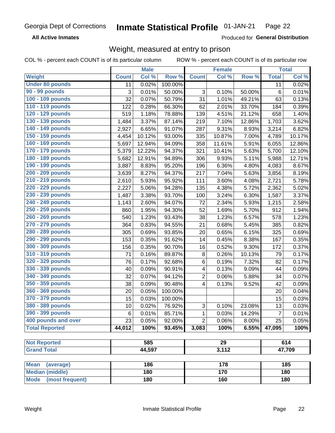**All Active Inmates** 

Produced for General Distribution

# Weight, measured at entry to prison

COL % - percent each COUNT is of its particular column

ROW % - percent each COUNT is of its particular row

|                                |                 | <b>Male</b> |         |                           | <b>Female</b>   |        |                | <b>Total</b> |
|--------------------------------|-----------------|-------------|---------|---------------------------|-----------------|--------|----------------|--------------|
| Weight                         | <b>Count</b>    | Col %       | Row %   | <b>Count</b>              | Col %           | Row %  | <b>Total</b>   | Col %        |
| <b>Under 80 pounds</b>         | 11              | 0.02%       | 100.00% |                           |                 |        | 11             | 0.02%        |
| 90 - 99 pounds                 | 3               | 0.01%       | 50.00%  | $\ensuremath{\mathsf{3}}$ | 0.10%           | 50.00% | 6              | 0.01%        |
| 100 - 109 pounds               | 32              | 0.07%       | 50.79%  | 31                        | 1.01%           | 49.21% | 63             | 0.13%        |
| 110 - 119 pounds               | 122             | 0.28%       | 66.30%  | 62                        | 2.01%           | 33.70% | 184            | 0.39%        |
| 120 - 129 pounds               | 519             | 1.18%       | 78.88%  | 139                       | 4.51%           | 21.12% | 658            | 1.40%        |
| 130 - 139 pounds               | 1,484           | 3.37%       | 87.14%  | 219                       | 7.10%           | 12.86% | 1,703          | 3.62%        |
| 140 - 149 pounds               | 2,927           | 6.65%       | 91.07%  | 287                       | 9.31%           | 8.93%  | 3,214          | 6.82%        |
| 150 - 159 pounds               | 4,454           | 10.12%      | 93.00%  | 335                       | 10.87%          | 7.00%  | 4,789          | 10.17%       |
| 160 - 169 pounds               | 5,697           | 12.94%      | 94.09%  | 358                       | 11.61%          | 5.91%  | 6,055          | 12.86%       |
| 170 - 179 pounds               | 5,379           | 12.22%      | 94.37%  | 321                       | 10.41%          | 5.63%  | 5,700          | 12.10%       |
| 180 - 189 pounds               | 5,682           | 12.91%      | 94.89%  | 306                       | 9.93%           | 5.11%  | 5,988          | 12.71%       |
| 190 - 199 pounds               | 3,887           | 8.83%       | 95.20%  | 196                       | 6.36%           | 4.80%  | 4,083          | 8.67%        |
| 200 - 209 pounds               | 3,639           | 8.27%       | 94.37%  | 217                       | 7.04%           | 5.63%  | 3,856          | 8.19%        |
| 210 - 219 pounds               | 2,610           | 5.93%       | 95.92%  | 111                       | 3.60%           | 4.08%  | 2,721          | 5.78%        |
| 220 - 229 pounds               | 2,227           | 5.06%       | 94.28%  | 135                       | 4.38%           | 5.72%  | 2,362          | 5.02%        |
| 230 - 239 pounds               | 1,487           | 3.38%       | 93.70%  | 100                       | 3.24%           | 6.30%  | 1,587          | 3.37%        |
| 240 - 249 pounds               | 1,143           | 2.60%       | 94.07%  | 72                        | 2.34%           | 5.93%  | 1,215          | 2.58%        |
| 250 - 259 pounds               | 860             | 1.95%       | 94.30%  | 52                        | 1.69%           | 5.70%  | 912            | 1.94%        |
| 260 - 269 pounds               | 540             | 1.23%       | 93.43%  | 38                        | 1.23%           | 6.57%  | 578            | 1.23%        |
| 270 - 279 pounds               | 364             | 0.83%       | 94.55%  | 21                        | 0.68%           | 5.45%  | 385            | 0.82%        |
| 280 - 289 pounds               | 305             | 0.69%       | 93.85%  | 20                        | 0.65%           | 6.15%  | 325            | 0.69%        |
| 290 - 299 pounds               | 153             | 0.35%       | 91.62%  | 14                        | 0.45%           | 8.38%  | 167            | 0.35%        |
| 300 - 309 pounds               | 156             | 0.35%       | 90.70%  | 16                        | 0.52%           | 9.30%  | 172            | 0.37%        |
| 310 - 319 pounds               | 71              | 0.16%       | 89.87%  | 8                         | 0.26%           | 10.13% | 79             | 0.17%        |
| 320 - 329 pounds               | 76              | 0.17%       | 92.68%  | 6                         | 0.19%           | 7.32%  | 82             | 0.17%        |
| 330 - 339 pounds               | 40              | 0.09%       | 90.91%  | 4                         | 0.13%           | 9.09%  | 44             | 0.09%        |
| 340 - 349 pounds               | 32              | 0.07%       | 94.12%  | 2                         | 0.06%           | 5.88%  | 34             | 0.07%        |
| 350 - 359 pounds               | 38              | 0.09%       | 90.48%  | 4                         | 0.13%           | 9.52%  | 42             | 0.09%        |
| 360 - 369 pounds               | 20              | 0.05%       | 100.00% |                           |                 |        | 20             | 0.04%        |
| 370 - 379 pounds               | 15              | 0.03%       | 100.00% |                           |                 |        | 15             | 0.03%        |
| 380 - 389 pounds               | 10 <sup>1</sup> | 0.02%       | 76.92%  | $\sqrt{3}$                | 0.10%           | 23.08% | 13             | 0.03%        |
| 390 - 399 pounds               | 6               | 0.01%       | 85.71%  | 1                         | 0.03%           | 14.29% | $\overline{7}$ | 0.01%        |
| 400 pounds and over            | 23              | 0.05%       | 92.00%  | $\overline{2}$            | 0.06%           | 8.00%  | 25             | 0.05%        |
| <b>Total Reported</b>          | 44,012          | 100%        | 93.45%  | 3,083                     | 100%            | 6.55%  | 47,095         | 100%         |
| <b>Not Reported</b>            |                 | 585         |         |                           | $\overline{29}$ |        |                | 614          |
| <b>Grand Total</b>             |                 | 44,597      |         |                           | 3,112           |        |                |              |
|                                |                 |             |         |                           |                 |        | 47,709         |              |
| <b>Mean</b><br>(average)       |                 | 186         |         |                           | 178             |        |                | 185          |
| <b>Median (middle)</b>         |                 | 180         |         |                           | 170             |        |                | 180          |
| <b>Mode</b><br>(most frequent) |                 | 180         |         |                           | 160             |        |                | 180          |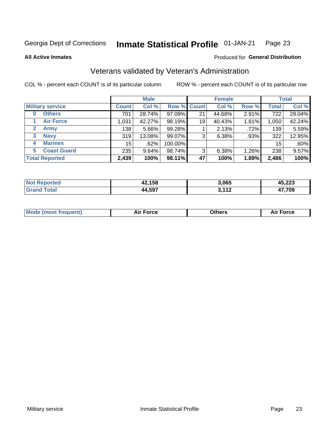#### **Inmate Statistical Profile 01-JAN-21** Page 23

**All Active Inmates** 

### Produced for General Distribution

# Veterans validated by Veteran's Administration

COL % - percent each COUNT is of its particular column

|                          |              | <b>Male</b> |         |                    | <b>Female</b> |       |              | <b>Total</b> |
|--------------------------|--------------|-------------|---------|--------------------|---------------|-------|--------------|--------------|
| <b>Military service</b>  | <b>Count</b> | Col %       |         | <b>Row % Count</b> | Col %         | Row % | <b>Total</b> | Col %        |
| <b>Others</b><br>0       | 701          | 28.74%      | 97.09%  | 21                 | 44.68%        | 2.91% | 722          | 29.04%       |
| <b>Air Force</b>         | 1,031        | 42.27%      | 98.19%  | 19                 | 40.43%        | 1.81% | 1,050        | 42.24%       |
| 2<br><b>Army</b>         | 138          | 5.66%       | 99.28%  |                    | 2.13%         | .72%  | 139          | 5.59%        |
| <b>Navy</b><br>3         | 319          | 13.08%      | 99.07%  | 3                  | 6.38%         | .93%  | 322          | 12.95%       |
| <b>Marines</b><br>4      | 15           | .62%        | 100.00% |                    |               |       | 15           | .60%         |
| <b>Coast Guard</b><br>5. | 235          | 9.64%       | 98.74%  | 3                  | 6.38%         | 1.26% | 238          | 9.57%        |
| <b>Total Reported</b>    | 2,439        | 100%        | 98.11%  | 47                 | 100%          | 1.89% | 2,486        | 100%         |

| "ted | 42,158 | 3,065            | パス つつつ<br>4J.LLJ |
|------|--------|------------------|------------------|
|      | 44,597 | <b>2440</b><br>. | 17,709           |

|  |  | <b>Mode (most frequent)</b> | <b>Force</b><br>Aır | วthers | orce |
|--|--|-----------------------------|---------------------|--------|------|
|--|--|-----------------------------|---------------------|--------|------|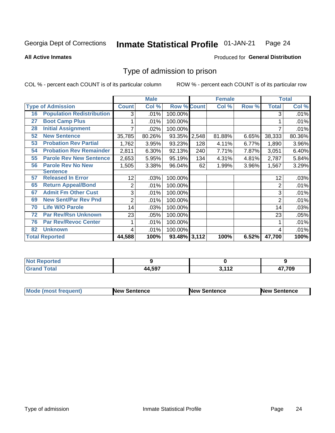#### Inmate Statistical Profile 01-JAN-21 Page 24

**All Active Inmates** 

### Produced for General Distribution

# Type of admission to prison

COL % - percent each COUNT is of its particular column

|    |                                  |                | <b>Male</b> |                    |       | <b>Female</b> |       |                | <b>Total</b> |
|----|----------------------------------|----------------|-------------|--------------------|-------|---------------|-------|----------------|--------------|
|    | <b>Type of Admission</b>         | <b>Count</b>   | Col %       | <b>Row % Count</b> |       | Col %         | Row % | <b>Total</b>   | Col %        |
| 16 | <b>Population Redistribution</b> | 3              | .01%        | 100.00%            |       |               |       | 3              | .01%         |
| 27 | <b>Boot Camp Plus</b>            |                | .01%        | 100.00%            |       |               |       |                | .01%         |
| 28 | <b>Initial Assignment</b>        |                | .02%        | 100.00%            |       |               |       |                | .01%         |
| 52 | <b>New Sentence</b>              | 35,785         | 80.26%      | 93.35%             | 2,548 | 81.88%        | 6.65% | 38,333         | 80.36%       |
| 53 | <b>Probation Rev Partial</b>     | 1,762          | 3.95%       | 93.23%             | 128   | 4.11%         | 6.77% | 1,890          | 3.96%        |
| 54 | <b>Probation Rev Remainder</b>   | 2,811          | 6.30%       | 92.13%             | 240   | 7.71%         | 7.87% | 3,051          | 6.40%        |
| 55 | <b>Parole Rev New Sentence</b>   | 2,653          | 5.95%       | 95.19%             | 134   | 4.31%         | 4.81% | 2,787          | 5.84%        |
| 56 | <b>Parole Rev No New</b>         | 1,505          | 3.38%       | 96.04%             | 62    | 1.99%         | 3.96% | 1,567          | 3.29%        |
|    | <b>Sentence</b>                  |                |             |                    |       |               |       |                |              |
| 57 | <b>Released In Error</b>         | 12             | .03%        | 100.00%            |       |               |       | 12             | .03%         |
| 65 | <b>Return Appeal/Bond</b>        | $\overline{2}$ | .01%        | 100.00%            |       |               |       | $\overline{2}$ | .01%         |
| 67 | <b>Admit Fm Other Cust</b>       | 3              | .01%        | 100.00%            |       |               |       | 3              | .01%         |
| 69 | <b>New Sent/Par Rev Pnd</b>      | 2              | .01%        | 100.00%            |       |               |       | 2              | .01%         |
| 70 | <b>Life W/O Parole</b>           | 14             | .03%        | 100.00%            |       |               |       | 14             | .03%         |
| 72 | <b>Par Rev/Rsn Unknown</b>       | 23             | .05%        | 100.00%            |       |               |       | 23             | .05%         |
| 76 | <b>Par Rev/Revoc Center</b>      |                | .01%        | 100.00%            |       |               |       |                | .01%         |
| 82 | <b>Unknown</b>                   | 4              | .01%        | 100.00%            |       |               |       | 4              | .01%         |
|    | <b>Total Reported</b>            | 44,588         | 100%        | 93.48% 3,112       |       | 100%          | 6.52% | 47,700         | 100%         |

| <b>Not F</b><br><b>Not Reported</b> |        |               |        |
|-------------------------------------|--------|---------------|--------|
| <b>Total</b><br>'Grand              | 44,597 | 2.11c<br>- 14 | 17,709 |

| <b>Mode (most frequent)</b> | <b>New Sentence</b> | <b>New Sentence</b> | <b>New Sentence</b> |
|-----------------------------|---------------------|---------------------|---------------------|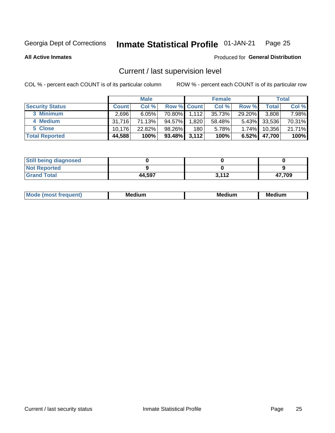#### Inmate Statistical Profile 01-JAN-21 Page 25

**All Active Inmates** 

### Produced for General Distribution

# Current / last supervision level

COL % - percent each COUNT is of its particular column

|                        |              | <b>Male</b> |                    |       | <b>Female</b> |          |              | <b>Total</b> |
|------------------------|--------------|-------------|--------------------|-------|---------------|----------|--------------|--------------|
| <b>Security Status</b> | <b>Count</b> | Col %       | <b>Row % Count</b> |       | Col %         | Row %    | <b>Total</b> | Col %        |
| 3 Minimum              | 2.696        | 6.05%       | 70.80%             | 1.112 | 35.73%        | 29.20%   | 3,808        | 7.98%        |
| 4 Medium               | 31.716       | 71.13%      | 94.57%             | 1,820 | 58.48%        |          | 5.43% 33,536 | 70.31%       |
| 5 Close                | 10.176       | 22.82%      | 98.26%             | 180   | 5.78%         | $1.74\%$ | 10,356       | 21.71%       |
| <b>Total Reported</b>  | 44,588       | 100%        | 93.48%             | 3,112 | 100%          | $6.52\%$ | 47,700       | 100%         |

| <b>Still being diagnosed</b> |        |       |        |
|------------------------------|--------|-------|--------|
| <b>Not Reported</b>          |        |       |        |
| <b>Grand Total</b>           | 44,597 | 3,112 | 47,709 |

| $M_{\Omega}$ | Me<br>edium<br>____ | Мє<br>dium<br>_____ | Medium<br> |
|--------------|---------------------|---------------------|------------|
|              |                     |                     |            |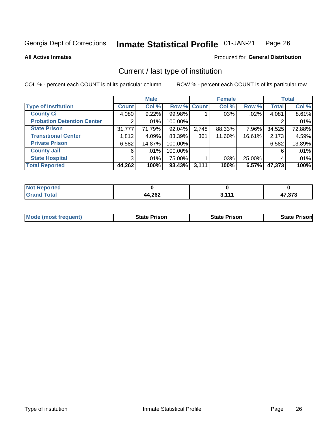#### Inmate Statistical Profile 01-JAN-21 Page 26

**All Active Inmates** 

### Produced for General Distribution

# Current / last type of institution

COL % - percent each COUNT is of its particular column

|                                   |                       | <b>Male</b> |             |       | <b>Female</b> |        |              | <b>Total</b> |
|-----------------------------------|-----------------------|-------------|-------------|-------|---------------|--------|--------------|--------------|
| <b>Type of Institution</b>        | <b>Count</b>          | Col %       | Row % Count |       | Col %         | Row %  | <b>Total</b> | Col %        |
| <b>County Ci</b>                  | 4,080                 | 9.22%       | 99.98%      |       | .03%          | .02%   | 4,081        | 8.61%        |
| <b>Probation Detention Center</b> | $\mathbf{2}^{\prime}$ | $.01\%$     | 100.00%     |       |               |        |              | .01%         |
| <b>State Prison</b>               | 31,777                | 71.79%      | 92.04%      | 2,748 | 88.33%        | 7.96%  | 34,525       | 72.88%       |
| <b>Transitional Center</b>        | 1,812                 | 4.09%       | 83.39%      | 361   | 11.60%        | 16.61% | 2,173        | 4.59%        |
| <b>Private Prison</b>             | 6,582                 | 14.87%      | 100.00%     |       |               |        | 6,582        | 13.89%       |
| <b>County Jail</b>                | 6                     | $.01\%$     | 100.00%     |       |               |        | 6            | .01%         |
| <b>State Hospital</b>             | 3 <sup>1</sup>        | $.01\%$     | 75.00%      |       | .03%          | 25.00% | 4            | .01%         |
| <b>Total Reported</b>             | 44,262                | 100%        | 93.43%      | 3,111 | 100%          | 6.57%  | 47,373       | 100%         |

| ported<br>' NOT<br>NGL |                         |                |                  |
|------------------------|-------------------------|----------------|------------------|
| otal                   | <b>AA 262</b><br>44,ZVZ | 9 <i>4 4 4</i> | הדה דו<br>ں ،ں . |

| <b>Mode (most frequent)</b> | <b>State Prison</b> | <b>State Prison</b> | <b>State Prison</b> |
|-----------------------------|---------------------|---------------------|---------------------|
|                             |                     |                     |                     |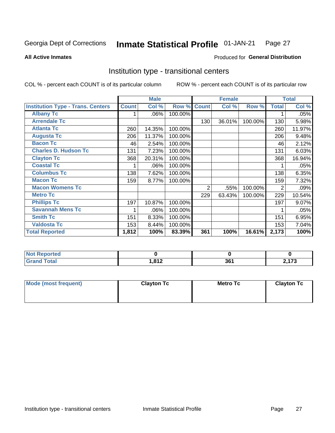#### **Inmate Statistical Profile 01-JAN-21** Page 27

Produced for General Distribution

#### **All Active Inmates**

# Institution type - transitional centers

COL % - percent each COUNT is of its particular column

|                                          |              | <b>Male</b> |         |              | <b>Female</b> |         |              | <b>Total</b> |
|------------------------------------------|--------------|-------------|---------|--------------|---------------|---------|--------------|--------------|
| <b>Institution Type - Trans. Centers</b> | <b>Count</b> | Col %       | Row %   | <b>Count</b> | Col %         | Row %   | <b>Total</b> | Col %        |
| <b>Albany Tc</b>                         |              | .06%        | 100.00% |              |               |         |              | .05%         |
| <b>Arrendale Tc</b>                      |              |             |         | 130          | 36.01%        | 100.00% | 130          | 5.98%        |
| <b>Atlanta Tc</b>                        | 260          | 14.35%      | 100.00% |              |               |         | 260          | 11.97%       |
| <b>Augusta Tc</b>                        | 206          | 11.37%      | 100.00% |              |               |         | 206          | 9.48%        |
| <b>Bacon Tc</b>                          | 46           | 2.54%       | 100.00% |              |               |         | 46           | 2.12%        |
| <b>Charles D. Hudson Tc</b>              | 131          | 7.23%       | 100.00% |              |               |         | 131          | 6.03%        |
| <b>Clayton Tc</b>                        | 368          | 20.31%      | 100.00% |              |               |         | 368          | 16.94%       |
| <b>Coastal Tc</b>                        |              | .06%        | 100.00% |              |               |         |              | .05%         |
| <b>Columbus Tc</b>                       | 138          | 7.62%       | 100.00% |              |               |         | 138          | 6.35%        |
| <b>Macon Tc</b>                          | 159          | 8.77%       | 100.00% |              |               |         | 159          | 7.32%        |
| <b>Macon Womens Tc</b>                   |              |             |         | 2            | .55%          | 100.00% | 2            | .09%         |
| <b>Metro Tc</b>                          |              |             |         | 229          | 63.43%        | 100.00% | 229          | 10.54%       |
| <b>Phillips Tc</b>                       | 197          | 10.87%      | 100.00% |              |               |         | 197          | 9.07%        |
| <b>Savannah Mens Tc</b>                  | 1            | .06%        | 100.00% |              |               |         |              | .05%         |
| <b>Smith Tc</b>                          | 151          | 8.33%       | 100.00% |              |               |         | 151          | 6.95%        |
| <b>Valdosta Tc</b>                       | 153          | 8.44%       | 100.00% |              |               |         | 153          | 7.04%        |
| <b>Total Reported</b>                    | 1,812        | 100%        | 83.39%  | 361          | 100%          | 16.61%  | 2,173        | 100%         |

| <b>Not Reported</b> |        |          |    |
|---------------------|--------|----------|----|
| Total               | l 04 9 | 2C<br>Jι | -- |

| Mode (most frequent) | <b>Clayton Tc</b> | Metro Tc | <b>Clayton Tc</b> |
|----------------------|-------------------|----------|-------------------|
|                      |                   |          |                   |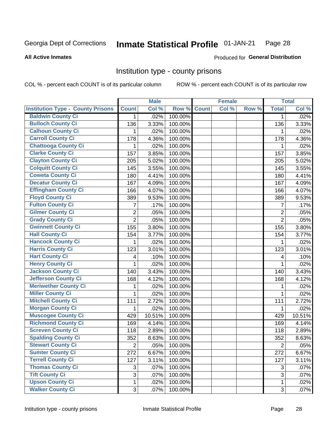#### Inmate Statistical Profile 01-JAN-21 Page 28

**All Active Inmates** 

### Produced for General Distribution

### Institution type - county prisons

COL % - percent each COUNT is of its particular column

|                                          |                | <b>Male</b> |         |              | <b>Female</b> |       |                | <b>Total</b> |
|------------------------------------------|----------------|-------------|---------|--------------|---------------|-------|----------------|--------------|
| <b>Institution Type - County Prisons</b> | <b>Count</b>   | Col %       | Row %   | <b>Count</b> | Col %         | Row % | <b>Total</b>   | Col %        |
| <b>Baldwin County Ci</b>                 | 1.             | .02%        | 100.00% |              |               |       | 1              | .02%         |
| <b>Bulloch County Ci</b>                 | 136            | 3.33%       | 100.00% |              |               |       | 136            | 3.33%        |
| <b>Calhoun County Ci</b>                 | 1              | .02%        | 100.00% |              |               |       | 1              | .02%         |
| <b>Carroll County Ci</b>                 | 178            | 4.36%       | 100.00% |              |               |       | 178            | 4.36%        |
| <b>Chattooga County Ci</b>               | 1              | .02%        | 100.00% |              |               |       | 1              | .02%         |
| <b>Clarke County Ci</b>                  | 157            | 3.85%       | 100.00% |              |               |       | 157            | 3.85%        |
| <b>Clayton County Ci</b>                 | 205            | 5.02%       | 100.00% |              |               |       | 205            | 5.02%        |
| <b>Colquitt County Ci</b>                | 145            | 3.55%       | 100.00% |              |               |       | 145            | 3.55%        |
| <b>Coweta County Ci</b>                  | 180            | 4.41%       | 100.00% |              |               |       | 180            | 4.41%        |
| <b>Decatur County Ci</b>                 | 167            | 4.09%       | 100.00% |              |               |       | 167            | 4.09%        |
| <b>Effingham County Ci</b>               | 166            | 4.07%       | 100.00% |              |               |       | 166            | 4.07%        |
| <b>Floyd County Ci</b>                   | 389            | 9.53%       | 100.00% |              |               |       | 389            | 9.53%        |
| <b>Fulton County Ci</b>                  | 7              | .17%        | 100.00% |              |               |       | $\overline{7}$ | .17%         |
| <b>Gilmer County Ci</b>                  | $\overline{2}$ | .05%        | 100.00% |              |               |       | $\overline{2}$ | .05%         |
| <b>Grady County Ci</b>                   | $\overline{2}$ | .05%        | 100.00% |              |               |       | $\overline{2}$ | .05%         |
| <b>Gwinnett County Ci</b>                | 155            | 3.80%       | 100.00% |              |               |       | 155            | 3.80%        |
| <b>Hall County Ci</b>                    | 154            | 3.77%       | 100.00% |              |               |       | 154            | 3.77%        |
| <b>Hancock County Ci</b>                 | 1              | .02%        | 100.00% |              |               |       | 1              | .02%         |
| <b>Harris County Ci</b>                  | 123            | 3.01%       | 100.00% |              |               |       | 123            | 3.01%        |
| <b>Hart County Ci</b>                    | 4              | .10%        | 100.00% |              |               |       | 4              | .10%         |
| <b>Henry County Ci</b>                   | 1              | .02%        | 100.00% |              |               |       | 1              | .02%         |
| <b>Jackson County Ci</b>                 | 140            | 3.43%       | 100.00% |              |               |       | 140            | 3.43%        |
| <b>Jefferson County Ci</b>               | 168            | 4.12%       | 100.00% |              |               |       | 168            | 4.12%        |
| <b>Meriwether County Ci</b>              | 1              | .02%        | 100.00% |              |               |       | 1              | .02%         |
| <b>Miller County Ci</b>                  | 1              | .02%        | 100.00% |              |               |       | $\mathbf{1}$   | .02%         |
| <b>Mitchell County Ci</b>                | 111            | 2.72%       | 100.00% |              |               |       | 111            | 2.72%        |
| <b>Morgan County Ci</b>                  | 1              | .02%        | 100.00% |              |               |       | 1              | .02%         |
| <b>Muscogee County Ci</b>                | 429            | 10.51%      | 100.00% |              |               |       | 429            | 10.51%       |
| <b>Richmond County Ci</b>                | 169            | 4.14%       | 100.00% |              |               |       | 169            | 4.14%        |
| <b>Screven County Ci</b>                 | 118            | 2.89%       | 100.00% |              |               |       | 118            | 2.89%        |
| <b>Spalding County Ci</b>                | 352            | 8.63%       | 100.00% |              |               |       | 352            | 8.63%        |
| <b>Stewart County Ci</b>                 | $\overline{2}$ | .05%        | 100.00% |              |               |       | $\overline{2}$ | .05%         |
| <b>Sumter County Ci</b>                  | 272            | 6.67%       | 100.00% |              |               |       | 272            | 6.67%        |
| <b>Terrell County Ci</b>                 | 127            | 3.11%       | 100.00% |              |               |       | 127            | 3.11%        |
| <b>Thomas County Ci</b>                  | 3              | .07%        | 100.00% |              |               |       | 3              | .07%         |
| <b>Tift County Ci</b>                    | 3              | .07%        | 100.00% |              |               |       | 3              | .07%         |
| <b>Upson County Ci</b>                   | 1              | .02%        | 100.00% |              |               |       | $\mathbf{1}$   | .02%         |
| <b>Walker County Ci</b>                  | $\overline{3}$ | .07%        | 100.00% |              |               |       | 3              | .07%         |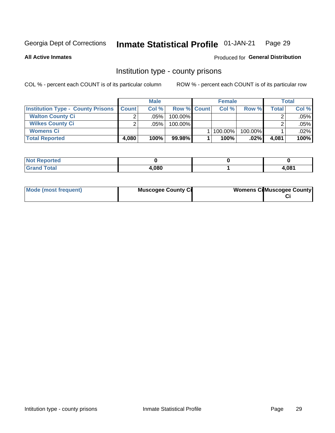#### Inmate Statistical Profile 01-JAN-21 Page 29

### **All Active Inmates**

## Produced for General Distribution

## Institution type - county prisons

COL % - percent each COUNT is of its particular column

|                                          |              | <b>Male</b> |                    | <b>Female</b> |         |       | <b>Total</b> |
|------------------------------------------|--------------|-------------|--------------------|---------------|---------|-------|--------------|
| <b>Institution Type - County Prisons</b> | <b>Count</b> | Col%        | <b>Row % Count</b> | Col%          | Row %   | Total | Col %        |
| <b>Walton County Ci</b>                  | ⌒            | .05%        | 100.00%            |               |         |       | .05%         |
| <b>Wilkes County Ci</b>                  |              | $.05\%$     | 100.00%            |               |         |       | .05%         |
| <b>Womens Ci</b>                         |              |             |                    | 100.00%       | 100.00% |       | $.02\%$      |
| <b>Total Reported</b>                    | 4.080        | 100%        | 99.98%             | 100%          | $.02\%$ | 4,081 | 100%         |

| <u>ica</u><br>$\sim$ |       |       |
|----------------------|-------|-------|
| _____                | 4,080 | 1 በጸ1 |

| Mode (most frequent) | <b>Muscogee County Ci</b> | <b>Womens Cil Muscogee County</b> |
|----------------------|---------------------------|-----------------------------------|
|                      |                           |                                   |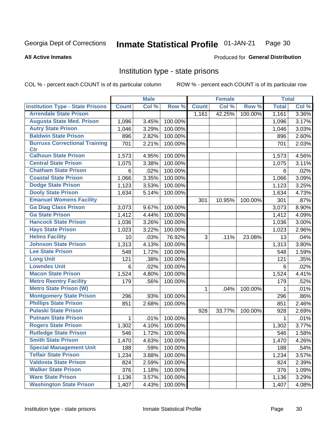#### Inmate Statistical Profile 01-JAN-21 Page 30

### **All Active Inmates**

# Produced for General Distribution

# Institution type - state prisons

COL % - percent each COUNT is of its particular column

|                                         |              | <b>Male</b> |         |              | <b>Female</b> |         | <b>Total</b> |       |
|-----------------------------------------|--------------|-------------|---------|--------------|---------------|---------|--------------|-------|
| <b>Institution Type - State Prisons</b> | <b>Count</b> | Col %       | Row %   | <b>Count</b> | Col %         | Row %   | <b>Total</b> | Col % |
| <b>Arrendale State Prison</b>           |              |             |         | 1,161        | 42.25%        | 100.00% | 1,161        | 3.36% |
| <b>Augusta State Med. Prison</b>        | 1,096        | 3.45%       | 100.00% |              |               |         | 1,096        | 3.17% |
| <b>Autry State Prison</b>               | 1,046        | 3.29%       | 100.00% |              |               |         | 1,046        | 3.03% |
| <b>Baldwin State Prison</b>             | 896          | 2.82%       | 100.00% |              |               |         | 896          | 2.60% |
| <b>Burruss Correctional Training</b>    | 701          | 2.21%       | 100.00% |              |               |         | 701          | 2.03% |
| <b>Ctr</b>                              |              |             |         |              |               |         |              |       |
| <b>Calhoun State Prison</b>             | 1,573        | 4.95%       | 100.00% |              |               |         | 1,573        | 4.56% |
| <b>Central State Prison</b>             | 1,075        | 3.38%       | 100.00% |              |               |         | 1,075        | 3.11% |
| <b>Chatham State Prison</b>             | 6            | .02%        | 100.00% |              |               |         | 6            | .02%  |
| <b>Coastal State Prison</b>             | 1,066        | 3.35%       | 100.00% |              |               |         | 1,066        | 3.09% |
| <b>Dodge State Prison</b>               | 1,123        | 3.53%       | 100.00% |              |               |         | 1,123        | 3.25% |
| <b>Dooly State Prison</b>               | 1,634        | 5.14%       | 100.00% |              |               |         | 1,634        | 4.73% |
| <b>Emanuel Womens Facility</b>          |              |             |         | 301          | 10.95%        | 100.00% | 301          | .87%  |
| <b>Ga Diag Class Prison</b>             | 3,073        | 9.67%       | 100.00% |              |               |         | 3,073        | 8.90% |
| <b>Ga State Prison</b>                  | 1,412        | 4.44%       | 100.00% |              |               |         | 1,412        | 4.09% |
| <b>Hancock State Prison</b>             | 1,036        | 3.26%       | 100.00% |              |               |         | 1,036        | 3.00% |
| <b>Hays State Prison</b>                | 1,023        | 3.22%       | 100.00% |              |               |         | 1,023        | 2.96% |
| <b>Helms Facility</b>                   | 10           | .03%        | 76.92%  | 3            | .11%          | 23.08%  | 13           | .04%  |
| <b>Johnson State Prison</b>             | 1,313        | 4.13%       | 100.00% |              |               |         | 1,313        | 3.80% |
| <b>Lee State Prison</b>                 | 548          | 1.72%       | 100.00% |              |               |         | 548          | 1.59% |
| <b>Long Unit</b>                        | 121          | .38%        | 100.00% |              |               |         | 121          | .35%  |
| <b>Lowndes Unit</b>                     | 6            | .02%        | 100.00% |              |               |         | 6            | .02%  |
| <b>Macon State Prison</b>               | 1,524        | 4.80%       | 100.00% |              |               |         | 1,524        | 4.41% |
| <b>Metro Reentry Facility</b>           | 179          | .56%        | 100.00% |              |               |         | 179          | .52%  |
| <b>Metro State Prison (W)</b>           |              |             |         | 1            | .04%          | 100.00% | 1            | .01%  |
| <b>Montgomery State Prison</b>          | 296          | .93%        | 100.00% |              |               |         | 296          | .86%  |
| <b>Phillips State Prison</b>            | 851          | 2.68%       | 100.00% |              |               |         | 851          | 2.46% |
| <b>Pulaski State Prison</b>             |              |             |         | 928          | 33.77%        | 100.00% | 928          | 2.69% |
| <b>Putnam State Prison</b>              | $\mathbf{1}$ | .01%        | 100.00% |              |               |         | 1            | .01%  |
| <b>Rogers State Prison</b>              | 1,302        | 4.10%       | 100.00% |              |               |         | 1,302        | 3.77% |
| <b>Rutledge State Prison</b>            | 546          | 1.72%       | 100.00% |              |               |         | 546          | 1.58% |
| <b>Smith State Prison</b>               | 1,470        | 4.63%       | 100.00% |              |               |         | 1,470        | 4.26% |
| <b>Special Management Unit</b>          | 188          | .59%        | 100.00% |              |               |         | 188          | .54%  |
| <b>Telfair State Prison</b>             | 1,234        | 3.88%       | 100.00% |              |               |         | 1,234        | 3.57% |
| <b>Valdosta State Prison</b>            | 824          | 2.59%       | 100.00% |              |               |         | 824          | 2.39% |
| <b>Walker State Prison</b>              | 376          | 1.18%       | 100.00% |              |               |         | 376          | 1.09% |
| <b>Ware State Prison</b>                | 1,136        | 3.57%       | 100.00% |              |               |         | 1,136        | 3.29% |
| <b>Washington State Prison</b>          | 1,407        | 4.43%       | 100.00% |              |               |         | 1,407        | 4.08% |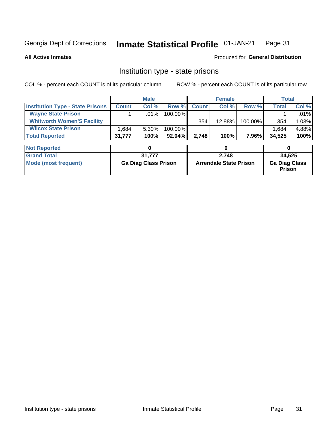#### Inmate Statistical Profile 01-JAN-21 Page 31

**All Active Inmates** 

### Produced for General Distribution

# Institution type - state prisons

COL % - percent each COUNT is of its particular column

|                                         |              | <b>Male</b> |            |              | <b>Female</b> |         |              | Total    |
|-----------------------------------------|--------------|-------------|------------|--------------|---------------|---------|--------------|----------|
| <b>Institution Type - State Prisons</b> | <b>Count</b> | Col %       | Row %      | <b>Count</b> | Col%          | Row %   | <b>Total</b> | Col %    |
| <b>Wayne State Prison</b>               |              | $.01\%$     | $100.00\%$ |              |               |         |              | .01%     |
| <b>Whitworth Women'S Facility</b>       |              |             |            | 354          | 12.88%        | 100.00% | 354          | 1.03%    |
| <b>Wilcox State Prison</b>              | .684         | $5.30\%$    | 100.00%    |              |               |         | 1,684        | $4.88\%$ |
| <b>Total Reported</b>                   | 31,777       | 100%        | $92.04\%$  | 2.748        | 100%          | 7.96%   | 34,525       | 100%     |

| <b>Not Reported</b>  |                             |                               |                                       |
|----------------------|-----------------------------|-------------------------------|---------------------------------------|
| <b>Grand Total</b>   | 31.777                      | 2.748                         | 34,525                                |
| Mode (most frequent) | <b>Ga Diag Class Prison</b> | <b>Arrendale State Prison</b> | <b>Ga Diag Class</b><br><b>Prison</b> |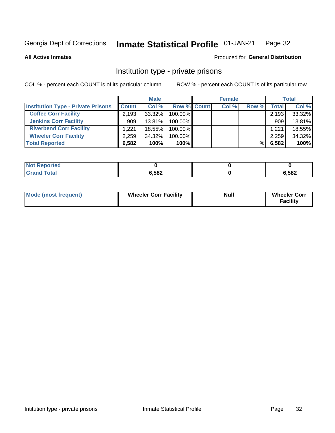#### Inmate Statistical Profile 01-JAN-21 Page 32

**All Active Inmates** 

### Produced for General Distribution

# Institution type - private prisons

COL % - percent each COUNT is of its particular column

|                                           |              | <b>Male</b> |                    | <b>Female</b> |       |                    | <b>Total</b> |
|-------------------------------------------|--------------|-------------|--------------------|---------------|-------|--------------------|--------------|
| <b>Institution Type - Private Prisons</b> | <b>Count</b> | Col %       | <b>Row % Count</b> | Col %         | Row % | Total <sub>1</sub> | Col %        |
| <b>Coffee Corr Facility</b>               | 2.193        | 33.32%      | 100.00%            |               |       | 2,193              | 33.32%       |
| <b>Jenkins Corr Facility</b>              | 909          | $13.81\%$   | $100.00\%$         |               |       | 909                | 13.81%       |
| <b>Riverbend Corr Facility</b>            | 1.221        | 18.55%      | 100.00%            |               |       | 1,221              | 18.55%       |
| <b>Wheeler Corr Facility</b>              | 2.259        | 34.32%      | 100.00%            |               |       | 2,259              | 34.32%       |
| <b>Total Reported</b>                     | 6,582        | 100%        | 100%               |               | %     | 6,582              | 100%         |

| <b>Reported</b><br><b>NOT</b> |       |       |
|-------------------------------|-------|-------|
| <b>Total</b>                  | 6,582 | 6,582 |

| <b>Mode (most frequent)</b> | <b>Wheeler Corr Facility</b> | <b>Null</b> | <b>Wheeler Corr</b><br><b>Facility</b> |
|-----------------------------|------------------------------|-------------|----------------------------------------|
|-----------------------------|------------------------------|-------------|----------------------------------------|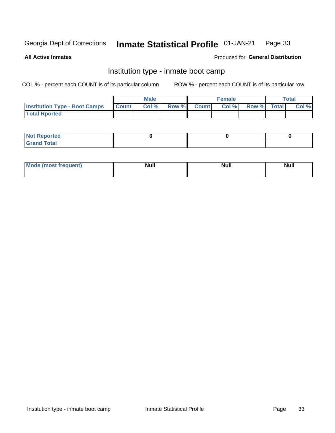#### Inmate Statistical Profile 01-JAN-21 Page 33

**All Active Inmates** 

### Produced for General Distribution

# Institution type - inmate boot camp

COL % - percent each COUNT is of its particular column

|                                      |                  | <b>Male</b> |              |              | <b>Female</b> |             | <b>Total</b> |
|--------------------------------------|------------------|-------------|--------------|--------------|---------------|-------------|--------------|
| <b>Institution Type - Boot Camps</b> | <b>I</b> Count I | Col %       | <b>Row %</b> | <b>Count</b> | Col %         | Row % Total | Col %        |
| <b>Total Rported</b>                 |                  |             |              |              |               |             |              |

| <b>Not Reported</b>            |  |  |
|--------------------------------|--|--|
| <b>Total</b><br>C <sub>r</sub> |  |  |

| Mod<br>uamo | Nul.<br>$- - - - - -$ | <b>Null</b> | . .<br>uu.<br>------ |
|-------------|-----------------------|-------------|----------------------|
|             |                       |             |                      |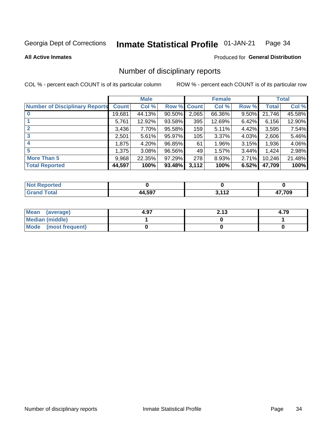#### Inmate Statistical Profile 01-JAN-21 Page 34

**All Active Inmates** 

### Produced for General Distribution

# Number of disciplinary reports

COL % - percent each COUNT is of its particular column

|                                       |              | <b>Male</b> |             |       | <b>Female</b> |       |        | <b>Total</b> |
|---------------------------------------|--------------|-------------|-------------|-------|---------------|-------|--------|--------------|
| <b>Number of Disciplinary Reports</b> | <b>Count</b> | Col %       | Row % Count |       | Col %         | Row % | Total  | Col %        |
| $\bf{0}$                              | 19,681       | 44.13%      | 90.50%      | 2,065 | 66.36%        | 9.50% | 21,746 | 45.58%       |
|                                       | 5,761        | 12.92%      | 93.58%      | 395   | 12.69%        | 6.42% | 6,156  | 12.90%       |
| $\mathbf{2}$                          | 3,436        | 7.70%       | 95.58%      | 159   | 5.11%         | 4.42% | 3,595  | 7.54%        |
| 3                                     | 2,501        | 5.61%       | 95.97%      | 105   | 3.37%         | 4.03% | 2,606  | 5.46%        |
|                                       | 1,875        | 4.20%       | 96.85%      | 61    | 1.96%         | 3.15% | 1,936  | 4.06%        |
| 5                                     | 1,375        | 3.08%       | 96.56%      | 49    | 1.57%         | 3.44% | 1,424  | 2.98%        |
| <b>More Than 5</b>                    | 9,968        | 22.35%      | 97.29%      | 278   | 8.93%         | 2.71% | 10,246 | 21.48%       |
| <b>Total Reported</b>                 | 44,597       | 100%        | 93.48%      | 3,112 | 100%          | 6.52% | 47,709 | 100%         |

| วrted<br>NO. |     |       |        |
|--------------|-----|-------|--------|
| <b>Total</b> | 507 | 2.112 | 17,709 |

| Mean (average)       | 4.97 | つイク<br>2. I J | 4.79 |
|----------------------|------|---------------|------|
| Median (middle)      |      |               |      |
| Mode (most frequent) |      |               |      |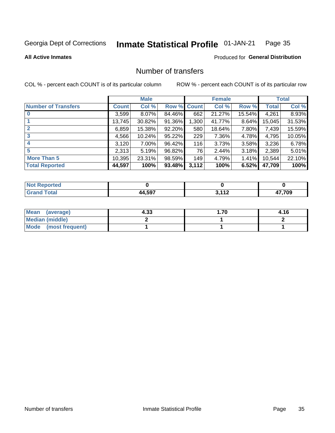#### Inmate Statistical Profile 01-JAN-21 Page 35

**All Active Inmates** 

### **Produced for General Distribution**

# Number of transfers

COL % - percent each COUNT is of its particular column

|                            |         | <b>Male</b> |             |       | <b>Female</b> |        |        | <b>Total</b> |
|----------------------------|---------|-------------|-------------|-------|---------------|--------|--------|--------------|
| <b>Number of Transfers</b> | Count l | Col %       | Row % Count |       | Col %         | Row %  | Total  | Col %        |
|                            | 3,599   | $8.07\%$    | 84.46%      | 662   | 21.27%        | 15.54% | 4,261  | 8.93%        |
|                            | 13,745  | 30.82%      | 91.36%      | 1,300 | 41.77%        | 8.64%  | 15,045 | 31.53%       |
| $\mathbf{2}$               | 6,859   | 15.38%      | 92.20%      | 580   | 18.64%        | 7.80%  | 7,439  | 15.59%       |
| 3                          | 4,566   | 10.24%      | 95.22%      | 229   | 7.36%         | 4.78%  | 4,795  | 10.05%       |
| 4                          | 3,120   | 7.00%       | 96.42%      | 116   | 3.73%         | 3.58%  | 3,236  | 6.78%        |
| 5                          | 2,313   | 5.19%       | 96.82%      | 76    | 2.44%         | 3.18%  | 2,389  | 5.01%        |
| <b>More Than 5</b>         | 10,395  | 23.31%      | 98.59%      | 149   | 4.79%         | 1.41%  | 10,544 | 22.10%       |
| <b>Total Reported</b>      | 44,597  | 100%        | 93.48%      | 3,112 | 100%          | 6.52%  | 47,709 | 100%         |

| orted<br>NO: |            |           |       |
|--------------|------------|-----------|-------|
| <b>Total</b> | 507<br>/ / | 2112<br>. | 7,709 |

| Mean (average)       | 4.33 | . 70. . | 4.16 |
|----------------------|------|---------|------|
| Median (middle)      |      |         |      |
| Mode (most frequent) |      |         |      |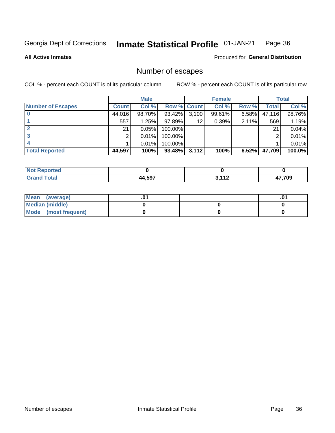#### Inmate Statistical Profile 01-JAN-21 Page 36

**All Active Inmates** 

### Produced for General Distribution

# Number of escapes

COL % - percent each COUNT is of its particular column

|                          |              | <b>Male</b> |             |       | <b>Female</b> |          |        | <b>Total</b> |
|--------------------------|--------------|-------------|-------------|-------|---------------|----------|--------|--------------|
| <b>Number of Escapes</b> | <b>Count</b> | Col %       | Row % Count |       | Col %         | Row %    | Total  | Col %        |
|                          | 44,016       | 98.70%      | 93.42%      | 3,100 | 99.61%        | $6.58\%$ | 47,116 | 98.76%       |
|                          | 557          | 1.25%       | 97.89%      | 12    | 0.39%         | 2.11%    | 569    | 1.19%        |
|                          | 21           | 0.05%       | 100.00%     |       |               |          | 21     | 0.04%        |
|                          | っ            | 0.01%       | 100.00%     |       |               |          | ◠      | $0.01\%$     |
|                          |              | 0.01%       | 100.00%     |       |               |          |        | $0.01\%$     |
| <b>Total Reported</b>    | 44,597       | 100%        | 93.48%      | 3,112 | 100%          | 6.52%    | 47,709 | 100.0%       |

| <b>Not Reported</b> |        |       |        |
|---------------------|--------|-------|--------|
| <b>Grand Total</b>  | 44,597 | 2.442 | 17,709 |

| Mean (average)         |  | .0 <sup>4</sup> |
|------------------------|--|-----------------|
| <b>Median (middle)</b> |  |                 |
| Mode (most frequent)   |  |                 |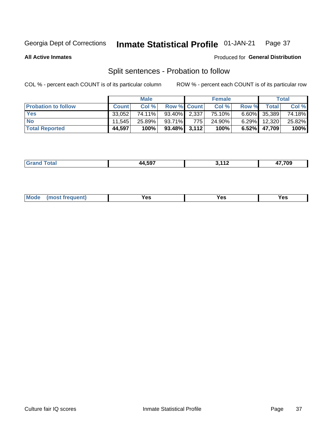#### Inmate Statistical Profile 01-JAN-21 Page 37

**All Active Inmates** 

### Produced for General Distribution

# Split sentences - Probation to follow

COL % - percent each COUNT is of its particular column

|                            |              | <b>Male</b> |                    |     | <b>Female</b> |          |                 | <b>Total</b> |
|----------------------------|--------------|-------------|--------------------|-----|---------------|----------|-----------------|--------------|
| <b>Probation to follow</b> | <b>Count</b> | Col%        | <b>Row % Count</b> |     | Col %         | Row %    | Total           | Col %        |
| <b>Yes</b>                 | 33.052       | 74.11%      | $93.40\%$ 2.337    |     | 75.10%        |          | $6.60\%$ 35,389 | 74.18%       |
| <b>No</b>                  | 11.545       | 25.89%      | 93.71%             | 775 | 24.90%        | $6.29\%$ | 12,320          | 25.82%       |
| <b>Total Reported</b>      | 44,597       | 100%        | $93.48\%$ 3,112    |     | 100%          |          | $6.52\%$ 47,709 | 100%         |

| $\overline{\phantom{a}}$ | 110<br>$\overline{\phantom{0}}$ | 7.709<br>- - |
|--------------------------|---------------------------------|--------------|
|                          |                                 |              |

| $Moo$<br>requent<br>′es<br>Yes<br><b>YAC</b><br>. |
|---------------------------------------------------|
|---------------------------------------------------|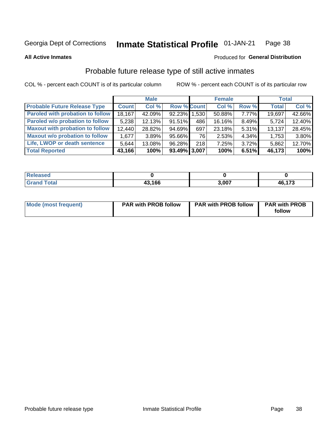**All Active Inmates** 

### **Inmate Statistical Profile 01-JAN-21** Page 38

### Produced for General Distribution

# Probable future release type of still active inmates

COL % - percent each COUNT is of its particular column

|                                         |              | <b>Male</b> |              |     | <b>Female</b> |          | Total        |        |
|-----------------------------------------|--------------|-------------|--------------|-----|---------------|----------|--------------|--------|
| <b>Probable Future Release Type</b>     | <b>Count</b> | Col %       | Row % Count  |     | Col%          | Row %    | <b>Total</b> | Col %  |
| <b>Paroled with probation to follow</b> | 18,167       | 42.09%      | 92.23% 1.530 |     | 50.88%        | 7.77%    | 19,697       | 42.66% |
| Paroled w/o probation to follow         | 5,238        | 12.13%      | 91.51%       | 486 | 16.16%        | $8.49\%$ | 5,724        | 12.40% |
| <b>Maxout with probation to follow</b>  | 12,440       | 28.82%      | 94.69%       | 697 | 23.18%        | 5.31%    | 13,137       | 28.45% |
| <b>Maxout w/o probation to follow</b>   | 1,677        | 3.89%       | 95.66%       | 761 | 2.53%         | $4.34\%$ | 1,753        | 3.80%  |
| Life, LWOP or death sentence            | 5.644        | 13.08%      | 96.28%       | 218 | 7.25%         | $3.72\%$ | 5,862        | 12.70% |
| <b>Total Reported</b>                   | 43,166       | 100%        | 93.49% 3.007 |     | 100%          | 6.51%    | 46,173       | 100%   |

| eleased |        |       |              |
|---------|--------|-------|--------------|
| 'otal   | 43,166 | 3.007 | 46 173<br>נ. |

| Mode (most frequent) | <b>PAR with PROB follow</b> | <b>PAR with PROB follow</b> | <b>PAR with PROB</b> |  |
|----------------------|-----------------------------|-----------------------------|----------------------|--|
|                      |                             |                             | follow               |  |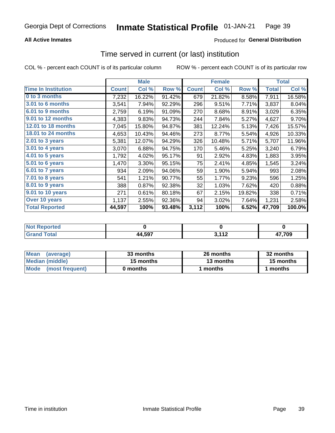## **All Active Inmates**

## Produced for General Distribution

## Time served in current (or last) institution

COL % - percent each COUNT is of its particular column

|                            | <b>Male</b>  |        |        | <b>Female</b> |        |        | <b>Total</b> |        |
|----------------------------|--------------|--------|--------|---------------|--------|--------|--------------|--------|
| <b>Time In Institution</b> | <b>Count</b> | Col %  | Row %  | <b>Count</b>  | Col %  | Row %  | <b>Total</b> | Col %  |
| 0 to 3 months              | 7,232        | 16.22% | 91.42% | 679           | 21.82% | 8.58%  | 7,911        | 16.58% |
| 3.01 to 6 months           | 3,541        | 7.94%  | 92.29% | 296           | 9.51%  | 7.71%  | 3,837        | 8.04%  |
| 6.01 to 9 months           | 2,759        | 6.19%  | 91.09% | 270           | 8.68%  | 8.91%  | 3,029        | 6.35%  |
| 9.01 to 12 months          | 4,383        | 9.83%  | 94.73% | 244           | 7.84%  | 5.27%  | 4,627        | 9.70%  |
| 12.01 to 18 months         | 7,045        | 15.80% | 94.87% | 381           | 12.24% | 5.13%  | 7,426        | 15.57% |
| <b>18.01 to 24 months</b>  | 4,653        | 10.43% | 94.46% | 273           | 8.77%  | 5.54%  | 4,926        | 10.33% |
| 2.01 to 3 years            | 5,381        | 12.07% | 94.29% | 326           | 10.48% | 5.71%  | 5,707        | 11.96% |
| 3.01 to 4 years            | 3,070        | 6.88%  | 94.75% | 170           | 5.46%  | 5.25%  | 3,240        | 6.79%  |
| $4.01$ to 5 years          | 1,792        | 4.02%  | 95.17% | 91            | 2.92%  | 4.83%  | 1,883        | 3.95%  |
| 5.01 to 6 years            | 1,470        | 3.30%  | 95.15% | 75            | 2.41%  | 4.85%  | 1,545        | 3.24%  |
| $6.01$ to 7 years          | 934          | 2.09%  | 94.06% | 59            | 1.90%  | 5.94%  | 993          | 2.08%  |
| 7.01 to 8 years            | 541          | 1.21%  | 90.77% | 55            | 1.77%  | 9.23%  | 596          | 1.25%  |
| $8.01$ to 9 years          | 388          | 0.87%  | 92.38% | 32            | 1.03%  | 7.62%  | 420          | 0.88%  |
| 9.01 to 10 years           | 271          | 0.61%  | 80.18% | 67            | 2.15%  | 19.82% | 338          | 0.71%  |
| Over 10 years              | 1,137        | 2.55%  | 92.36% | 94            | 3.02%  | 7.64%  | 1,231        | 2.58%  |
| <b>Total Reported</b>      | 44,597       | 100%   | 93.48% | 3,112         | 100%   | 6.52%  | 47,709       | 100.0% |

| <b>Penorted</b><br><b>Not</b> |        |                                 |       |
|-------------------------------|--------|---------------------------------|-------|
| intal                         | 44,597 | $\overline{44}$<br>. . <u>.</u> | 7,709 |

| <b>Mean</b><br>(average) | 33 months | 26 months | 32 months |
|--------------------------|-----------|-----------|-----------|
| Median (middle)          | 15 months | 13 months | 15 months |
| Mode (most frequent)     | 0 months  | l months  | months    |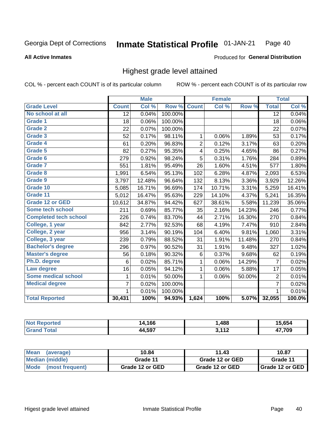### **All Active Inmates**

### Produced for General Distribution

# Highest grade level attained

COL % - percent each COUNT is of its particular column

|                              |                 | <b>Male</b> |         |                | <b>Female</b> |        |                 | <b>Total</b> |
|------------------------------|-----------------|-------------|---------|----------------|---------------|--------|-----------------|--------------|
| <b>Grade Level</b>           | <b>Count</b>    | Col %       | Row %   | <b>Count</b>   | Col %         | Row %  | <b>Total</b>    | Col %        |
| No school at all             | $\overline{12}$ | 0.04%       | 100.00% |                |               |        | $\overline{12}$ | 0.04%        |
| <b>Grade 1</b>               | 18              | 0.06%       | 100.00% |                |               |        | 18              | 0.06%        |
| <b>Grade 2</b>               | 22              | 0.07%       | 100.00% |                |               |        | 22              | 0.07%        |
| Grade 3                      | 52              | 0.17%       | 98.11%  | $\mathbf{1}$   | 0.06%         | 1.89%  | 53              | 0.17%        |
| <b>Grade 4</b>               | 61              | 0.20%       | 96.83%  | $\overline{2}$ | 0.12%         | 3.17%  | 63              | 0.20%        |
| Grade 5                      | 82              | 0.27%       | 95.35%  | 4              | 0.25%         | 4.65%  | 86              | 0.27%        |
| Grade 6                      | 279             | 0.92%       | 98.24%  | $\overline{5}$ | 0.31%         | 1.76%  | 284             | 0.89%        |
| <b>Grade 7</b>               | 551             | 1.81%       | 95.49%  | 26             | 1.60%         | 4.51%  | 577             | 1.80%        |
| Grade 8                      | 1,991           | 6.54%       | 95.13%  | 102            | 6.28%         | 4.87%  | 2,093           | 6.53%        |
| Grade 9                      | 3,797           | 12.48%      | 96.64%  | 132            | 8.13%         | 3.36%  | 3,929           | 12.26%       |
| Grade 10                     | 5,085           | 16.71%      | 96.69%  | 174            | 10.71%        | 3.31%  | 5,259           | 16.41%       |
| Grade 11                     | 5,012           | 16.47%      | 95.63%  | 229            | 14.10%        | 4.37%  | 5,241           | 16.35%       |
| <b>Grade 12 or GED</b>       | 10,612          | 34.87%      | 94.42%  | 627            | 38.61%        | 5.58%  | 11,239          | 35.06%       |
| <b>Some tech school</b>      | 211             | 0.69%       | 85.77%  | 35             | 2.16%         | 14.23% | 246             | 0.77%        |
| <b>Completed tech school</b> | 226             | 0.74%       | 83.70%  | 44             | 2.71%         | 16.30% | 270             | 0.84%        |
| College, 1 year              | 842             | 2.77%       | 92.53%  | 68             | 4.19%         | 7.47%  | 910             | 2.84%        |
| College, 2 year              | 956             | 3.14%       | 90.19%  | 104            | 6.40%         | 9.81%  | 1,060           | 3.31%        |
| College, 3 year              | 239             | 0.79%       | 88.52%  | 31             | 1.91%         | 11.48% | 270             | 0.84%        |
| <b>Bachelor's degree</b>     | 296             | 0.97%       | 90.52%  | 31             | 1.91%         | 9.48%  | 327             | 1.02%        |
| <b>Master's degree</b>       | 56              | 0.18%       | 90.32%  | $\,6$          | 0.37%         | 9.68%  | 62              | 0.19%        |
| Ph.D. degree                 | 6               | 0.02%       | 85.71%  | 1              | 0.06%         | 14.29% | $\overline{7}$  | 0.02%        |
| Law degree                   | 16              | 0.05%       | 94.12%  | $\mathbf{1}$   | 0.06%         | 5.88%  | 17              | 0.05%        |
| <b>Some medical school</b>   | 1               | 0.01%       | 50.00%  | 1              | 0.06%         | 50.00% | $\overline{2}$  | 0.01%        |
| <b>Medical degree</b>        | 7               | 0.02%       | 100.00% |                |               |        | 7               | 0.02%        |
|                              | 1               | 0.01%       | 100.00% |                |               |        | 1               | 0.01%        |
| <b>Total Reported</b>        | 30,431          | 100%        | 94.93%  | 1,624          | 100%          | 5.07%  | 32,055          | 100.0%       |

| .166<br>1 Л               | .488                 | $T$ of $\ell$<br>.കെ |
|---------------------------|----------------------|----------------------|
| 4 5Q7<br>$\cdot$ $\prime$ | 2442<br>. . <b>.</b> | 700                  |

| <b>Mean</b><br>(average) | 10.84           | 11.43           | 10.87           |
|--------------------------|-----------------|-----------------|-----------------|
| Median (middle)          | Grade 11        | Grade 12 or GED | Grade 11        |
| Mode<br>(most frequent)  | Grade 12 or GED | Grade 12 or GED | Grade 12 or GED |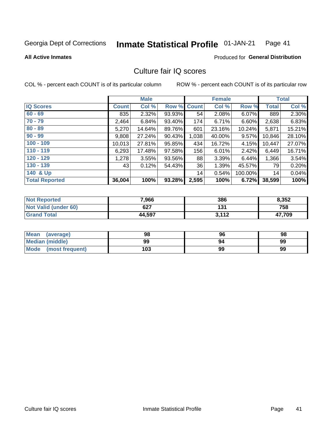### Inmate Statistical Profile 01-JAN-21 Page 41

### **All Active Inmates**

### **Produced for General Distribution**

# Culture fair IQ scores

COL % - percent each COUNT is of its particular column

|                       |              | <b>Male</b> |        |              | <b>Female</b> |           |              | <b>Total</b> |
|-----------------------|--------------|-------------|--------|--------------|---------------|-----------|--------------|--------------|
| <b>IQ Scores</b>      | <b>Count</b> | Col %       | Row %  | <b>Count</b> | Col %         | Row %     | <b>Total</b> | Col %        |
| $60 - 69$             | 835          | 2.32%       | 93.93% | 54           | 2.08%         | $6.07\%$  | 889          | 2.30%        |
| $70 - 79$             | 2,464        | 6.84%       | 93.40% | 174          | 6.71%         | $6.60\%$  | 2,638        | 6.83%        |
| $80 - 89$             | 5,270        | 14.64%      | 89.76% | 601          | 23.16%        | $10.24\%$ | 5,871        | 15.21%       |
| $90 - 99$             | 9,808        | 27.24%      | 90.43% | 1,038        | 40.00%        | $9.57\%$  | 10,846       | 28.10%       |
| $100 - 109$           | 10,013       | 27.81%      | 95.85% | 434          | 16.72%        | 4.15%     | 10,447       | 27.07%       |
| $110 - 119$           | 6,293        | 17.48%      | 97.58% | 156          | 6.01%         | 2.42%     | 6,449        | 16.71%       |
| $120 - 129$           | 1,278        | 3.55%       | 93.56% | 88           | 3.39%         | 6.44%     | 1,366        | 3.54%        |
| $130 - 139$           | 43           | 0.12%       | 54.43% | 36           | 1.39%         | 45.57%    | 79           | 0.20%        |
| 140 & Up              |              |             |        | 14           | 0.54%         | 100.00%   | 14           | 0.04%        |
| <b>Total Reported</b> | 36,004       | 100%        | 93.28% | 2,595        | 100%          | 6.72%     | 38,599       | 100%         |

| <b>Not Reported</b>         | 7,966  | 386   | 8,352  |
|-----------------------------|--------|-------|--------|
| <b>Not Valid (under 60)</b> | 627    | 131   | 758    |
| <b>Grand Total</b>          | 44,597 | 3,112 | 47,709 |

| <b>Mean</b><br>(average) | 98  | 96 | 98 |
|--------------------------|-----|----|----|
| Median (middle)          | 99  | 94 | 99 |
| Mode<br>(most frequent)  | 103 | 99 | 99 |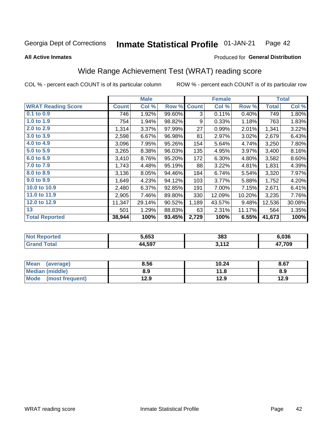### **Inmate Statistical Profile 01-JAN-21** Page 42

Produced for General Distribution

### **All Active Inmates**

# Wide Range Achievement Test (WRAT) reading score

COL % - percent each COUNT is of its particular column

|                           |              | <b>Male</b> |        |              | <b>Female</b> |        |              | <b>Total</b> |
|---------------------------|--------------|-------------|--------|--------------|---------------|--------|--------------|--------------|
| <b>WRAT Reading Score</b> | <b>Count</b> | Col %       | Row %  | <b>Count</b> | Col %         | Row %  | <b>Total</b> | Col %        |
| 0.1 to 0.9                | 746          | 1.92%       | 99.60% | 3            | 0.11%         | 0.40%  | 749          | 1.80%        |
| 1.0 to 1.9                | 754          | 1.94%       | 98.82% | 9            | 0.33%         | 1.18%  | 763          | 1.83%        |
| 2.0 to 2.9                | 1,314        | 3.37%       | 97.99% | 27           | 0.99%         | 2.01%  | 1,341        | 3.22%        |
| 3.0 to 3.9                | 2,598        | 6.67%       | 96.98% | 81           | 2.97%         | 3.02%  | 2,679        | 6.43%        |
| 4.0 to 4.9                | 3,096        | 7.95%       | 95.26% | 154          | 5.64%         | 4.74%  | 3,250        | 7.80%        |
| 5.0 to 5.9                | 3,265        | 8.38%       | 96.03% | 135          | 4.95%         | 3.97%  | 3,400        | 8.16%        |
| 6.0 to 6.9                | 3,410        | 8.76%       | 95.20% | 172          | 6.30%         | 4.80%  | 3,582        | 8.60%        |
| 7.0 to 7.9                | 1,743        | 4.48%       | 95.19% | 88           | 3.22%         | 4.81%  | 1,831        | 4.39%        |
| 8.0 to 8.9                | 3,136        | 8.05%       | 94.46% | 184          | 6.74%         | 5.54%  | 3,320        | 7.97%        |
| 9.0 to 9.9                | 1,649        | 4.23%       | 94.12% | 103          | 3.77%         | 5.88%  | 1,752        | 4.20%        |
| 10.0 to 10.9              | 2,480        | 6.37%       | 92.85% | 191          | 7.00%         | 7.15%  | 2,671        | 6.41%        |
| 11.0 to 11.9              | 2,905        | 7.46%       | 89.80% | 330          | 12.09%        | 10.20% | 3,235        | 7.76%        |
| 12.0 to 12.9              | 11,347       | 29.14%      | 90.52% | 1,189        | 43.57%        | 9.48%  | 12,536       | 30.08%       |
| 13                        | 501          | 1.29%       | 88.83% | 63           | 2.31%         | 11.17% | 564          | 1.35%        |
| <b>Total Reported</b>     | 38,944       | 100%        | 93.45% | 2,729        | 100%          | 6.55%  | 41,673       | 100%         |

| тес.<br>NO | 5,653                | 383               | 6.036  |
|------------|----------------------|-------------------|--------|
| int        | <i>.</i> 4,597<br>лл | <b>.</b><br>I I 4 | 17,709 |

| <b>Mean</b><br>(average) | 8.56 | 10.24 | 8.67 |
|--------------------------|------|-------|------|
| Median (middle)          | 8.9  | 11.8  | 8.9  |
| Mode (most frequent)     | 12.9 | 12.9  | 12.9 |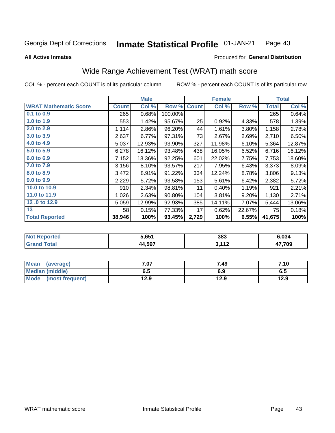### **Inmate Statistical Profile 01-JAN-21** Page 43

**All Active Inmates** 

### Produced for General Distribution

# Wide Range Achievement Test (WRAT) math score

COL % - percent each COUNT is of its particular column

|                              |              | <b>Male</b> |         |              | <b>Female</b> |        |              | <b>Total</b> |
|------------------------------|--------------|-------------|---------|--------------|---------------|--------|--------------|--------------|
| <b>WRAT Mathematic Score</b> | <b>Count</b> | Col %       | Row %   | <b>Count</b> | Col %         | Row %  | <b>Total</b> | Col %        |
| $0.1$ to $0.9$               | 265          | 0.68%       | 100.00% |              |               |        | 265          | 0.64%        |
| 1.0 to 1.9                   | 553          | 1.42%       | 95.67%  | 25           | 0.92%         | 4.33%  | 578          | 1.39%        |
| 2.0 to 2.9                   | 1,114        | 2.86%       | 96.20%  | 44           | 1.61%         | 3.80%  | 1,158        | 2.78%        |
| 3.0 to 3.9                   | 2,637        | 6.77%       | 97.31%  | 73           | 2.67%         | 2.69%  | 2,710        | 6.50%        |
| 4.0 to 4.9                   | 5,037        | 12.93%      | 93.90%  | 327          | 11.98%        | 6.10%  | 5,364        | 12.87%       |
| 5.0 to 5.9                   | 6,278        | 16.12%      | 93.48%  | 438          | 16.05%        | 6.52%  | 6,716        | 16.12%       |
| 6.0 to 6.9                   | 7,152        | 18.36%      | 92.25%  | 601          | 22.02%        | 7.75%  | 7,753        | 18.60%       |
| 7.0 to 7.9                   | 3,156        | 8.10%       | 93.57%  | 217          | 7.95%         | 6.43%  | 3,373        | 8.09%        |
| 8.0 to 8.9                   | 3,472        | 8.91%       | 91.22%  | 334          | 12.24%        | 8.78%  | 3,806        | 9.13%        |
| 9.0 to 9.9                   | 2,229        | 5.72%       | 93.58%  | 153          | 5.61%         | 6.42%  | 2,382        | 5.72%        |
| 10.0 to 10.9                 | 910          | 2.34%       | 98.81%  | 11           | 0.40%         | 1.19%  | 921          | 2.21%        |
| 11.0 to 11.9                 | 1,026        | 2.63%       | 90.80%  | 104          | 3.81%         | 9.20%  | 1,130        | 2.71%        |
| 12.0 to 12.9                 | 5,059        | 12.99%      | 92.93%  | 385          | 14.11%        | 7.07%  | 5,444        | 13.06%       |
| 13                           | 58           | 0.15%       | 77.33%  | 17           | 0.62%         | 22.67% | 75           | 0.18%        |
| <b>Total Reported</b>        | 38,946       | 100%        | 93.45%  | 2,729        | 100%          | 6.55%  | 41,675       | 100%         |

| <b>Not</b><br><b>Reported</b> | 5,651              | 383                     | 6,034 |
|-------------------------------|--------------------|-------------------------|-------|
| <b>otal</b>                   | 4,597<br><i>лл</i> | 2112<br><b>14</b><br>v. | 7,709 |

| <b>Mean</b><br>(average)       | $^{\circ}$ .07 | 7.49 | 7.10 |
|--------------------------------|----------------|------|------|
| Median (middle)                | 6.5            | 6.9  | ს.ე  |
| <b>Mode</b><br>(most frequent) | 12.9           | 12.9 | 12.9 |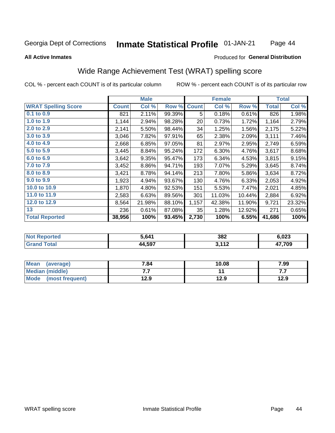### Inmate Statistical Profile 01-JAN-21 Page 44

### **All Active Inmates**

## Produced for General Distribution

# Wide Range Achievement Test (WRAT) spelling score

COL % - percent each COUNT is of its particular column

|                            |              | <b>Male</b> |        |              | <b>Female</b> |        |              | <b>Total</b> |
|----------------------------|--------------|-------------|--------|--------------|---------------|--------|--------------|--------------|
| <b>WRAT Spelling Score</b> | <b>Count</b> | Col %       | Row %  | <b>Count</b> | Col %         | Row %  | <b>Total</b> | Col %        |
| $0.1$ to $0.9$             | 821          | 2.11%       | 99.39% | 5            | 0.18%         | 0.61%  | 826          | 1.98%        |
| 1.0 to 1.9                 | 1,144        | 2.94%       | 98.28% | 20           | 0.73%         | 1.72%  | 1,164        | 2.79%        |
| 2.0 to 2.9                 | 2,141        | 5.50%       | 98.44% | 34           | 1.25%         | 1.56%  | 2,175        | 5.22%        |
| 3.0 to 3.9                 | 3,046        | 7.82%       | 97.91% | 65           | 2.38%         | 2.09%  | 3,111        | 7.46%        |
| 4.0 to 4.9                 | 2,668        | 6.85%       | 97.05% | 81           | 2.97%         | 2.95%  | 2,749        | 6.59%        |
| 5.0 to 5.9                 | 3,445        | 8.84%       | 95.24% | 172          | 6.30%         | 4.76%  | 3,617        | 8.68%        |
| 6.0 to 6.9                 | 3,642        | 9.35%       | 95.47% | 173          | 6.34%         | 4.53%  | 3,815        | 9.15%        |
| 7.0 to 7.9                 | 3,452        | 8.86%       | 94.71% | 193          | 7.07%         | 5.29%  | 3,645        | 8.74%        |
| 8.0 to 8.9                 | 3,421        | 8.78%       | 94.14% | 213          | 7.80%         | 5.86%  | 3,634        | 8.72%        |
| 9.0 to 9.9                 | 1,923        | 4.94%       | 93.67% | 130          | 4.76%         | 6.33%  | 2,053        | 4.92%        |
| 10.0 to 10.9               | 1,870        | 4.80%       | 92.53% | 151          | 5.53%         | 7.47%  | 2,021        | 4.85%        |
| 11.0 to 11.9               | 2,583        | 6.63%       | 89.56% | 301          | 11.03%        | 10.44% | 2,884        | 6.92%        |
| 12.0 to 12.9               | 8,564        | 21.98%      | 88.10% | 1,157        | 42.38%        | 11.90% | 9,721        | 23.32%       |
| 13                         | 236          | 0.61%       | 87.08% | 35           | 1.28%         | 12.92% | 271          | 0.65%        |
| <b>Total Reported</b>      | 38,956       | 100%        | 93.45% | 2,730        | 100%          | 6.55%  | 41,686       | 100%         |

| <b>nted</b><br>NO. | ፣ 641        | 382                  | 6.023 |
|--------------------|--------------|----------------------|-------|
| T <sub>1</sub>     | 44,597<br>аа | 2412<br>$\sim$<br>◡. | 7,709 |

| <b>Mean</b><br>(average) | 7.84 | 10.08 | 7.99 |
|--------------------------|------|-------|------|
| Median (middle)          | .    |       | .    |
| Mode (most frequent)     | 12.9 | 12.9  | 12.9 |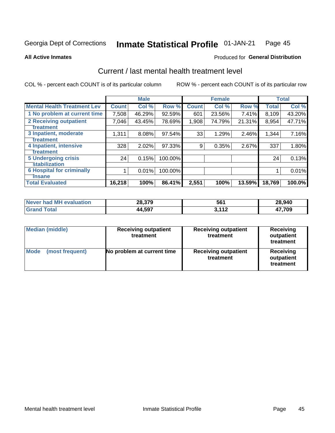#### Inmate Statistical Profile 01-JAN-21 Page 45

**All Active Inmates** 

## **Produced for General Distribution**

# Current / last mental health treatment level

COL % - percent each COUNT is of its particular column

|                                    |              | <b>Male</b> |         |              | <b>Female</b> |        |              | <b>Total</b> |
|------------------------------------|--------------|-------------|---------|--------------|---------------|--------|--------------|--------------|
| <b>Mental Health Treatment Lev</b> | <b>Count</b> | Col %       | Row %   | <b>Count</b> | Col %         | Row %  | <b>Total</b> | Col %        |
| 1 No problem at current time       | 7,508        | 46.29%      | 92.59%  | 601          | 23.56%        | 7.41%  | 8,109        | 43.20%       |
| 2 Receiving outpatient             | 7,046        | 43.45%      | 78.69%  | 1,908        | 74.79%        | 21.31% | 8,954        | 47.71%       |
| <b>Treatment</b>                   |              |             |         |              |               |        |              |              |
| 3 Inpatient, moderate              | 1,311        | 8.08%       | 97.54%  | 33           | 1.29%         | 2.46%  | 1,344        | 7.16%        |
| <b>Treatment</b>                   |              |             |         |              |               |        |              |              |
| 4 Inpatient, intensive             | 328          | 2.02%       | 97.33%  | 9            | 0.35%         | 2.67%  | 337          | 1.80%        |
| <b>Treatment</b>                   |              |             |         |              |               |        |              |              |
| <b>5 Undergoing crisis</b>         | 24           | 0.15%       | 100.00% |              |               |        | 24           | 0.13%        |
| <b>stabilization</b>               |              |             |         |              |               |        |              |              |
| <b>6 Hospital for criminally</b>   |              | 0.01%       | 100.00% |              |               |        |              | 0.01%        |
| <b>Tinsane</b>                     |              |             |         |              |               |        |              |              |
| <b>Total Evaluated</b>             | 16,218       | 100%        | 86.41%  | 2,551        | 100%          | 13.59% | 18,769       | 100.0%       |

| Never had MH evaluation | 28,379 | 561    | 28,940 |
|-------------------------|--------|--------|--------|
| $\mathsf{Total}$        | 44,597 | $-112$ | 17,709 |

| <b>Median (middle)</b>         | <b>Receiving outpatient</b><br>treatment | <b>Receiving outpatient</b><br>treatment | <b>Receiving</b><br>outpatient<br>treatment |  |  |
|--------------------------------|------------------------------------------|------------------------------------------|---------------------------------------------|--|--|
| <b>Mode</b><br>(most frequent) | No problem at current time               | <b>Receiving outpatient</b><br>treatment | Receiving<br>outpatient<br>treatment        |  |  |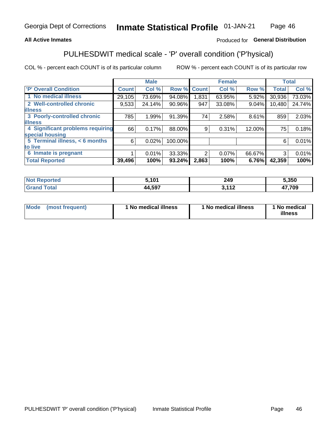## **All Active Inmates**

## Produced for General Distribution

# PULHESDWIT medical scale - 'P' overall condition ('P'hysical)

COL % - percent each COUNT is of its particular column

|                                  |              | <b>Male</b> |         |              | <b>Female</b> |        |              | <b>Total</b> |
|----------------------------------|--------------|-------------|---------|--------------|---------------|--------|--------------|--------------|
| 'P' Overall Condition            | <b>Count</b> | Col %       | Row %   | <b>Count</b> | Col %         | Row %  | <b>Total</b> | Col %        |
| 1 No medical illness             | 29,105       | 73.69%      | 94.08%  | 1.831        | 63.95%        | 5.92%  | 30,936       | 73.03%       |
| 2 Well-controlled chronic        | 9,533        | 24.14%      | 90.96%  | 947          | 33.08%        | 9.04%  | 10,480       | 24.74%       |
| <b>illness</b>                   |              |             |         |              |               |        |              |              |
| 3 Poorly-controlled chronic      | 785          | 1.99%       | 91.39%  | 74           | 2.58%         | 8.61%  | 859          | 2.03%        |
| <b>illness</b>                   |              |             |         |              |               |        |              |              |
| 4 Significant problems requiring | 66           | 0.17%       | 88.00%  | 9            | 0.31%         | 12.00% | 75           | 0.18%        |
| special housing                  |              |             |         |              |               |        |              |              |
| 5 Terminal illness, < 6 months   | 6            | 0.02%       | 100.00% |              |               |        | 6            | 0.01%        |
| to live                          |              |             |         |              |               |        |              |              |
| 6 Inmate is pregnant             |              | 0.01%       | 33.33%  | າ            | $0.07\%$      | 66.67% | 3            | 0.01%        |
| <b>Total Reported</b>            | 39,496       | 100%        | 93.24%  | 2,863        | 100%          | 6.76%  | 42,359       | 100%         |

| neo | 5.101 | 249        | 5.350      |
|-----|-------|------------|------------|
|     | 1.507 | 113<br>. . | , ,,,<br>v |

| Mode | (most frequent) | 1 No medical illness | 1 No medical illness | 1 No medical<br>illness |
|------|-----------------|----------------------|----------------------|-------------------------|
|------|-----------------|----------------------|----------------------|-------------------------|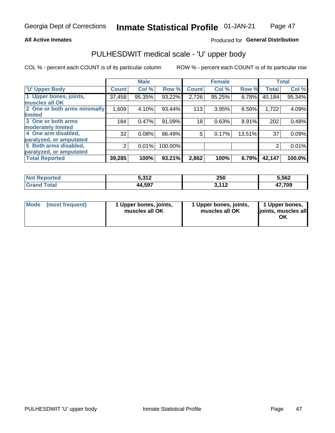### **All Active Inmates**

## Produced for General Distribution

# PULHESDWIT medical scale - 'U' upper body

COL % - percent each COUNT is of its particular column

|                              |              | <b>Male</b> |         |              | <b>Female</b> |        |              | <b>Total</b> |
|------------------------------|--------------|-------------|---------|--------------|---------------|--------|--------------|--------------|
| <b>U' Upper Body</b>         | <b>Count</b> | Col %       | Row %   | <b>Count</b> | Col %         | Row %  | <b>Total</b> | Col %        |
| 1 Upper bones, joints,       | 37,458       | 95.35%      | 93.22%  | 2,726        | 95.25%        | 6.78%  | 40,184       | 95.34%       |
| muscles all OK               |              |             |         |              |               |        |              |              |
| 2 One or both arms minimally | 1,609        | 4.10%       | 93.44%  | 113          | 3.95%         | 6.56%  | 1,722        | 4.09%        |
| limited                      |              |             |         |              |               |        |              |              |
| 3 One or both arms           | 184          | 0.47%       | 91.09%  | 18           | 0.63%         | 8.91%  | 202          | 0.48%        |
| <b>moderately limited</b>    |              |             |         |              |               |        |              |              |
| 4 One arm disabled,          | 32           | 0.08%       | 86.49%  | 5            | 0.17%         | 13.51% | 37           | 0.09%        |
| paralyzed, or amputated      |              |             |         |              |               |        |              |              |
| 5 Both arms disabled,        | 2            | 0.01%       | 100.00% |              |               |        | 2            | 0.01%        |
| paralyzed, or amputated      |              |             |         |              |               |        |              |              |
| <b>Total Reported</b>        | 39,285       | 100%        | 93.21%  | 2,862        | 100%          | 6.79%  | 42,147       | 100.0%       |

| <b>Not Reported</b>          | こ つ 4 つ<br>J.J IZ | 250      | 5,562  |
|------------------------------|-------------------|----------|--------|
| <b>Total</b><br><b>Grand</b> | 44,597            | 111<br>. | 17,709 |

|  | Mode (most frequent) | 1 Upper bones, joints,<br>muscles all OK | 1 Upper bones, joints,<br>muscles all OK | 1 Upper bones,<br>ljoints, muscles all<br>ОK |
|--|----------------------|------------------------------------------|------------------------------------------|----------------------------------------------|
|--|----------------------|------------------------------------------|------------------------------------------|----------------------------------------------|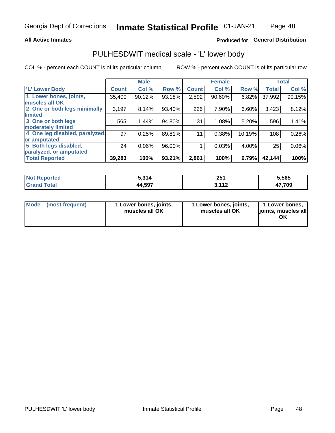### **All Active Inmates**

## Produced for General Distribution

# PULHESDWIT medical scale - 'L' lower body

COL % - percent each COUNT is of its particular column

|                                |              | <b>Male</b> |        |              | <b>Female</b> |        |              | <b>Total</b> |
|--------------------------------|--------------|-------------|--------|--------------|---------------|--------|--------------|--------------|
| 'L' Lower Body                 | <b>Count</b> | Col %       | Row %  | <b>Count</b> | Col %         | Row %  | <b>Total</b> | Col %        |
| 1 Lower bones, joints,         | 35,400       | 90.12%      | 93.18% | 2,592        | 90.60%        | 6.82%  | 37,992       | 90.15%       |
| muscles all OK                 |              |             |        |              |               |        |              |              |
| 2 One or both legs minimally   | 3,197        | 8.14%       | 93.40% | 226          | 7.90%         | 6.60%  | 3,423        | 8.12%        |
| limited                        |              |             |        |              |               |        |              |              |
| 3 One or both legs             | 565          | 1.44%       | 94.80% | 31           | 1.08%         | 5.20%  | 596          | 1.41%        |
| moderately limited             |              |             |        |              |               |        |              |              |
| 4 One leg disabled, paralyzed, | 97           | 0.25%       | 89.81% | 11           | 0.38%         | 10.19% | 108          | 0.26%        |
| or amputated                   |              |             |        |              |               |        |              |              |
| 5 Both legs disabled,          | 24           | 0.06%       | 96.00% |              | 0.03%         | 4.00%  | 25           | 0.06%        |
| paralyzed, or amputated        |              |             |        |              |               |        |              |              |
| <b>Total Reported</b>          | 39,283       | 100%        | 93.21% | 2,861        | 100%          | 6.79%  | 42,144       | 100%         |

| <b>Not Reported</b>          | 5,314  | クロイ<br>ZJ I | 5,565  |
|------------------------------|--------|-------------|--------|
| <b>Total</b><br><b>Grand</b> | 44,597 | 111<br>.    | 17,709 |

|  | Mode (most frequent) | 1 Lower bones, joints,<br>muscles all OK | 1 Lower bones, joints,<br>muscles all OK | 1 Lower bones,<br>joints, muscles all<br>ΟK |
|--|----------------------|------------------------------------------|------------------------------------------|---------------------------------------------|
|--|----------------------|------------------------------------------|------------------------------------------|---------------------------------------------|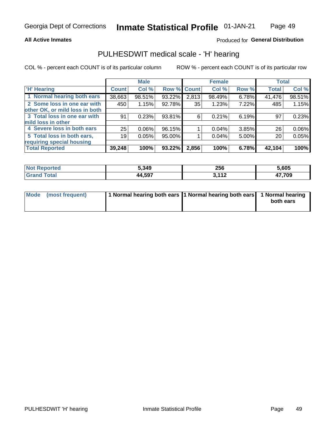### **All Active Inmates**

## Produced for General Distribution

## PULHESDWIT medical scale - 'H' hearing

COL % - percent each COUNT is of its particular column

|                                |              | <b>Male</b> |             |       | <b>Female</b> |       | <b>Total</b> |          |
|--------------------------------|--------------|-------------|-------------|-------|---------------|-------|--------------|----------|
| <b>'H' Hearing</b>             | <b>Count</b> | Col %       | Row % Count |       | Col %         | Row % | <b>Total</b> | Col %    |
| 1 Normal hearing both ears     | 38,663       | 98.51%      | 93.22%      | 2,813 | 98.49%        | 6.78% | 41,476       | 98.51%   |
| 2 Some loss in one ear with    | 450          | 1.15%       | 92.78%      | 35    | 1.23%         | 7.22% | 485          | 1.15%    |
| other OK, or mild loss in both |              |             |             |       |               |       |              |          |
| 3 Total loss in one ear with   | 91           | 0.23%       | 93.81%      | 6     | 0.21%         | 6.19% | 97           | 0.23%    |
| mild loss in other             |              |             |             |       |               |       |              |          |
| 4 Severe loss in both ears     | 25           | 0.06%       | 96.15%      |       | $0.04\%$      | 3.85% | 26           | $0.06\%$ |
| 5 Total loss in both ears,     | 19           | 0.05%       | 95.00%      |       | 0.04%         | 5.00% | 20           | 0.05%    |
| requiring special housing      |              |             |             |       |               |       |              |          |
| <b>Total Reported</b>          | 39,248       | 100%        | 93.22%      | 2,856 | 100%          | 6.78% | 42,104       | 100%     |

| prted<br><b>NOT</b> | 5,349  | 256                               | ;.605      |
|---------------------|--------|-----------------------------------|------------|
| $T$ otol            | 44,597 | 2.11f<br>$\overline{\phantom{a}}$ | ,709<br>т, |

| Mode (most frequent) | 1 Normal hearing both ears 11 Normal hearing both ears 1 Normal hearing | both ears |
|----------------------|-------------------------------------------------------------------------|-----------|
|                      |                                                                         |           |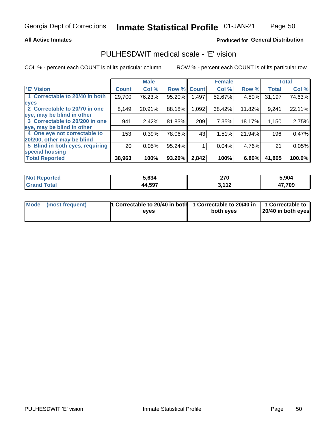## **All Active Inmates**

## Produced for General Distribution

# PULHESDWIT medical scale - 'E' vision

COL % - percent each COUNT is of its particular column

|                                 |                 | <b>Male</b> |        |              | <b>Female</b> |        |              | <b>Total</b> |
|---------------------------------|-----------------|-------------|--------|--------------|---------------|--------|--------------|--------------|
| <b>E' Vision</b>                | <b>Count</b>    | Col %       | Row %  | <b>Count</b> | Col %         | Row %  | <b>Total</b> | Col %        |
| 1 Correctable to 20/40 in both  | 29,700          | 76.23%      | 95.20% | .497         | 52.67%        | 4.80%  | 31,197       | 74.63%       |
| eyes                            |                 |             |        |              |               |        |              |              |
| 2 Correctable to 20/70 in one   | 8,149           | 20.91%      | 88.18% | 1,092        | 38.42%        | 11.82% | 9,241        | 22.11%       |
| eye, may be blind in other      |                 |             |        |              |               |        |              |              |
| 3 Correctable to 20/200 in one  | 941             | 2.42%       | 81.83% | 209          | 7.35%         | 18.17% | 1,150        | 2.75%        |
| eye, may be blind in other      |                 |             |        |              |               |        |              |              |
| 4 One eye not correctable to    | 153             | 0.39%       | 78.06% | 43           | 1.51%         | 21.94% | 196          | 0.47%        |
| 20/200, other may be blind      |                 |             |        |              |               |        |              |              |
| 5 Blind in both eyes, requiring | 20 <sub>1</sub> | 0.05%       | 95.24% |              | 0.04%         | 4.76%  | 21           | 0.05%        |
| special housing                 |                 |             |        |              |               |        |              |              |
| <b>Total Reported</b>           | 38,963          | 100%        | 93.20% | 2,842        | 100%          | 6.80%  | 41,805       | 100.0%       |

| <b>Not Reported</b> | 5.634  | - הר<br>41 V | 5,904  |
|---------------------|--------|--------------|--------|
| <b>Total</b>        | 44,597 | , 449<br>. . | 17,709 |

| Mode (most frequent) | 1 Correctable to 20/40 in both<br>eves | 1 Correctable to 20/40 in   1 Correctable to  <br>both eves | 20/40 in both eyes |
|----------------------|----------------------------------------|-------------------------------------------------------------|--------------------|
|                      |                                        |                                                             |                    |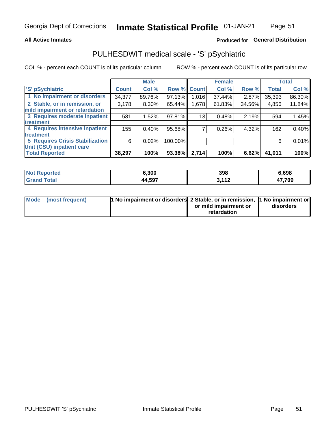### **All Active Inmates**

## Produced for General Distribution

# PULHESDWIT medical scale - 'S' pSychiatric

COL % - percent each COUNT is of its particular column

|                                        |              | <b>Male</b> |         |              | <b>Female</b> |        |              | <b>Total</b> |
|----------------------------------------|--------------|-------------|---------|--------------|---------------|--------|--------------|--------------|
| 'S' pSychiatric                        | <b>Count</b> | Col %       | Row %   | <b>Count</b> | Col %         | Row %  | <b>Total</b> | Col %        |
| 1 No impairment or disorders           | 34,377       | 89.76%      | 97.13%  | 1,016        | 37.44%        | 2.87%  | 35,393       | 86.30%       |
| 2 Stable, or in remission, or          | 3,178        | $8.30\%$    | 65.44%  | 1,678        | 61.83%        | 34.56% | 4,856        | 11.84%       |
| mild impairment or retardation         |              |             |         |              |               |        |              |              |
| 3 Requires moderate inpatient          | 581          | 1.52%       | 97.81%  | 13           | 0.48%         | 2.19%  | 594          | 1.45%        |
| treatment                              |              |             |         |              |               |        |              |              |
| 4 Requires intensive inpatient         | 155          | 0.40%       | 95.68%  |              | 0.26%         | 4.32%  | 162          | 0.40%        |
| treatment                              |              |             |         |              |               |        |              |              |
| <b>5 Requires Crisis Stabilization</b> | 6            | 0.02%       | 100.00% |              |               |        | 6            | 0.01%        |
| Unit (CSU) inpatient care              |              |             |         |              |               |        |              |              |
| <b>Total Reported</b>                  | 38,297       | 100%        | 93.38%  | 2,714        | 100%          | 6.62%  | 41,011       | 100%         |

| <b>Not Reported</b>                       | 6,300  | 398          | 6,698  |
|-------------------------------------------|--------|--------------|--------|
| $\mathop{\mathsf{Total}}$<br><b>Grand</b> | 44,597 | 2.112<br>. . | 17,709 |

| Mode (most frequent) | <b>t No impairment or disorders 2 Stable, or in remission, 1 No impairment or</b> |                       |           |
|----------------------|-----------------------------------------------------------------------------------|-----------------------|-----------|
|                      |                                                                                   | or mild impairment or | disorders |
|                      |                                                                                   | retardation           |           |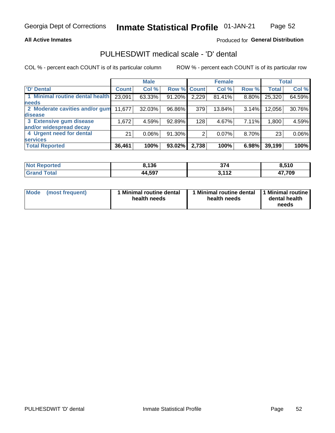## **All Active Inmates**

## Produced for General Distribution

# PULHESDWIT medical scale - 'D' dental

COL % - percent each COUNT is of its particular column

|                                 |              | <b>Male</b> |        |              | <b>Female</b> |          |              | <b>Total</b> |
|---------------------------------|--------------|-------------|--------|--------------|---------------|----------|--------------|--------------|
| <b>D'</b> Dental                | <b>Count</b> | Col %       | Row %  | <b>Count</b> | Col %         | Row %    | <b>Total</b> | Col %        |
| 1 Minimal routine dental health | 23,091       | 63.33%      | 91.20% | 2,229        | 81.41%        | $8.80\%$ | 25,320       | 64.59%       |
| <b>needs</b>                    |              |             |        |              |               |          |              |              |
| 2 Moderate cavities and/or gum  | 11,677       | 32.03%      | 96.86% | 379          | 13.84%        | 3.14%    | 12,056       | 30.76%       |
| disease                         |              |             |        |              |               |          |              |              |
| 3 Extensive gum disease         | 1,672        | 4.59%       | 92.89% | 128          | 4.67%         | 7.11%    | 1,800        | 4.59%        |
| and/or widespread decay         |              |             |        |              |               |          |              |              |
| 4 Urgent need for dental        | 21           | $0.06\%$    | 91.30% | 2            | 0.07%         | 8.70%    | 23           | 0.06%        |
| <b>services</b>                 |              |             |        |              |               |          |              |              |
| <b>Total Reported</b>           | 36,461       | 100%        | 93.02% | 2,738        | 100%          | 6.98%    | 39,199       | 100%         |

| <b>Not Reported</b> | 3,136  | 27 <sub>A</sub><br>-374                       | O EAN<br>o.v           |
|---------------------|--------|-----------------------------------------------|------------------------|
| Total               | 44,597 | <b>2442</b><br>$\overline{\phantom{a}}$<br>J. | 17,709<br>$\mathbf{r}$ |

| <b>Mode</b> | (most frequent) | <b>Minimal routine dental</b><br>health needs | 1 Minimal routine dental 1 Minimal routine<br>health needs | dental health<br>needs |
|-------------|-----------------|-----------------------------------------------|------------------------------------------------------------|------------------------|
|-------------|-----------------|-----------------------------------------------|------------------------------------------------------------|------------------------|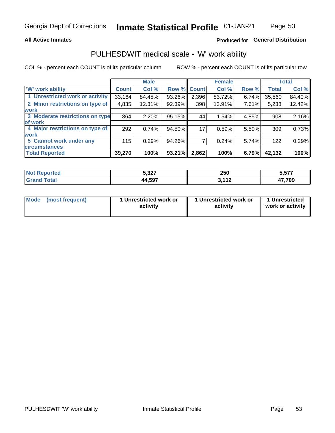## **All Active Inmates**

## Produced for General Distribution

# PULHESDWIT medical scale - 'W' work ability

COL % - percent each COUNT is of its particular column

|                                 |              | <b>Male</b> |             |       | <b>Female</b> |       |              | <b>Total</b> |
|---------------------------------|--------------|-------------|-------------|-------|---------------|-------|--------------|--------------|
| 'W' work ability                | <b>Count</b> | Col %       | Row % Count |       | Col %         | Row % | <b>Total</b> | Col %        |
| 1 Unrestricted work or activity | 33,164       | 84.45%      | 93.26%      | 2,396 | 83.72%        | 6.74% | 35,560       | 84.40%       |
| 2 Minor restrictions on type of | 4,835        | 12.31%      | 92.39%      | 398   | 13.91%        | 7.61% | 5,233        | 12.42%       |
| <b>work</b>                     |              |             |             |       |               |       |              |              |
| 3 Moderate restrictions on type | 864          | 2.20%       | 95.15%      | 44    | 1.54%         | 4.85% | 908          | 2.16%        |
| lof work                        |              |             |             |       |               |       |              |              |
| 4 Major restrictions on type of | 292          | 0.74%       | 94.50%      | 17    | 0.59%         | 5.50% | 309          | 0.73%        |
| <b>work</b>                     |              |             |             |       |               |       |              |              |
| 5 Cannot work under any         | 115          | 0.29%       | 94.26%      |       | 0.24%         | 5.74% | 122          | 0.29%        |
| <b>circumstances</b>            |              |             |             |       |               |       |              |              |
| <b>Total Reported</b>           | 39,270       | 100%        | 93.21%      | 2,862 | 100%          | 6.79% | 42,132       | 100%         |

| <b>Not Reported</b> | 5,327  | 250                   | 5,577  |
|---------------------|--------|-----------------------|--------|
| Total<br>Gran       | 44,597 | 2.112<br>- - -<br>. . | 47,709 |

| <b>Mode</b>     | 1 Unrestricted work or | 1 Unrestricted work or | 1 Unrestricted   |
|-----------------|------------------------|------------------------|------------------|
| (most frequent) | activity               | activity               | work or activity |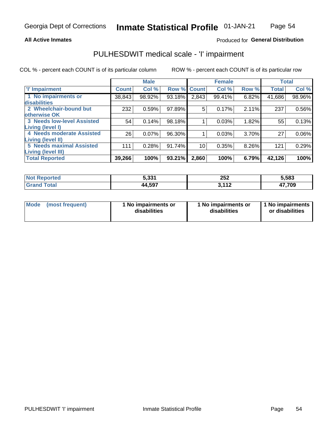### **All Active Inmates**

## Produced for General Distribution

# PULHESDWIT medical scale - 'I' impairment

COL % - percent each COUNT is of its particular column ROW % - percent each COUNT is of its particular row

|                                   |              | <b>Male</b> |             |                 | <b>Female</b> |       |              | <b>Total</b> |
|-----------------------------------|--------------|-------------|-------------|-----------------|---------------|-------|--------------|--------------|
| <b>T</b> Impairment               | <b>Count</b> | Col %       | Row % Count |                 | Col %         | Row % | <b>Total</b> | Col %        |
| 1 No impairments or               | 38,843       | 98.92%      | 93.18%      | 2,843           | 99.41%        | 6.82% | 41,686       | 98.96%       |
| disabilities                      |              |             |             |                 |               |       |              |              |
| 2 Wheelchair-bound but            | 232          | 0.59%       | 97.89%      | 5               | 0.17%         | 2.11% | 237          | 0.56%        |
| otherwise OK                      |              |             |             |                 |               |       |              |              |
| <b>3 Needs low-level Assisted</b> | 54           | 0.14%       | 98.18%      |                 | 0.03%         | 1.82% | 55           | 0.13%        |
| Living (level I)                  |              |             |             |                 |               |       |              |              |
| 4 Needs moderate Assisted         | 26           | 0.07%       | 96.30%      |                 | 0.03%         | 3.70% | 27           | 0.06%        |
| <b>Living (level II)</b>          |              |             |             |                 |               |       |              |              |
| <b>5 Needs maximal Assisted</b>   | 111          | 0.28%       | 91.74%      | 10 <sub>1</sub> | 0.35%         | 8.26% | 121          | 0.29%        |
| <b>Living (level III)</b>         |              |             |             |                 |               |       |              |              |
| <b>Total Reported</b>             | 39,266       | 100%        | 93.21%      | 2,860           | 100%          | 6.79% | 42,126       | 100%         |

| . tec<br>n a | 5.331  | つにつ<br>23Z    | 5,583       |
|--------------|--------|---------------|-------------|
|              | 44,597 | 110<br>້<br>. | 47,709<br>" |

| Mode | (most frequent) | 1 No impairments or<br>disabilities | 1 No impairments or<br>disabilities | 1 No impairments<br>or disabilities |
|------|-----------------|-------------------------------------|-------------------------------------|-------------------------------------|
|------|-----------------|-------------------------------------|-------------------------------------|-------------------------------------|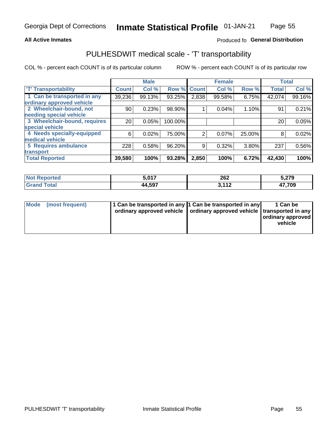## **All Active Inmates**

## Produced fo General Distribution

# PULHESDWIT medical scale - 'T' transportability

COL % - percent each COUNT is of its particular column

|                              |                 | <b>Male</b> |         |                | <b>Female</b> |        |              | <b>Total</b> |
|------------------------------|-----------------|-------------|---------|----------------|---------------|--------|--------------|--------------|
| <b>T' Transportability</b>   | <b>Count</b>    | Col%        | Row %   | <b>Count</b>   | Col %         | Row %  | <b>Total</b> | Col %        |
| 1 Can be transported in any  | 39,236          | 99.13%      | 93.25%  | 2,838          | 99.58%        | 6.75%  | 42,074       | 99.16%       |
| ordinary approved vehicle    |                 |             |         |                |               |        |              |              |
| 2 Wheelchair-bound, not      | 90              | 0.23%       | 98.90%  |                | 0.04%         | 1.10%  | 91           | 0.21%        |
| needing special vehicle      |                 |             |         |                |               |        |              |              |
| 3 Wheelchair-bound, requires | 20 <sub>1</sub> | 0.05%       | 100.00% |                |               |        | 20           | 0.05%        |
| special vehicle              |                 |             |         |                |               |        |              |              |
| 4 Needs specially-equipped   | 6               | 0.02%       | 75.00%  | $\overline{2}$ | 0.07%         | 25.00% | 8            | 0.02%        |
| medical vehicle              |                 |             |         |                |               |        |              |              |
| <b>5 Requires ambulance</b>  | 228             | 0.58%       | 96.20%  | 9              | 0.32%         | 3.80%  | 237          | 0.56%        |
| transport                    |                 |             |         |                |               |        |              |              |
| <b>Total Reported</b>        | 39,580          | 100%        | 93.28%  | 2,850          | 100%          | 6.72%  | 42,430       | 100%         |

| Reported<br>NO | 5,017  | 262<br>____ | 5,279                  |
|----------------|--------|-------------|------------------------|
| <b>Total</b>   | 44,597 | 449<br>.    | 47,709<br>$\mathbf{r}$ |

|  | Mode (most frequent) | 1 Can be transported in any 1 Can be transported in any | ordinary approved vehicle   ordinary approved vehicle   transported in any | 1 Can be<br>ordinary approved<br>vehicle |
|--|----------------------|---------------------------------------------------------|----------------------------------------------------------------------------|------------------------------------------|
|--|----------------------|---------------------------------------------------------|----------------------------------------------------------------------------|------------------------------------------|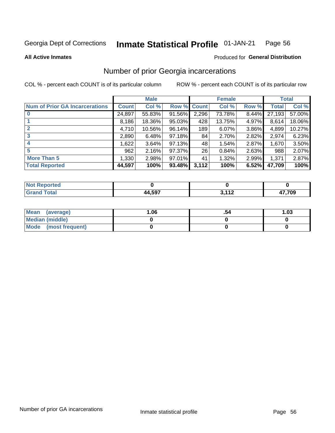#### **Inmate Statistical Profile 01-JAN-21** Page 56

**All Active Inmates** 

## **Produced for General Distribution**

# Number of prior Georgia incarcerations

COL % - percent each COUNT is of its particular column

|                                       |              | <b>Male</b> |             |       | <b>Female</b> |       |        | <b>Total</b> |
|---------------------------------------|--------------|-------------|-------------|-------|---------------|-------|--------|--------------|
| <b>Num of Prior GA Incarcerations</b> | <b>Count</b> | Col %       | Row % Count |       | Col %         | Row % | Total  | Col %        |
|                                       | 24,897       | 55.83%      | 91.56%      | 2,296 | 73.78%        | 8.44% | 27,193 | 57.00%       |
|                                       | 8,186        | 18.36%      | $95.03\%$   | 428   | 13.75%        | 4.97% | 8,614  | 18.06%       |
| $\overline{2}$                        | 4,710        | 10.56%      | $96.14\%$   | 189   | 6.07%         | 3.86% | 4,899  | 10.27%       |
| 3                                     | 2,890        | 6.48%       | $97.18\%$   | 84    | 2.70%         | 2.82% | 2,974  | 6.23%        |
| $\boldsymbol{4}$                      | 1,622        | 3.64%       | 97.13%      | 48    | 1.54%         | 2.87% | 1,670  | 3.50%        |
| 5                                     | 962          | 2.16%       | 97.37%      | 26    | 0.84%         | 2.63% | 988    | 2.07%        |
| <b>More Than 5</b>                    | 1,330        | 2.98%       | $97.01\%$   | 41    | 1.32%         | 2.99% | 1,371  | 2.87%        |
| <b>Total Reported</b>                 | 44,597       | 100%        | 93.48%      | 3,112 | 100%          | 6.52% | 47,709 | 100%         |

| orted<br>NO.        |                 |            |       |
|---------------------|-----------------|------------|-------|
| <b>otal</b><br>. Gr | 4 5Q7<br>- 1,JJ | 110<br>. . | 7,709 |

| Mean (average)         | .06 | 1.03 |
|------------------------|-----|------|
| <b>Median (middle)</b> |     |      |
| Mode (most frequent)   |     |      |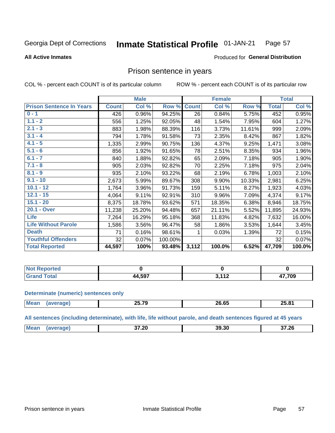#### Inmate Statistical Profile 01-JAN-21 Page 57

**All Active Inmates** 

## Produced for General Distribution

## Prison sentence in years

COL % - percent each COUNT is of its particular column

ROW % - percent each COUNT is of its particular row

|                                 |              | <b>Male</b> |         |              | <b>Female</b> |        |              | <b>Total</b> |
|---------------------------------|--------------|-------------|---------|--------------|---------------|--------|--------------|--------------|
| <b>Prison Sentence In Years</b> | <b>Count</b> | Col %       | Row %   | <b>Count</b> | Col %         | Row %  | <b>Total</b> | Col %        |
| $0 - 1$                         | 426          | 0.96%       | 94.25%  | 26           | 0.84%         | 5.75%  | 452          | 0.95%        |
| $1.1 - 2$                       | 556          | 1.25%       | 92.05%  | 48           | 1.54%         | 7.95%  | 604          | 1.27%        |
| $2.1 - 3$                       | 883          | 1.98%       | 88.39%  | 116          | 3.73%         | 11.61% | 999          | 2.09%        |
| $3.1 - 4$                       | 794          | 1.78%       | 91.58%  | 73           | 2.35%         | 8.42%  | 867          | 1.82%        |
| $4.1 - 5$                       | 1,335        | 2.99%       | 90.75%  | 136          | 4.37%         | 9.25%  | 1,471        | 3.08%        |
| $5.1 - 6$                       | 856          | 1.92%       | 91.65%  | 78           | 2.51%         | 8.35%  | 934          | 1.96%        |
| $6.1 - 7$                       | 840          | 1.88%       | 92.82%  | 65           | 2.09%         | 7.18%  | 905          | 1.90%        |
| $7.1 - 8$                       | 905          | 2.03%       | 92.82%  | 70           | 2.25%         | 7.18%  | 975          | 2.04%        |
| $8.1 - 9$                       | 935          | 2.10%       | 93.22%  | 68           | 2.19%         | 6.78%  | 1,003        | 2.10%        |
| $9.1 - 10$                      | 2,673        | 5.99%       | 89.67%  | 308          | 9.90%         | 10.33% | 2,981        | 6.25%        |
| $10.1 - 12$                     | 1,764        | 3.96%       | 91.73%  | 159          | 5.11%         | 8.27%  | 1,923        | 4.03%        |
| $12.1 - 15$                     | 4,064        | 9.11%       | 92.91%  | 310          | 9.96%         | 7.09%  | 4,374        | 9.17%        |
| $15.1 - 20$                     | 8,375        | 18.78%      | 93.62%  | 571          | 18.35%        | 6.38%  | 8,946        | 18.75%       |
| 20.1 - Over                     | 11,238       | 25.20%      | 94.48%  | 657          | 21.11%        | 5.52%  | 11,895       | 24.93%       |
| <b>Life</b>                     | 7,264        | 16.29%      | 95.18%  | 368          | 11.83%        | 4.82%  | 7,632        | 16.00%       |
| <b>Life Without Parole</b>      | 1,586        | 3.56%       | 96.47%  | 58           | 1.86%         | 3.53%  | 1,644        | 3.45%        |
| <b>Death</b>                    | 71           | 0.16%       | 98.61%  | 1            | 0.03%         | 1.39%  | 72           | 0.15%        |
| <b>Youthful Offenders</b>       | 32           | 0.07%       | 100.00% |              |               |        | 32           | 0.07%        |
| <b>Total Reported</b>           | 44,597       | 100%        | 93.48%  | 3,112        | 100.0%        | 6.52%  | 47,709       | 100.0%       |

| <b>Not Reported</b> |       |                |                       |
|---------------------|-------|----------------|-----------------------|
| <b>Total</b>        | A 607 | $\overline{A}$ | 7,709<br>$\mathbf{r}$ |

### **Determinate (numeric) sentences only**

| <b>Mean</b> | 85 TA<br>1 U<br>---- | 00. OF<br>– כס.ס∠ | 25.81 |
|-------------|----------------------|-------------------|-------|
|             |                      |                   |       |

All sentences (including determinate), with life, life without parole, and death sentences figured at 45 years

| Me: | 37.20<br>$-4$<br>____ | 39.30 | 37.26<br>___ |
|-----|-----------------------|-------|--------------|
|     |                       |       |              |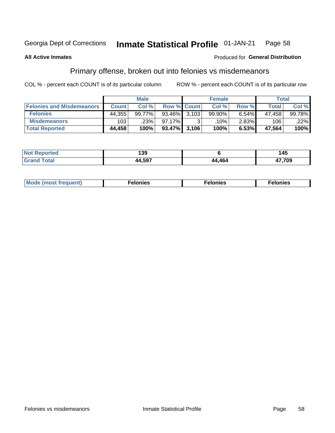#### Inmate Statistical Profile 01-JAN-21 Page 58

### **All Active Inmates**

### **Produced for General Distribution**

# Primary offense, broken out into felonies vs misdemeanors

COL % - percent each COUNT is of its particular column

|                                  | <b>Male</b>  |        |                 |   | <b>Female</b> | Total    |              |        |
|----------------------------------|--------------|--------|-----------------|---|---------------|----------|--------------|--------|
| <b>Felonies and Misdemeanors</b> | <b>Count</b> | Col %  | Row % Count     |   | Col %         | Row %    | <b>Total</b> | Col %  |
| <b>Felonies</b>                  | 44,355       | 99.77% | $93.46\%$ 3.103 |   | 99.90%        | 6.54%    | 47.458       | 99.78% |
| <b>Misdemeanors</b>              | 103          | .23%   | 97.17%          | 2 | .10%          | $2.83\%$ | 106          | .22%   |
| <b>Total Reported</b>            | 44,458       | 100%   | $93.47\%$ 3,106 |   | 100%          | 6.53%    | 47,564       | 100%   |

| <b>Not</b><br>Reported | 139          |        | . .<br>43 |
|------------------------|--------------|--------|-----------|
| <b>Granc</b><br>™otaï  | -507<br>40 I | 44.464 | 17,709    |

| Mo | ____ | 11 C.S<br>. | onies<br>. |
|----|------|-------------|------------|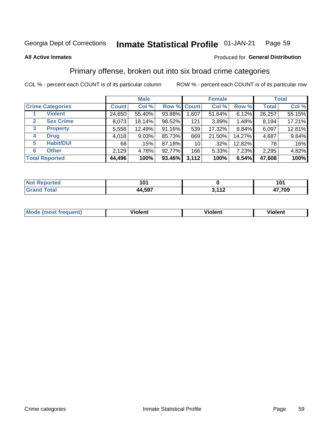### Inmate Statistical Profile 01-JAN-21 Page 59

**All Active Inmates** 

### Produced for General Distribution

# Primary offense, broken out into six broad crime categories

COL % - percent each COUNT is of its particular column

|                                 | <b>Male</b>  |        |        | <b>Female</b>   |         |          | <b>Total</b> |        |
|---------------------------------|--------------|--------|--------|-----------------|---------|----------|--------------|--------|
| <b>Crime Categories</b>         | <b>Count</b> | Col %  |        | Row % Count     | Col %   | Row %    | <b>Total</b> | Col %  |
| <b>Violent</b>                  | 24,650       | 55.40% | 93.88% | 1,607           | 51.64%  | 6.12%    | 26,257       | 55.15% |
| <b>Sex Crime</b><br>2           | 8,073        | 18.14% | 98.52% | 121             | 3.89%   | $1.48\%$ | 8,194        | 17.21% |
| $\mathbf{3}$<br><b>Property</b> | 5,558        | 12.49% | 91.16% | 539             | 17.32%  | 8.84%    | 6,097        | 12.81% |
| <b>Drug</b><br>4                | 4,018        | 9.03%  | 85.73% | 669             | 21.50%  | 14.27%   | 4,687        | 9.84%  |
| <b>Habit/DUI</b><br>5           | 68           | .15%   | 87.18% | 10 <sup>1</sup> | $.32\%$ | 12.82%   | 78 I         | .16%   |
| <b>Other</b><br>6               | 2,129        | 4.78%  | 92.77% | 166             | 5.33%   | 7.23%    | 2,295        | 4.82%  |
| <b>Total Reported</b>           | 44,496       | 100%   | 93.46% | 3,112           | 100%    | 6.54%    | 47,608       | 100%   |

| τeα<br>NO | m,     |                        | 1 N 4<br>וטו         |
|-----------|--------|------------------------|----------------------|
|           | 44,597 | $\overline{A}$<br>- 14 | החד דו<br>' UY<br>−. |

| <b>Mode</b><br>t frequent)<br>THOS | .<br>iolent | 'iolent | <b>Violent</b> |
|------------------------------------|-------------|---------|----------------|
|                                    |             |         |                |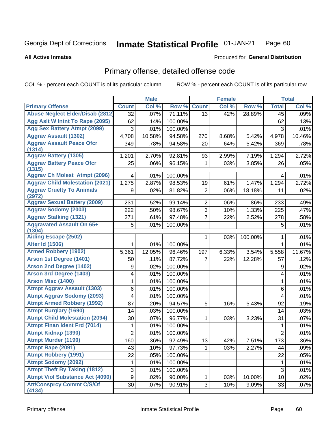#### **Inmate Statistical Profile 01-JAN-21** Page 60

### **All Active Inmates**

## **Produced for General Distribution**

# Primary offense, detailed offense code

COL % - percent each COUNT is of its particular column

|                                            | <b>Male</b>    |        | <b>Female</b> |                |       | <b>Total</b> |                         |        |
|--------------------------------------------|----------------|--------|---------------|----------------|-------|--------------|-------------------------|--------|
| <b>Primary Offense</b>                     | <b>Count</b>   | Col %  | Row %         | <b>Count</b>   | Col % | Row %        | <b>Total</b>            | Col%   |
| <b>Abuse Neglect Elder/Disab (2812)</b>    | 32             | .07%   | 71.11%        | 13             | .42%  | 28.89%       | 45                      | .09%   |
| Agg Aslt W Intnt To Rape (2095)            | 62             | .14%   | 100.00%       |                |       |              | 62                      | .13%   |
| <b>Agg Sex Battery Atmpt (2099)</b>        | 3              | .01%   | 100.00%       |                |       |              | 3                       | .01%   |
| <b>Aggrav Assault (1302)</b>               | 4,708          | 10.58% | 94.58%        | 270            | 8.68% | 5.42%        | 4,978                   | 10.46% |
| <b>Aggrav Assault Peace Ofcr</b><br>(1314) | 349            | .78%   | 94.58%        | 20             | .64%  | 5.42%        | 369                     | .78%   |
| <b>Aggrav Battery (1305)</b>               | 1,201          | 2.70%  | 92.81%        | 93             | 2.99% | 7.19%        | 1,294                   | 2.72%  |
| <b>Aggrav Battery Peace Ofcr</b><br>(1315) | 25             | .06%   | 96.15%        | 1              | .03%  | 3.85%        | 26                      | .05%   |
| <b>Aggrav Ch Molest Atmpt (2096)</b>       | 4              | .01%   | 100.00%       |                |       |              | 4                       | .01%   |
| <b>Aggrav Child Molestation (2021)</b>     | 1,275          | 2.87%  | 98.53%        | 19             | .61%  | 1.47%        | 1,294                   | 2.72%  |
| <b>Aggrav Cruelty To Animals</b><br>(2972) | 9              | .02%   | 81.82%        | $\overline{2}$ | .06%  | 18.18%       | 11                      | .02%   |
| <b>Aggrav Sexual Battery (2009)</b>        | 231            | .52%   | 99.14%        | $\overline{2}$ | .06%  | .86%         | 233                     | .49%   |
| <b>Aggrav Sodomy (2003)</b>                | 222            | .50%   | 98.67%        | 3              | .10%  | 1.33%        | 225                     | .47%   |
| <b>Aggrav Stalking (1321)</b>              | 271            | .61%   | 97.48%        | 7              | .22%  | 2.52%        | 278                     | .58%   |
| <b>Aggravated Assault On 65+</b><br>(1304) | 5              | .01%   | 100.00%       |                |       |              | 5                       | .01%   |
| <b>Aiding Escape (2502)</b>                |                |        |               | 1              | .03%  | 100.00%      | 1                       | .01%   |
| <b>Alter Id (1506)</b>                     | 1              | .01%   | 100.00%       |                |       |              | 1                       | .01%   |
| <b>Armed Robbery (1902)</b>                | 5,361          | 12.05% | 96.46%        | 197            | 6.33% | 3.54%        | 5,558                   | 11.67% |
| Arson 1st Degree (1401)                    | 50             | .11%   | 87.72%        | 7              | .22%  | 12.28%       | 57                      | .12%   |
| <b>Arson 2nd Degree (1402)</b>             | 9              | .02%   | 100.00%       |                |       |              | 9                       | .02%   |
| <b>Arson 3rd Degree (1403)</b>             | 4              | .01%   | 100.00%       |                |       |              | 4                       | .01%   |
| <b>Arson Misc (1400)</b>                   | 1              | .01%   | 100.00%       |                |       |              | 1                       | .01%   |
| <b>Atmpt Aggrav Assault (1303)</b>         | 6              | .01%   | 100.00%       |                |       |              | 6                       | .01%   |
| <b>Atmpt Aggrav Sodomy (2093)</b>          | 4              | .01%   | 100.00%       |                |       |              | $\overline{\mathbf{4}}$ | .01%   |
| <b>Atmpt Armed Robbery (1992)</b>          | 87             | .20%   | 94.57%        | 5              | .16%  | 5.43%        | 92                      | .19%   |
| <b>Atmpt Burglary (1690)</b>               | 14             | .03%   | 100.00%       |                |       |              | 14                      | .03%   |
| <b>Atmpt Child Molestation (2094)</b>      | 30             | .07%   | 96.77%        | 1              | .03%  | 3.23%        | 31                      | .07%   |
| <b>Atmpt Finan Ident Frd (7014)</b>        | 1              | .01%   | 100.00%       |                |       |              | 1                       | .01%   |
| <b>Atmpt Kidnap (1390)</b>                 | $\overline{2}$ | .01%   | 100.00%       |                |       |              | $\overline{c}$          | .01%   |
| <b>Atmpt Murder (1190)</b>                 | 160            | .36%   | 92.49%        | 13             | .42%  | 7.51%        | 173                     | .36%   |
| Atmpt Rape (2091)                          | 43             | .10%   | 97.73%        | 1.             | .03%  | 2.27%        | 44                      | .09%   |
| <b>Atmpt Robbery (1991)</b>                | 22             | .05%   | 100.00%       |                |       |              | 22                      | .05%   |
| <b>Atmpt Sodomy (2092)</b>                 | 1              | .01%   | 100.00%       |                |       |              | $\mathbf 1$             | .01%   |
| <b>Atmpt Theft By Taking (1812)</b>        | 3              | .01%   | 100.00%       |                |       |              | 3                       | .01%   |
| <b>Atmpt Viol Substance Act (4090)</b>     | 9              | .02%   | 90.00%        | $\mathbf{1}$   | .03%  | 10.00%       | 10                      | .02%   |
| <b>Att/Consprcy Commt C/S/Of</b><br>(4134) | 30             | .07%   | 90.91%        | 3              | .10%  | 9.09%        | 33                      | .07%   |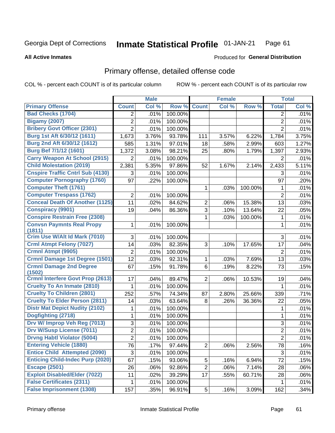#### **Inmate Statistical Profile 01-JAN-21** Page 61

### **All Active Inmates**

# **Produced for General Distribution**

# Primary offense, detailed offense code

COL % - percent each COUNT is of its particular column

|                                            |                | <b>Male</b> |         |                | <b>Female</b> |         |                | <b>Total</b> |
|--------------------------------------------|----------------|-------------|---------|----------------|---------------|---------|----------------|--------------|
| <b>Primary Offense</b>                     | <b>Count</b>   | Col %       | Row %   | <b>Count</b>   | Col %         | Row %   | <b>Total</b>   | Col %        |
| <b>Bad Checks (1704)</b>                   | $\overline{2}$ | .01%        | 100.00% |                |               |         | 2              | .01%         |
| <b>Bigamy (2007)</b>                       | $\overline{2}$ | .01%        | 100.00% |                |               |         | $\overline{2}$ | .01%         |
| <b>Bribery Govt Officer (2301)</b>         | $\overline{2}$ | .01%        | 100.00% |                |               |         | $\overline{2}$ | .01%         |
| Burg 1st Aft 6/30/12 (1611)                | 1,673          | 3.76%       | 93.78%  | 111            | 3.57%         | 6.22%   | 1,784          | 3.75%        |
| Burg 2nd Aft 6/30/12 (1612)                | 585            | 1.31%       | 97.01%  | 18             | .58%          | 2.99%   | 603            | 1.27%        |
| <b>Burg Bef 7/1/12 (1601)</b>              | 1,372          | 3.08%       | 98.21%  | 25             | .80%          | 1.79%   | 1,397          | 2.93%        |
| <b>Carry Weapon At School (2915)</b>       | 2              | .01%        | 100.00% |                |               |         | 2              | .01%         |
| <b>Child Molestation (2019)</b>            | 2,381          | 5.35%       | 97.86%  | 52             | 1.67%         | 2.14%   | 2,433          | 5.11%        |
| <b>Cnspire Traffic Cntrl Sub (4130)</b>    | 3              | .01%        | 100.00% |                |               |         | 3              | .01%         |
| <b>Computer Pornography (1760)</b>         | 97             | .22%        | 100.00% |                |               |         | 97             | .20%         |
| <b>Computer Theft (1761)</b>               |                |             |         | 1              | .03%          | 100.00% | 1              | .01%         |
| <b>Computer Trespass (1762)</b>            | $\overline{2}$ | .01%        | 100.00% |                |               |         | $\overline{2}$ | .01%         |
| <b>Conceal Death Of Another (1125)</b>     | 11             | .02%        | 84.62%  | $\overline{2}$ | .06%          | 15.38%  | 13             | .03%         |
| <b>Conspiracy (9901)</b>                   | 19             | .04%        | 86.36%  | 3              | .10%          | 13.64%  | 22             | .05%         |
| <b>Conspire Restrain Free (2308)</b>       |                |             |         | 1              | .03%          | 100.00% | 1              | .01%         |
| <b>Convsn Paymnts Real Propy</b><br>(1811) | 1              | .01%        | 100.00% |                |               |         | 1              | .01%         |
| Crim Use W/Alt Id Mark (7010)              | 3              | .01%        | 100.00% |                |               |         | 3              | .01%         |
| <b>Crml Atmpt Felony (7027)</b>            | 14             | .03%        | 82.35%  | 3              | .10%          | 17.65%  | 17             | .04%         |
| Crmnl Atmpt (9905)                         | $\overline{2}$ | .01%        | 100.00% |                |               |         | $\overline{2}$ | .01%         |
| Crmnl Damage 1st Degree (1501)             | 12             | .03%        | 92.31%  | 1              | .03%          | 7.69%   | 13             | .03%         |
| <b>Crmnl Damage 2nd Degree</b><br>(1502)   | 67             | .15%        | 91.78%  | 6              | .19%          | 8.22%   | 73             | .15%         |
| <b>Crmnl Interfere Govt Prop (2613)</b>    | 17             | .04%        | 89.47%  | $\overline{2}$ | .06%          | 10.53%  | 19             | .04%         |
| <b>Cruelty To An Inmate (2810)</b>         | 1              | .01%        | 100.00% |                |               |         | 1              | .01%         |
| <b>Cruelty To Children (2801)</b>          | 252            | .57%        | 74.34%  | 87             | 2.80%         | 25.66%  | 339            | .71%         |
| <b>Cruelty To Elder Person (2811)</b>      | 14             | .03%        | 63.64%  | 8              | .26%          | 36.36%  | 22             | .05%         |
| <b>Distr Mat Depict Nudity (2102)</b>      | 1              | .01%        | 100.00% |                |               |         | 1              | .01%         |
| Dogfighting (2718)                         | 1              | .01%        | 100.00% |                |               |         | 1              | .01%         |
| Drv W/ Improp Veh Reg (7013)               | 3              | .01%        | 100.00% |                |               |         | 3              | .01%         |
| Drv W/Susp License (7011)                  | $\overline{2}$ | .01%        | 100.00% |                |               |         | 2              | .01%         |
| <b>Drvng Habtl Violator (5004)</b>         | $\overline{2}$ | .01%        | 100.00% |                |               |         | $\overline{2}$ | .01%         |
| <b>Entering Vehicle (1880)</b>             | 76             | .17%        | 97.44%  | $\overline{2}$ | .06%          | 2.56%   | 78             | .16%         |
| <b>Entice Child Attempted (2090)</b>       | 3              | .01%        | 100.00% |                |               |         | 3              | .01%         |
| <b>Enticing Child-Indec Purp (2020)</b>    | 67             | .15%        | 93.06%  | 5              | .16%          | 6.94%   | 72             | .15%         |
| <b>Escape (2501)</b>                       | 26             | .06%        | 92.86%  | $\overline{2}$ | .06%          | 7.14%   | 28             | .06%         |
| <b>Exploit Disabled/Elder (7022)</b>       | 11             | .02%        | 39.29%  | 17             | .55%          | 60.71%  | 28             | .06%         |
| <b>False Certificates (2311)</b>           | 1              | .01%        | 100.00% |                |               |         | 1              | .01%         |
| <b>False Imprisonment (1308)</b>           | 157            | .35%        | 96.91%  | 5 <sup>1</sup> | .16%          | 3.09%   | 162            | .34%         |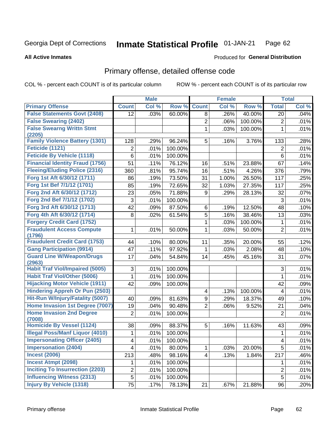#### **Inmate Statistical Profile 01-JAN-21** Page 62

### **All Active Inmates**

## **Produced for General Distribution**

# Primary offense, detailed offense code

COL % - percent each COUNT is of its particular column

|                                                      |                 | <b>Male</b> |         |                | <b>Female</b> |                 |                         | <b>Total</b> |
|------------------------------------------------------|-----------------|-------------|---------|----------------|---------------|-----------------|-------------------------|--------------|
| <b>Primary Offense</b>                               | <b>Count</b>    | Col %       | Row %   | <b>Count</b>   | Col %         | Row %           | <b>Total</b>            | Col %        |
| <b>False Statements Govt (2408)</b>                  | 12              | .03%        | 60.00%  | 8              | .26%          | 40.00%          | 20                      | .04%         |
| <b>False Swearing (2402)</b>                         |                 |             |         | $\overline{2}$ | .06%          | 100.00%         | $\overline{2}$          | .01%         |
| <b>False Swearng Writtn Stmt</b>                     |                 |             |         | 1              | .03%          | 100.00%         | $\mathbf{1}$            | .01%         |
| (2205)                                               |                 |             |         |                |               |                 |                         |              |
| <b>Family Violence Battery (1301)</b>                | 128             | .29%        | 96.24%  | 5              | .16%          | 3.76%           | 133                     | .28%         |
| Feticide (1121)<br><b>Feticide By Vehicle (1118)</b> | 2               | .01%        | 100.00% |                |               |                 | $\overline{2}$          | .01%         |
|                                                      | 6               | .01%        | 100.00% |                |               |                 | $6\phantom{1}$          | .01%         |
| <b>Financial Identity Fraud (1756)</b>               | 51              | .11%        | 76.12%  | 16             | .51%          | 23.88%          | 67                      | .14%         |
| <b>Fleeing/Eluding Police (2316)</b>                 | 360             | .81%        | 95.74%  | 16             | .51%          | 4.26%           | 376                     | .79%         |
| Forg 1st Aft 6/30/12 (1711)                          | 86              | .19%        | 73.50%  | 31             | 1.00%         | 26.50%          | 117                     | .25%         |
| Forg 1st Bef 7/1/12 (1701)                           | 85              | .19%        | 72.65%  | 32             | 1.03%         | 27.35%          | 117                     | .25%         |
| Forg 2nd Aft 6/30/12 (1712)                          | 23              | .05%        | 71.88%  | 9              | .29%          | 28.13%          | 32                      | .07%         |
| Forg 2nd Bef 7/1/12 (1702)                           | 3               | .01%        | 100.00% |                |               |                 | 3                       | .01%         |
| Forg 3rd Aft 6/30/12 (1713)                          | 42              | .09%        | 87.50%  | 6              | .19%          | 12.50%          | 48                      | .10%         |
| Forg 4th Aft 6/30/12 (1714)                          | 8               | .02%        | 61.54%  | $\overline{5}$ | .16%          | 38.46%          | 13                      | .03%         |
| <b>Forgery Credit Card (1752)</b>                    |                 |             |         | $\mathbf{1}$   | .03%          | 100.00%         | 1                       | .01%         |
| <b>Fraudulent Access Compute</b>                     | 1               | .01%        | 50.00%  | $\mathbf{1}$   | .03%          | 50.00%          | $\overline{2}$          | .01%         |
| (1796)<br><b>Fraudulent Credit Card (1753)</b>       |                 | .10%        | 80.00%  | 11             | .35%          |                 | 55                      | .12%         |
| <b>Gang Participation (9914)</b>                     | 44<br>47        | .11%        | 97.92%  | 1              | .03%          | 20.00%<br>2.08% | 48                      | .10%         |
| <b>Guard Line W/Weapon/Drugs</b>                     | 17              |             |         |                |               |                 |                         |              |
| (2963)                                               |                 | .04%        | 54.84%  | 14             | .45%          | 45.16%          | 31                      | .07%         |
| <b>Habit Traf Viol/Impaired (5005)</b>               | 3               | .01%        | 100.00% |                |               |                 | 3                       | .01%         |
| <b>Habit Traf Viol/Other (5006)</b>                  | 1               | .01%        | 100.00% |                |               |                 | 1                       | .01%         |
| <b>Hijacking Motor Vehicle (1911)</b>                | 42              | .09%        | 100.00% |                |               |                 | 42                      | .09%         |
| <b>Hindering Appreh Or Pun (2503)</b>                |                 |             |         | 4              | .13%          | 100.00%         | 4                       | .01%         |
| Hit-Run W/Injury/Fatality (5007)                     | 40              | .09%        | 81.63%  | 9              | .29%          | 18.37%          | 49                      | .10%         |
| Home Invasion 1st Degree (7007)                      | 19              | .04%        | 90.48%  | $\overline{2}$ | .06%          | 9.52%           | 21                      | .04%         |
| <b>Home Invasion 2nd Degree</b><br>(7008)            | $\overline{2}$  | .01%        | 100.00% |                |               |                 | $\overline{2}$          | .01%         |
| <b>Homicide By Vessel (1124)</b>                     | 38              | .09%        | 88.37%  | 5              | .16%          | 11.63%          | 43                      | .09%         |
| <b>Illegal Poss/Manf Liquor (4010)</b>               | 1               | .01%        | 100.00% |                |               |                 | 1                       | $.01\%$      |
| <b>Impersonating Officer (2405)</b>                  | 4               | .01%        | 100.00% |                |               |                 | $\overline{\mathbf{4}}$ | .01%         |
| <b>Impersonation (2404)</b>                          | 4               | .01%        | 80.00%  | $\mathbf{1}$   | .03%          | 20.00%          | $\overline{5}$          | .01%         |
| <b>Incest (2006)</b>                                 | 213             | .48%        | 98.16%  | 4              | .13%          | 1.84%           | $\overline{2}17$        | .46%         |
| <b>Incest Atmpt (2098)</b>                           | 1               | .01%        | 100.00% |                |               |                 | 1                       | .01%         |
| <b>Inciting To Insurrection (2203)</b>               | $\overline{c}$  | .01%        | 100.00% |                |               |                 | $\overline{2}$          | .01%         |
| <b>Influencing Witness (2313)</b>                    | $\overline{5}$  | .01%        | 100.00% |                |               |                 | $\overline{5}$          | .01%         |
| <b>Injury By Vehicle (1318)</b>                      | $\overline{75}$ | .17%        | 78.13%  | 21             | .67%          | 21.88%          | 96                      | .20%         |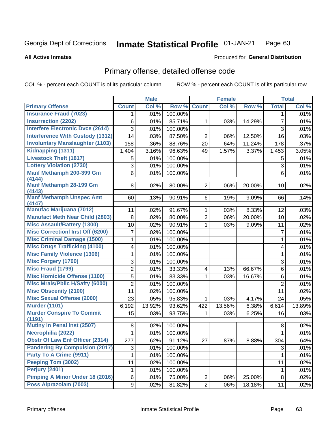#### **Inmate Statistical Profile 01-JAN-21** Page 63

### **All Active Inmates**

## **Produced for General Distribution**

# Primary offense, detailed offense code

COL % - percent each COUNT is of its particular column

|                                            |                | <b>Male</b> |         |                | <b>Female</b> |        |                | <b>Total</b> |
|--------------------------------------------|----------------|-------------|---------|----------------|---------------|--------|----------------|--------------|
| <b>Primary Offense</b>                     | <b>Count</b>   | Col %       | Row %   | <b>Count</b>   | Col %         | Row %  | <b>Total</b>   | Col %        |
| <b>Insurance Fraud (7023)</b>              | 1              | .01%        | 100.00% |                |               |        | $\mathbf 1$    | .01%         |
| <b>Insurrection (2202)</b>                 | 6              | .01%        | 85.71%  | 1              | .03%          | 14.29% | $\overline{7}$ | .01%         |
| <b>Interfere Electronic Dvce (2614)</b>    | 3              | .01%        | 100.00% |                |               |        | 3              | .01%         |
| <b>Interference With Custody (1312)</b>    | 14             | .03%        | 87.50%  | $\overline{2}$ | .06%          | 12.50% | 16             | .03%         |
| <b>Involuntary Manslaughter (1103)</b>     | 158            | .36%        | 88.76%  | 20             | .64%          | 11.24% | 178            | .37%         |
| Kidnapping (1311)                          | 1,404          | 3.16%       | 96.63%  | 49             | 1.57%         | 3.37%  | 1,453          | 3.05%        |
| <b>Livestock Theft (1817)</b>              | 5              | .01%        | 100.00% |                |               |        | 5              | .01%         |
| <b>Lottery Violation (2730)</b>            | 3              | .01%        | 100.00% |                |               |        | 3              | .01%         |
| Manf Methamph 200-399 Gm<br>(4144)         | 6              | .01%        | 100.00% |                |               |        | 6              | .01%         |
| Manf Methamph 28-199 Gm<br>(4143)          | 8              | .02%        | 80.00%  | $\overline{2}$ | .06%          | 20.00% | 10             | .02%         |
| <b>Manf Methamph Unspec Amt</b><br>(4147)  | 60             | .13%        | 90.91%  | 6              | .19%          | 9.09%  | 66             | .14%         |
| <b>Manufac Marijuana (7012)</b>            | 11             | .02%        | 91.67%  | $\mathbf 1$    | .03%          | 8.33%  | 12             | .03%         |
| <b>Manufact Meth Near Child (2803)</b>     | 8              | .02%        | 80.00%  | $\overline{2}$ | .06%          | 20.00% | 10             | .02%         |
| <b>Misc Assault/Battery (1300)</b>         | 10             | .02%        | 90.91%  | $\mathbf 1$    | .03%          | 9.09%  | 11             | .02%         |
| <b>Misc Correctionl Inst Off (6200)</b>    | 7              | .02%        | 100.00% |                |               |        | $\overline{7}$ | .01%         |
| <b>Misc Criminal Damage (1500)</b>         | 1              | .01%        | 100.00% |                |               |        | 1              | .01%         |
| <b>Misc Drugs Trafficking (4100)</b>       | 4              | .01%        | 100.00% |                |               |        | 4              | .01%         |
| <b>Misc Family Violence (1306)</b>         | 1              | .01%        | 100.00% |                |               |        | 1              | .01%         |
| <b>Misc Forgery (1700)</b>                 | 3              | .01%        | 100.00% |                |               |        | 3              | .01%         |
| <b>Misc Fraud (1799)</b>                   | $\overline{2}$ | .01%        | 33.33%  | 4              | .13%          | 66.67% | 6              | .01%         |
| <b>Misc Homicide Offense (1100)</b>        | 5              | .01%        | 83.33%  | 1              | .03%          | 16.67% | 6              | .01%         |
| <b>Misc Mrals/Pblic H/Safty (6000)</b>     | $\overline{2}$ | .01%        | 100.00% |                |               |        | $\overline{2}$ | .01%         |
| <b>Misc Obscenity (2100)</b>               | 11             | .02%        | 100.00% |                |               |        | 11             | .02%         |
| <b>Misc Sexual Offense (2000)</b>          | 23             | .05%        | 95.83%  | 1              | .03%          | 4.17%  | 24             | .05%         |
| <b>Murder (1101)</b>                       | 6,192          | 13.92%      | 93.62%  | 422            | 13.56%        | 6.38%  | 6,614          | 13.89%       |
| <b>Murder Conspire To Commit</b><br>(1191) | 15             | .03%        | 93.75%  | $\mathbf 1$    | .03%          | 6.25%  | 16             | .03%         |
| Mutiny In Penal Inst (2507)                | 8              | .02%        | 100.00% |                |               |        | 8              | .02%         |
| Necrophilia (2022)                         | 1              | .01%        | 100.00% |                |               |        | 1              | .01%         |
| <b>Obstr Of Law Enf Officer (2314)</b>     | 277            | .62%        | 91.12%  | 27             | .87%          | 8.88%  | 304            | .64%         |
| <b>Pandering By Compulsion (2017)</b>      | 3              | .01%        | 100.00% |                |               |        | 3              | .01%         |
| Party To A Crime (9911)                    | 1              | .01%        | 100.00% |                |               |        | 1              | .01%         |
| Peeping Tom (3002)                         | 11             | .02%        | 100.00% |                |               |        | 11             | .02%         |
| <b>Perjury (2401)</b>                      | 1              | .01%        | 100.00% |                |               |        | 1              | .01%         |
| Pimping A Minor Under 18 (2016)            | 6              | .01%        | 75.00%  | $\mathbf{2}$   | .06%          | 25.00% | 8              | .02%         |
| Poss Alprazolam (7003)                     | 9              | .02%        | 81.82%  | $\overline{2}$ | .06%          | 18.18% | 11             | .02%         |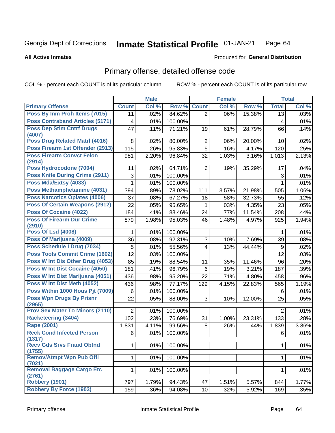#### **Inmate Statistical Profile 01-JAN-21** Page 64

### **All Active Inmates**

## **Produced for General Distribution**

# Primary offense, detailed offense code

COL % - percent each COUNT is of its particular column

|                                            |                | <b>Male</b> |         |                | <b>Female</b> |        |                | <b>Total</b> |
|--------------------------------------------|----------------|-------------|---------|----------------|---------------|--------|----------------|--------------|
| <b>Primary Offense</b>                     | <b>Count</b>   | Col %       | Row %   | <b>Count</b>   | Col %         | Row %  | <b>Total</b>   | Col %        |
| Poss By Inm Proh Items (7015)              | 11             | .02%        | 84.62%  | $\overline{2}$ | .06%          | 15.38% | 13             | .03%         |
| <b>Poss Contraband Articles (5171)</b>     | 4              | .01%        | 100.00% |                |               |        | 4              | .01%         |
| <b>Poss Dep Stim Cntrf Drugs</b><br>(4007) | 47             | .11%        | 71.21%  | 19             | .61%          | 28.79% | 66             | .14%         |
| <b>Poss Drug Related Matri (4016)</b>      | 8              | .02%        | 80.00%  | $\overline{2}$ | .06%          | 20.00% | 10             | .02%         |
| Poss Firearm 1st Offender (2913)           | 115            | .26%        | 95.83%  | $\overline{5}$ | .16%          | 4.17%  | 120            | .25%         |
| <b>Poss Firearm Convct Felon</b>           | 981            | 2.20%       | 96.84%  | 32             | 1.03%         | 3.16%  | 1,013          | 2.13%        |
| (2914)                                     |                |             |         |                |               |        |                |              |
| Poss Hydrocodone (7004)                    | 11             | .02%        | 64.71%  | 6              | .19%          | 35.29% | 17             | .04%         |
| Poss Knife During Crime (2911)             | 3              | .01%        | 100.00% |                |               |        | 3              | .01%         |
| Poss Mda/Extsy (4033)                      | 1              | .01%        | 100.00% |                |               |        | $\mathbf{1}$   | .01%         |
| Poss Methamphetamine (4031)                | 394            | .89%        | 78.02%  | 111            | 3.57%         | 21.98% | 505            | 1.06%        |
| <b>Poss Narcotics Opiates (4006)</b>       | 37             | .08%        | 67.27%  | 18             | .58%          | 32.73% | 55             | .12%         |
| <b>Poss Of Certain Weapons (2912)</b>      | 22             | .05%        | 95.65%  | 1              | .03%          | 4.35%  | 23             | .05%         |
| Poss Of Cocaine (4022)                     | 184            | .41%        | 88.46%  | 24             | .77%          | 11.54% | 208            | .44%         |
| <b>Poss Of Firearm Dur Crime</b>           | 879            | 1.98%       | 95.03%  | 46             | 1.48%         | 4.97%  | 925            | 1.94%        |
| (2910)                                     |                |             |         |                |               |        |                |              |
| <b>Poss Of Lsd (4008)</b>                  | 1              | .01%        | 100.00% |                |               |        | 1              | .01%         |
| Poss Of Marijuana (4009)                   | 36             | .08%        | 92.31%  | 3              | .10%          | 7.69%  | 39             | .08%         |
| Poss Schedule I Drug (7034)                | 5              | .01%        | 55.56%  | $\overline{4}$ | .13%          | 44.44% | 9              | .02%         |
| Poss Tools Commit Crime (1602)             | 12             | .03%        | 100.00% |                |               |        | 12             | .03%         |
| Poss W Int Dis Other Drug (4053)           | 85             | .19%        | 88.54%  | 11             | .35%          | 11.46% | 96             | .20%         |
| Poss W Int Dist Cocaine (4050)             | 181            | .41%        | 96.79%  | 6              | .19%          | 3.21%  | 187            | .39%         |
| Poss W Int Dist Marijuana (4051)           | 436            | .98%        | 95.20%  | 22             | .71%          | 4.80%  | 458            | .96%         |
| Poss W Int Dist Meth (4052)                | 436            | .98%        | 77.17%  | 129            | 4.15%         | 22.83% | 565            | 1.19%        |
| Poss Within 1000 Hous Pjt (7009)           | 6              | .01%        | 100.00% |                |               |        | 6              | .01%         |
| <b>Poss Wpn Drugs By Prisnr</b><br>(2965)  | 22             | .05%        | 88.00%  | 3              | .10%          | 12.00% | 25             | .05%         |
| <b>Prov Sex Mater To Minors (2110)</b>     | $\overline{2}$ | .01%        | 100.00% |                |               |        | $\overline{2}$ | .01%         |
| <b>Racketeering (3404)</b>                 | 102            | .23%        | 76.69%  | 31             | 1.00%         | 23.31% | 133            | .28%         |
| Rape (2001)                                | 1,831          | 4.11%       | 99.56%  | 8              | .26%          | .44%   | 1,839          | 3.86%        |
| <b>Reck Cond Infected Person</b>           | 6              | .01%        | 100.00% |                |               |        | 6              | .01%         |
| (1317)                                     |                |             |         |                |               |        |                |              |
| <b>Recv Gds Srvs Fraud Obtnd</b><br>(1755) | 1              | .01%        | 100.00% |                |               |        | 1              | .01%         |
| <b>Remov/Atmpt Wpn Pub Offl</b>            | $\mathbf{1}$   | .01%        | 100.00% |                |               |        | $\mathbf{1}$   | .01%         |
| (7021)                                     |                |             |         |                |               |        |                |              |
| Removal Baggage Cargo Etc                  | $\mathbf{1}$   | .01%        | 100.00% |                |               |        | $\mathbf 1$    | .01%         |
| (2761)                                     |                |             |         |                |               |        |                |              |
| <b>Robbery (1901)</b>                      | 797            | 1.79%       | 94.43%  | 47             | 1.51%         | 5.57%  | 844            | 1.77%        |
| <b>Robbery By Force (1903)</b>             | 159            | .36%        | 94.08%  | 10             | .32%          | 5.92%  | 169            | .35%         |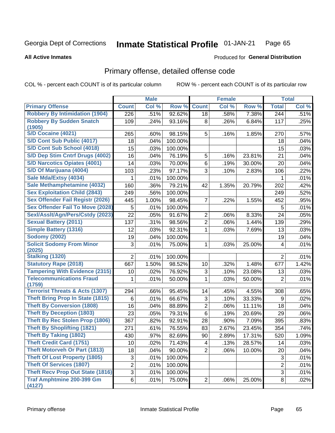#### **Inmate Statistical Profile 01-JAN-21** Page 65

### **All Active Inmates**

## **Produced for General Distribution**

# Primary offense, detailed offense code

COL % - percent each COUNT is of its particular column

|                                            |                | <b>Male</b> |         |                | <b>Female</b> |        |                | <b>Total</b> |
|--------------------------------------------|----------------|-------------|---------|----------------|---------------|--------|----------------|--------------|
| <b>Primary Offense</b>                     | <b>Count</b>   | Col %       | Row %   | <b>Count</b>   | Col %         | Row %  | <b>Total</b>   | Col %        |
| <b>Robbery By Intimidation (1904)</b>      | 226            | .51%        | 92.62%  | 18             | .58%          | 7.38%  | 244            | .51%         |
| <b>Robbery By Sudden Snatch</b><br>(1905)  | 109            | .24%        | 93.16%  | 8              | .26%          | 6.84%  | 117            | .25%         |
| S/D Cocaine (4021)                         | 265            | .60%        | 98.15%  | 5              | .16%          | 1.85%  | 270            | .57%         |
| S/D Cont Sub Public (4017)                 | 18             | .04%        | 100.00% |                |               |        | 18             | .04%         |
| S/D Cont Sub School (4018)                 | 15             | .03%        | 100.00% |                |               |        | 15             | .03%         |
| S/D Dep Stim Cntrf Drugs (4002)            | 16             | .04%        | 76.19%  | 5              | .16%          | 23.81% | 21             | .04%         |
| <b>S/D Narcotics Opiates (4001)</b>        | 14             | .03%        | 70.00%  | 6              | .19%          | 30.00% | 20             | .04%         |
| S/D Of Marijuana (4004)                    | 103            | .23%        | 97.17%  | 3              | .10%          | 2.83%  | 106            | .22%         |
| Sale Mda/Extsy (4034)                      | 1              | .01%        | 100.00% |                |               |        | 1              | .01%         |
| Sale Methamphetamine (4032)                | 160            | .36%        | 79.21%  | 42             | 1.35%         | 20.79% | 202            | .42%         |
| <b>Sex Exploitation Child (2843)</b>       | 249            | .56%        | 100.00% |                |               |        | 249            | .52%         |
| Sex Offender Fail Registr (2026)           | 445            | 1.00%       | 98.45%  | 7              | .22%          | 1.55%  | 452            | .95%         |
| <b>Sex Offender Fail To Move (2028)</b>    | 5              | .01%        | 100.00% |                |               |        | 5              | .01%         |
| Sexl/Asslt/Agn/Pers/Cstdy (2023)           | 22             | .05%        | 91.67%  | $\overline{2}$ | .06%          | 8.33%  | 24             | .05%         |
| <b>Sexual Battery (2011)</b>               | 137            | .31%        | 98.56%  | $\overline{c}$ | .06%          | 1.44%  | 139            | .29%         |
| <b>Simple Battery (1316)</b>               | 12             | .03%        | 92.31%  | 1              | .03%          | 7.69%  | 13             | .03%         |
| <b>Sodomy (2002)</b>                       | 19             | .04%        | 100.00% |                |               |        | 19             | .04%         |
| <b>Solicit Sodomy From Minor</b><br>(2025) | 3              | .01%        | 75.00%  | 1              | .03%          | 25.00% | 4              | .01%         |
| Stalking (1320)                            | $\overline{2}$ | .01%        | 100.00% |                |               |        | $\overline{2}$ | .01%         |
| <b>Statutory Rape (2018)</b>               | 667            | 1.50%       | 98.52%  | 10             | .32%          | 1.48%  | 677            | 1.42%        |
| <b>Tampering With Evidence (2315)</b>      | 10             | .02%        | 76.92%  | 3              | .10%          | 23.08% | 13             | .03%         |
| <b>Telecommunications Fraud</b><br>(1759)  | 1              | .01%        | 50.00%  | 1              | .03%          | 50.00% | $\overline{2}$ | .01%         |
| <b>Terrorist Threats &amp; Acts (1307)</b> | 294            | .66%        | 95.45%  | 14             | .45%          | 4.55%  | 308            | .65%         |
| <b>Theft Bring Prop In State (1815)</b>    | 6              | .01%        | 66.67%  | 3              | .10%          | 33.33% | 9              | .02%         |
| <b>Theft By Conversion (1808)</b>          | 16             | .04%        | 88.89%  | $\overline{c}$ | .06%          | 11.11% | 18             | .04%         |
| <b>Theft By Deception (1803)</b>           | 23             | .05%        | 79.31%  | 6              | .19%          | 20.69% | 29             | .06%         |
| <b>Theft By Rec Stolen Prop (1806)</b>     | 367            | .82%        | 92.91%  | 28             | .90%          | 7.09%  | 395            | .83%         |
| <b>Theft By Shoplifting (1821)</b>         | 271            | .61%        | 76.55%  | 83             | 2.67%         | 23.45% | 354            | .74%         |
| <b>Theft By Taking (1802)</b>              | 430            | .97%        | 82.69%  | 90             | 2.89%         | 17.31% | 520            | 1.09%        |
| <b>Theft Credit Card (1751)</b>            | 10             | .02%        | 71.43%  | 4              | .13%          | 28.57% | 14             | .03%         |
| <b>Theft Motorveh Or Part (1813)</b>       | 18             | .04%        | 90.00%  | $\overline{2}$ | .06%          | 10.00% | 20             | .04%         |
| <b>Theft Of Lost Property (1805)</b>       | $\sqrt{3}$     | .01%        | 100.00% |                |               |        | 3              | .01%         |
| <b>Theft Of Services (1807)</b>            | 2              | .01%        | 100.00% |                |               |        | $\overline{2}$ | .01%         |
| <b>Theft Recv Prop Out State (1816)</b>    | $\overline{3}$ | .01%        | 100.00% |                |               |        | $\overline{3}$ | .01%         |
| <b>Traf Amphtmine 200-399 Gm</b><br>(4127) | 6              | .01%        | 75.00%  | $\overline{2}$ | .06%          | 25.00% | 8              | .02%         |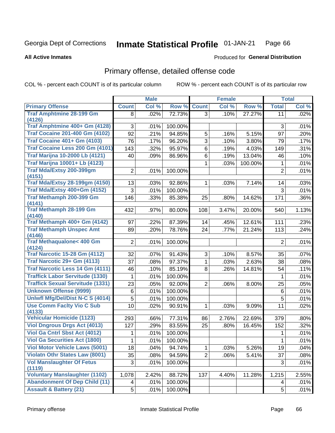#### **Inmate Statistical Profile 01-JAN-21** Page 66

### **All Active Inmates**

## **Produced for General Distribution**

# Primary offense, detailed offense code

COL % - percent each COUNT is of its particular column

|                                               |                | <b>Male</b> |         |                | <b>Female</b> |         |                | <b>Total</b> |
|-----------------------------------------------|----------------|-------------|---------|----------------|---------------|---------|----------------|--------------|
| <b>Primary Offense</b>                        | <b>Count</b>   | Col %       | Row %   | <b>Count</b>   | Col %         | Row %   | <b>Total</b>   | Col %        |
| <b>Traf Amphtmine 28-199 Gm</b>               | 8              | .02%        | 72.73%  | 3 <sup>1</sup> | .10%          | 27.27%  | 11             | .02%         |
| (4126)                                        |                |             |         |                |               |         |                |              |
| Traf Amphtmine 400+ Gm (4128)                 | 3              | .01%        | 100.00% |                |               |         | $\mathbf{3}$   | .01%         |
| <b>Traf Cocaine 201-400 Gm (4102)</b>         | 92             | .21%        | 94.85%  | 5              | .16%          | 5.15%   | 97             | .20%         |
| <b>Traf Cocaine 401+ Gm (4103)</b>            | 76             | .17%        | 96.20%  | 3              | .10%          | 3.80%   | 79             | .17%         |
| Traf Cocaine Less 200 Gm (4101)               | 143            | .32%        | 95.97%  | 6              | .19%          | 4.03%   | 149            | .31%         |
| <b>Traf Marijna 10-2000 Lb (4121)</b>         | 40             | .09%        | 86.96%  | 6              | .19%          | 13.04%  | 46             | .10%         |
| <b>Traf Marijna 10001+ Lb (4123)</b>          |                |             |         | $\mathbf 1$    | .03%          | 100.00% | $\mathbf{1}$   | .01%         |
| Traf Mda/Extsy 200-399gm                      | $\overline{2}$ | .01%        | 100.00% |                |               |         | $\overline{2}$ | .01%         |
| (4151)                                        |                |             |         |                |               |         |                |              |
| <b>Traf Mda/Extsy 28-199gm (4150)</b>         | 13             | .03%        | 92.86%  | $\mathbf{1}$   | .03%          | 7.14%   | 14             | .03%         |
| Traf Mda/Extsy 400+Gm (4152)                  | 3              | .01%        | 100.00% |                |               |         | 3              | .01%         |
| Traf Methamph 200-399 Gm<br>(4141)            | 146            | .33%        | 85.38%  | 25             | .80%          | 14.62%  | 171            | .36%         |
| <b>Traf Methamph 28-199 Gm</b>                | 432            | .97%        | 80.00%  | 108            | 3.47%         | 20.00%  | 540            | 1.13%        |
| (4140)<br>Traf Methamph 400+ Gm (4142)        | 97             | .22%        | 87.39%  | 14             | .45%          | 12.61%  | 111            | .23%         |
| <b>Traf Methamph Unspec Amt</b>               | 89             | .20%        | 78.76%  | 24             | .77%          | 21.24%  | 113            | .24%         |
| (4146)                                        |                |             |         |                |               |         |                |              |
| <b>Traf Methaqualone&lt; 400 Gm</b><br>(4124) | $\overline{2}$ | .01%        | 100.00% |                |               |         | $\overline{2}$ | .01%         |
| <b>Traf Narcotic 15-28 Gm (4112)</b>          | 32             | .07%        | 91.43%  | 3              | .10%          | 8.57%   | 35             | .07%         |
| Traf Narcotic 29+ Gm (4113)                   | 37             | .08%        | 97.37%  | $\mathbf{1}$   | .03%          | 2.63%   | 38             | .08%         |
| Traf Narcotic Less 14 Gm (4111)               | 46             | .10%        | 85.19%  | 8              | .26%          | 14.81%  | 54             | .11%         |
| <b>Traffick Labor Servitude (1330)</b>        | 1              | .01%        | 100.00% |                |               |         | 1              | .01%         |
| <b>Traffick Sexual Servitude (1331)</b>       | 23             | .05%        | 92.00%  | $\overline{2}$ | .06%          | 8.00%   | 25             | .05%         |
| <b>Unknown Offense (9999)</b>                 | 6              | .01%        | 100.00% |                |               |         | 6              | .01%         |
| Uniwfl Mfg/Del/Dist N-C S (4014)              | 5              | .01%        | 100.00% |                |               |         | 5              | .01%         |
| <b>Use Comm Facity Vio C Sub</b>              | 10             | .02%        | 90.91%  | $\mathbf{1}$   | .03%          | 9.09%   | 11             | .02%         |
| (4133)<br><b>Vehicular Homicide (1123)</b>    |                |             | 77.31%  |                |               | 22.69%  |                |              |
| <b>Viol Dngrous Drgs Act (4013)</b>           | 293            | .66%        |         | 86             | 2.76%         |         | 379            | .80%         |
| Viol Ga Cntrl Sbst Act (4012)                 | 127            | .29%        | 83.55%  | 25             | .80%          | 16.45%  | 152            | .32%         |
|                                               | 1              | .01%        | 100.00% |                |               |         | 1              | .01%         |
| <b>Viol Ga Securities Act (1800)</b>          | $\mathbf 1$    | .01%        | 100.00% |                |               |         | $\mathbf 1$    | .01%         |
| <b>Viol Motor Vehicle Laws (5001)</b>         | 18             | .04%        | 94.74%  | $\mathbf{1}$   | .03%          | 5.26%   | 19             | .04%         |
| <b>Violatn Othr States Law (8001)</b>         | 35             | .08%        | 94.59%  | $\overline{2}$ | .06%          | 5.41%   | 37             | .08%         |
| <b>Vol Manslaughter Of Fetus</b><br>(1119)    | $\mathbf{3}$   | .01%        | 100.00% |                |               |         | 3              | .01%         |
| <b>Voluntary Manslaughter (1102)</b>          | 1,078          | 2.42%       | 88.72%  | 137            | 4.40%         | 11.28%  | 1,215          | 2.55%        |
| <b>Abandonment Of Dep Child (11)</b>          | 4              | .01%        | 100.00% |                |               |         | 4              | .01%         |
| <b>Assault &amp; Battery (21)</b>             | 5              | .01%        | 100.00% |                |               |         | 5              | .01%         |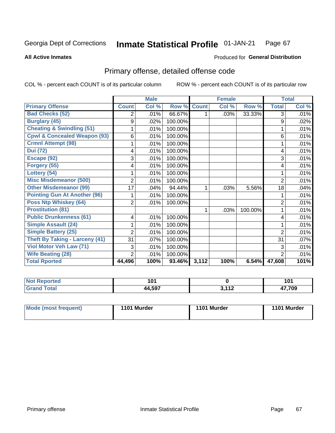### Inmate Statistical Profile 01-JAN-21 Page 67

**All Active Inmates** 

## **Produced for General Distribution**

# Primary offense, detailed offense code

COL % - percent each COUNT is of its particular column

|                                         |                | <b>Male</b> |         |              | <b>Female</b> |         |                | <b>Total</b> |
|-----------------------------------------|----------------|-------------|---------|--------------|---------------|---------|----------------|--------------|
| <b>Primary Offense</b>                  | <b>Count</b>   | Col %       | Row %   | <b>Count</b> | Col %         | Row %   | <b>Total</b>   | Col %        |
| <b>Bad Checks (52)</b>                  | 2              | .01%        | 66.67%  |              | .03%          | 33.33%  | 3              | .01%         |
| <b>Burglary (45)</b>                    | 9              | .02%        | 100.00% |              |               |         | 9              | .02%         |
| <b>Cheating &amp; Swindling (51)</b>    |                | .01%        | 100.00% |              |               |         |                | .01%         |
| <b>Cpwl &amp; Concealed Weapon (93)</b> | 6              | .01%        | 100.00% |              |               |         | 6              | .01%         |
| <b>Crmnl Attempt (98)</b>               |                | .01%        | 100.00% |              |               |         |                | .01%         |
| <b>Dui (72)</b>                         | 4              | .01%        | 100.00% |              |               |         | 4              | .01%         |
| Escape (92)                             | 3              | .01%        | 100.00% |              |               |         | 3              | .01%         |
| Forgery (55)                            | 4              | .01%        | 100.00% |              |               |         | 4              | .01%         |
| Lottery (54)                            |                | .01%        | 100.00% |              |               |         |                | .01%         |
| <b>Misc Misdemeanor (500)</b>           | 2              | .01%        | 100.00% |              |               |         | 2              | .01%         |
| <b>Other Misdemeanor (99)</b>           | 17             | .04%        | 94.44%  | 1            | .03%          | 5.56%   | 18             | .04%         |
| <b>Pointing Gun At Another (96)</b>     |                | .01%        | 100.00% |              |               |         |                | .01%         |
| Poss Ntp Whiskey (64)                   | $\overline{2}$ | .01%        | 100.00% |              |               |         | $\overline{2}$ | .01%         |
| <b>Prostitution (81)</b>                |                |             |         | 1.           | .03%          | 100.00% |                | .01%         |
| <b>Public Drunkenness (61)</b>          | 4              | .01%        | 100.00% |              |               |         | 4              | .01%         |
| <b>Simple Assault (24)</b>              |                | .01%        | 100.00% |              |               |         |                | .01%         |
| <b>Simple Battery (25)</b>              | 2              | .01%        | 100.00% |              |               |         | $\overline{2}$ | .01%         |
| <b>Theft By Taking - Larceny (41)</b>   | 31             | .07%        | 100.00% |              |               |         | 31             | .07%         |
| Viol Motor Veh Law (71)                 | 3              | .01%        | 100.00% |              |               |         | 3              | .01%         |
| <b>Wife Beating (28)</b>                | 2              | .01%        | 100.00% |              |               |         | $\overline{2}$ | .01%         |
| <b>Total Rported</b>                    | 44,496         | 100%        | 93.46%  | 3,112        | 100%          | 6.54%   | 47,608         | 101%         |

| Not I<br>Reported<br> | ، Λ<br>וטו |                          | 1 N 1<br>ו טו |
|-----------------------|------------|--------------------------|---------------|
| <b>Total</b><br>Gra   | 44,597     | <b>2440</b><br>14<br>. . | 47,709        |

| Mode (most frequent) | 1101 Murder |  | 1101 Murder |
|----------------------|-------------|--|-------------|
|                      |             |  |             |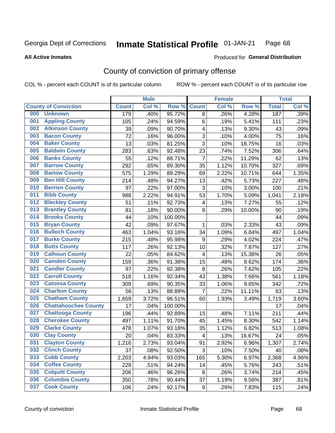#### Inmate Statistical Profile 01-JAN-21 Page 68

Produced for General Distribution

### **All Active Inmates**

# County of conviction of primary offense

COL % - percent each COUNT is of its particular column

|                                    |              | <b>Male</b> |         |                         | <b>Female</b> |        |              | <b>Total</b> |
|------------------------------------|--------------|-------------|---------|-------------------------|---------------|--------|--------------|--------------|
| <b>County of Conviction</b>        | <b>Count</b> | Col %       | Row %   | <b>Count</b>            | Col %         | Row %  | <b>Total</b> | Col %        |
| <b>Unknown</b><br>000              | 179          | .40%        | 95.72%  | 8                       | .26%          | 4.28%  | 187          | .39%         |
| <b>Appling County</b><br>001       | 105          | .24%        | 94.59%  | 6                       | .19%          | 5.41%  | 111          | .23%         |
| <b>Atkinson County</b><br>002      | 39           | .09%        | 90.70%  | 4                       | .13%          | 9.30%  | 43           | .09%         |
| <b>Bacon County</b><br>003         | 72           | .16%        | 96.00%  | 3                       | .10%          | 4.00%  | 75           | .16%         |
| <b>Baker County</b><br>004         | 13           | .03%        | 81.25%  | 3                       | .10%          | 18.75% | 16           | .03%         |
| <b>Baldwin County</b><br>005       | 283          | .63%        | 92.48%  | 23                      | .74%          | 7.52%  | 306          | .64%         |
| <b>Banks County</b><br>006         | 55           | .12%        | 88.71%  | $\overline{7}$          | .22%          | 11.29% | 62           | .13%         |
| <b>Barrow County</b><br>007        | 292          | .65%        | 89.30%  | 35                      | 1.12%         | 10.70% | 327          | .69%         |
| <b>Bartow County</b><br>008        | 575          | 1.29%       | 89.29%  | 69                      | 2.22%         | 10.71% | 644          | 1.35%        |
| <b>Ben Hill County</b><br>009      | 214          | $.48\%$     | 94.27%  | 13                      | .42%          | 5.73%  | 227          | .48%         |
| <b>Berrien County</b><br>010       | 97           | .22%        | 97.00%  | 3                       | .10%          | 3.00%  | 100          | .21%         |
| <b>Bibb County</b><br>011          | 988          | 2.22%       | 94.91%  | 53                      | 1.70%         | 5.09%  | 1,041        | 2.18%        |
| <b>Bleckley County</b><br>012      | 51           | .11%        | 92.73%  | 4                       | .13%          | 7.27%  | 55           | .12%         |
| <b>Brantley County</b><br>013      | 81           | .18%        | 90.00%  | 9                       | .29%          | 10.00% | 90           | .19%         |
| <b>Brooks County</b><br>014        | 44           | .10%        | 100.00% |                         |               |        | 44           | .09%         |
| 015<br><b>Bryan County</b>         | 42           | .09%        | 97.67%  | 1                       | .03%          | 2.33%  | 43           | .09%         |
| <b>Bulloch County</b><br>016       | 463          | 1.04%       | 93.16%  | 34                      | 1.09%         | 6.84%  | 497          | 1.04%        |
| <b>Burke County</b><br>017         | 215          | .48%        | 95.98%  | 9                       | .29%          | 4.02%  | 224          | .47%         |
| <b>Butts County</b><br>018         | 117          | .26%        | 92.13%  | 10                      | .32%          | 7.87%  | 127          | .27%         |
| <b>Calhoun County</b><br>019       | 22           | .05%        | 84.62%  | 4                       | .13%          | 15.38% | 26           | .05%         |
| <b>Camden County</b><br>020        | 159          | .36%        | 91.38%  | 15                      | .48%          | 8.62%  | 174          | .36%         |
| <b>Candler County</b><br>021       | 97           | .22%        | 92.38%  | 8                       | .26%          | 7.62%  | 105          | .22%         |
| <b>Carroll County</b><br>022       | 518          | 1.16%       | 92.34%  | 43                      | 1.38%         | 7.66%  | 561          | 1.18%        |
| <b>Catoosa County</b><br>023       | 309          | .69%        | 90.35%  | 33                      | 1.06%         | 9.65%  | 342          | .72%         |
| <b>Charlton County</b><br>024      | 56           | .13%        | 88.89%  | $\overline{7}$          | .22%          | 11.11% | 63           | .13%         |
| 025<br><b>Chatham County</b>       | 1,659        | 3.72%       | 96.51%  | 60                      | 1.93%         | 3.49%  | 1,719        | 3.60%        |
| <b>Chattahoochee County</b><br>026 | 17           | .04%        | 100.00% |                         |               |        | 17           | .04%         |
| <b>Chattooga County</b><br>027     | 196          | .44%        | 92.89%  | 15                      | .48%          | 7.11%  | 211          | .44%         |
| <b>Cherokee County</b><br>028      | 497          | 1.11%       | 91.70%  | 45                      | 1.45%         | 8.30%  | 542          | 1.14%        |
| <b>Clarke County</b><br>029        | 478          | 1.07%       | 93.18%  | 35                      | 1.12%         | 6.82%  | 513          | 1.08%        |
| <b>Clay County</b><br>030          | 20           | .04%        | 83.33%  | $\overline{\mathbf{4}}$ | .13%          | 16.67% | 24           | .05%         |
| 031<br><b>Clayton County</b>       | 1,216        | 2.73%       | 93.04%  | 91                      | 2.92%         | 6.96%  | 1,307        | 2.74%        |
| <b>Clinch County</b><br>032        | 37           | .08%        | 92.50%  | 3                       | .10%          | 7.50%  | 40           | .08%         |
| <b>Cobb County</b><br>033          | 2,203        | 4.94%       | 93.03%  | 165                     | 5.30%         | 6.97%  | 2,368        | 4.96%        |
| <b>Coffee County</b><br>034        | 229          | .51%        | 94.24%  | 14                      | .45%          | 5.76%  | 243          | .51%         |
| <b>Colquitt County</b><br>035      | 206          | .46%        | 96.26%  | 8                       | .26%          | 3.74%  | 214          | .45%         |
| <b>Columbia County</b><br>036      | 350          | .78%        | 90.44%  | 37                      | 1.19%         | 9.56%  | 387          | .81%         |
| <b>Cook County</b><br>037          | 106          | .24%        | 92.17%  | 9                       | .29%          | 7.83%  | 115          | .24%         |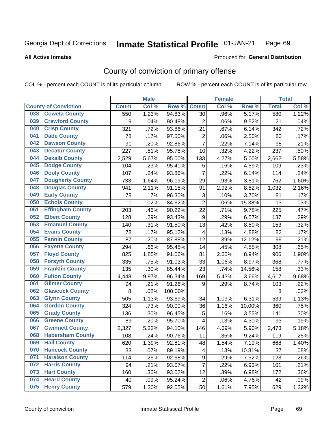#### Inmate Statistical Profile 01-JAN-21 Page 69

### **All Active Inmates**

## Produced for General Distribution

# County of conviction of primary offense

COL % - percent each COUNT is of its particular column

|                                |              | <b>Male</b> |         |                           | <b>Female</b> |        |              | <b>Total</b> |
|--------------------------------|--------------|-------------|---------|---------------------------|---------------|--------|--------------|--------------|
| <b>County of Conviction</b>    | <b>Count</b> | Col %       | Row %   | <b>Count</b>              | Col %         | Row %  | <b>Total</b> | Col %        |
| <b>Coweta County</b><br>038    | 550          | 1.23%       | 94.83%  | 30                        | .96%          | 5.17%  | 580          | 1.22%        |
| <b>Crawford County</b><br>039  | 19           | .04%        | 90.48%  | $\overline{2}$            | .06%          | 9.52%  | 21           | .04%         |
| <b>Crisp County</b><br>040     | 321          | .72%        | 93.86%  | 21                        | .67%          | 6.14%  | 342          | .72%         |
| <b>Dade County</b><br>041      | 78           | .17%        | 97.50%  | $\overline{2}$            | .06%          | 2.50%  | 80           | .17%         |
| <b>Dawson County</b><br>042    | 91           | .20%        | 92.86%  | $\overline{7}$            | .22%          | 7.14%  | 98           | .21%         |
| 043<br><b>Decatur County</b>   | 227          | .51%        | 95.78%  | 10                        | .32%          | 4.22%  | 237          | .50%         |
| <b>Dekalb County</b><br>044    | 2,529        | 5.67%       | 95.00%  | 133                       | 4.27%         | 5.00%  | 2,662        | 5.58%        |
| 045<br><b>Dodge County</b>     | 104          | .23%        | 95.41%  | 5                         | .16%          | 4.59%  | 109          | .23%         |
| <b>Dooly County</b><br>046     | 107          | .24%        | 93.86%  | $\overline{7}$            | .22%          | 6.14%  | 114          | .24%         |
| 047<br><b>Dougherty County</b> | 733          | 1.64%       | 96.19%  | 29                        | .93%          | 3.81%  | 762          | 1.60%        |
| <b>Douglas County</b><br>048   | 941          | 2.11%       | 91.18%  | 91                        | 2.92%         | 8.82%  | 1,032        | 2.16%        |
| <b>Early County</b><br>049     | 78           | .17%        | 96.30%  | $\ensuremath{\mathsf{3}}$ | .10%          | 3.70%  | 81           | .17%         |
| <b>Echols County</b><br>050    | 11           | .02%        | 84.62%  | $\overline{2}$            | .06%          | 15.38% | 13           | .03%         |
| 051<br><b>Effingham County</b> | 203          | .46%        | 90.22%  | 22                        | .71%          | 9.78%  | 225          | .47%         |
| 052<br><b>Elbert County</b>    | 128          | .29%        | 93.43%  | 9                         | .29%          | 6.57%  | 137          | .29%         |
| <b>Emanuel County</b><br>053   | 140          | .31%        | 91.50%  | 13                        | .42%          | 8.50%  | 153          | .32%         |
| <b>Evans County</b><br>054     | 78           | .17%        | 95.12%  | $\overline{\mathbf{4}}$   | .13%          | 4.88%  | 82           | .17%         |
| <b>Fannin County</b><br>055    | 87           | .20%        | 87.88%  | 12                        | .39%          | 12.12% | 99           | .21%         |
| <b>Fayette County</b><br>056   | 294          | .66%        | 95.45%  | 14                        | .45%          | 4.55%  | 308          | .65%         |
| <b>Floyd County</b><br>057     | 825          | 1.85%       | 91.06%  | 81                        | 2.60%         | 8.94%  | 906          | 1.90%        |
| <b>Forsyth County</b><br>058   | 335          | .75%        | 91.03%  | 33                        | 1.06%         | 8.97%  | 368          | .77%         |
| <b>Franklin County</b><br>059  | 135          | .30%        | 85.44%  | 23                        | .74%          | 14.56% | 158          | .33%         |
| <b>Fulton County</b><br>060    | 4,448        | 9.97%       | 96.34%  | 169                       | 5.43%         | 3.66%  | 4,617        | 9.68%        |
| <b>Gilmer County</b><br>061    | 94           | .21%        | 91.26%  | 9                         | .29%          | 8.74%  | 103          | .22%         |
| <b>Glascock County</b><br>062  | 8            | .02%        | 100.00% |                           |               |        | 8            | .02%         |
| <b>Glynn County</b><br>063     | 505          | 1.13%       | 93.69%  | 34                        | 1.09%         | 6.31%  | 539          | 1.13%        |
| <b>Gordon County</b><br>064    | 324          | .73%        | 90.00%  | 36                        | 1.16%         | 10.00% | 360          | .75%         |
| <b>Grady County</b><br>065     | 136          | .30%        | 96.45%  | 5                         | .16%          | 3.55%  | 141          | .30%         |
| <b>Greene County</b><br>066    | 89           | .20%        | 95.70%  | 4                         | .13%          | 4.30%  | 93           | .19%         |
| <b>Gwinnett County</b><br>067  | 2,327        | 5.22%       | 94.10%  | 146                       | 4.69%         | 5.90%  | 2,473        | 5.18%        |
| <b>Habersham County</b><br>068 | 108          | .24%        | 90.76%  | 11                        | .35%          | 9.24%  | 119          | .25%         |
| <b>Hall County</b><br>069      | 620          | 1.39%       | 92.81%  | 48                        | 1.54%         | 7.19%  | 668          | 1.40%        |
| <b>Hancock County</b><br>070   | 33           | .07%        | 89.19%  | 4                         | .13%          | 10.81% | 37           | .08%         |
| 071<br><b>Haralson County</b>  | 114          | .26%        | 92.68%  | 9                         | .29%          | 7.32%  | 123          | .26%         |
| 072<br><b>Harris County</b>    | 94           | .21%        | 93.07%  | $\overline{7}$            | .22%          | 6.93%  | 101          | .21%         |
| <b>Hart County</b><br>073      | 160          | .36%        | 93.02%  | 12                        | .39%          | 6.98%  | 172          | .36%         |
| <b>Heard County</b><br>074     | 40           | .09%        | 95.24%  | $\overline{2}$            | .06%          | 4.76%  | 42           | .09%         |
| <b>Henry County</b><br>075     | 579          | 1.30%       | 92.05%  | 50                        | 1.61%         | 7.95%  | 629          | 1.32%        |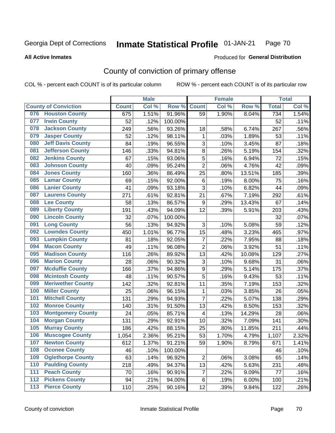#### Inmate Statistical Profile 01-JAN-21 Page 70

### **All Active Inmates**

## Produced for General Distribution

# County of conviction of primary offense

COL % - percent each COUNT is of its particular column

|                                           |              | <b>Male</b> |         |                  | <b>Female</b> |        |              | <b>Total</b> |
|-------------------------------------------|--------------|-------------|---------|------------------|---------------|--------|--------------|--------------|
| <b>County of Conviction</b>               | <b>Count</b> | Col %       | Row %   | <b>Count</b>     | Col %         | Row %  | <b>Total</b> | Col %        |
| <b>Houston County</b><br>076              | 675          | 1.51%       | 91.96%  | 59               | 1.90%         | 8.04%  | 734          | 1.54%        |
| <b>Irwin County</b><br>077                | 52           | .12%        | 100.00% |                  |               |        | 52           | .11%         |
| <b>Jackson County</b><br>078              | 249          | .56%        | 93.26%  | 18               | .58%          | 6.74%  | 267          | .56%         |
| <b>Jasper County</b><br>079               | 52           | .12%        | 98.11%  | 1                | .03%          | 1.89%  | 53           | .11%         |
| <b>Jeff Davis County</b><br>080           | 84           | .19%        | 96.55%  | 3                | .10%          | 3.45%  | 87           | .18%         |
| 081<br><b>Jefferson County</b>            | 146          | .33%        | 94.81%  | 8                | .26%          | 5.19%  | 154          | .32%         |
| <b>Jenkins County</b><br>082              | 67           | .15%        | 93.06%  | 5                | .16%          | 6.94%  | 72           | .15%         |
| <b>Johnson County</b><br>083              | 40           | .09%        | 95.24%  | $\overline{2}$   | .06%          | 4.76%  | 42           | .09%         |
| <b>Jones County</b><br>084                | 160          | .36%        | 86.49%  | 25               | .80%          | 13.51% | 185          | .39%         |
| <b>Lamar County</b><br>085                | 69           | .15%        | 92.00%  | 6                | .19%          | 8.00%  | 75           | .16%         |
| <b>Lanier County</b><br>086               | 41           | .09%        | 93.18%  | 3                | .10%          | 6.82%  | 44           | .09%         |
| <b>Laurens County</b><br>087              | 271          | .61%        | 92.81%  | 21               | .67%          | 7.19%  | 292          | .61%         |
| <b>Lee County</b><br>088                  | 58           | .13%        | 86.57%  | $\boldsymbol{9}$ | .29%          | 13.43% | 67           | .14%         |
| <b>Liberty County</b><br>089              | 191          | .43%        | 94.09%  | 12               | .39%          | 5.91%  | 203          | .43%         |
| <b>Lincoln County</b><br>090              | 32           | .07%        | 100.00% |                  |               |        | 32           | .07%         |
| <b>Long County</b><br>091                 | 56           | .13%        | 94.92%  | 3                | .10%          | 5.08%  | 59           | .12%         |
| <b>Lowndes County</b><br>092              | 450          | 1.01%       | 96.77%  | 15               | .48%          | 3.23%  | 465          | .97%         |
| <b>Lumpkin County</b><br>093              | 81           | .18%        | 92.05%  | $\overline{7}$   | .22%          | 7.95%  | 88           | .18%         |
| <b>Macon County</b><br>094                | 49           | .11%        | 96.08%  | $\overline{2}$   | .06%          | 3.92%  | 51           | .11%         |
| <b>Madison County</b><br>095              | 116          | .26%        | 89.92%  | 13               | .42%          | 10.08% | 129          | .27%         |
| <b>Marion County</b><br>096               | 28           | .06%        | 90.32%  | 3                | .10%          | 9.68%  | 31           | .06%         |
| <b>Mcduffie County</b><br>097             | 166          | .37%        | 94.86%  | 9                | .29%          | 5.14%  | 175          | .37%         |
| <b>Mcintosh County</b><br>098             | 48           | .11%        | 90.57%  | 5                | .16%          | 9.43%  | 53           | .11%         |
| <b>Meriwether County</b><br>099           | 142          | .32%        | 92.81%  | 11               | .35%          | 7.19%  | 153          | .32%         |
| <b>Miller County</b><br>100               | 25           | .06%        | 96.15%  | $\mathbf{1}$     | .03%          | 3.85%  | 26           | .05%         |
| <b>Mitchell County</b><br>101             | 131          | .29%        | 94.93%  | $\overline{7}$   | .22%          | 5.07%  | 138          | .29%         |
| <b>Monroe County</b><br>102               | 140          | .31%        | 91.50%  | 13               | .42%          | 8.50%  | 153          | .32%         |
| <b>Montgomery County</b><br>103           | 24           | .05%        | 85.71%  | 4                | .13%          | 14.29% | 28           | .06%         |
| <b>Morgan County</b><br>104               | 131          | .29%        | 92.91%  | 10               | .32%          | 7.09%  | 141          | .30%         |
| <b>Murray County</b><br>105               | 186          | .42%        | 88.15%  | 25               | .80%          | 11.85% | 211          | .44%         |
| <b>Muscogee County</b><br>106             | 1,054        | 2.36%       | 95.21%  | 53               | 1.70%         | 4.79%  | 1,107        | 2.32%        |
| 107<br><b>Newton County</b>               | 612          | 1.37%       | 91.21%  | 59               | 1.90%         | 8.79%  | 671          | 1.41%        |
| <b>Oconee County</b><br>108               | 46           | .10%        | 100.00% |                  |               |        | 46           | .10%         |
| <b>Oglethorpe County</b><br>109           | 63           | .14%        | 96.92%  | $\overline{2}$   | .06%          | 3.08%  | 65           | .14%         |
| <b>Paulding County</b><br>110             | 218          | .49%        | 94.37%  | 13               | .42%          | 5.63%  | 231          | .48%         |
| <b>Peach County</b><br>111                | 70           | .16%        | 90.91%  | $\overline{7}$   | .22%          | 9.09%  | 77           | .16%         |
| <b>Pickens County</b><br>$\overline{112}$ | 94           | .21%        | 94.00%  | 6                | .19%          | 6.00%  | 100          | .21%         |
| <b>Pierce County</b><br>$113$             | 110          | .25%        | 90.16%  | 12               | .39%          | 9.84%  | 122          | .26%         |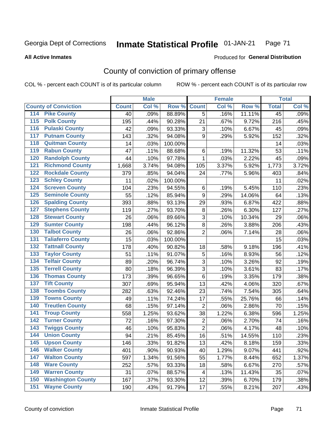#### Inmate Statistical Profile 01-JAN-21 Page 71

### **All Active Inmates**

## Produced for General Distribution

# County of conviction of primary offense

COL % - percent each COUNT is of its particular column

|                                          |                  | <b>Male</b> |         |                | <b>Female</b> |        |                 | <b>Total</b> |
|------------------------------------------|------------------|-------------|---------|----------------|---------------|--------|-----------------|--------------|
| <b>County of Conviction</b>              | <b>Count</b>     | Col %       | Row %   | <b>Count</b>   | Col %         | Row %  | <b>Total</b>    | Col %        |
| <b>Pike County</b><br>114                | 40               | .09%        | 88.89%  | 5              | .16%          | 11.11% | $\overline{45}$ | .09%         |
| <b>Polk County</b><br>$\overline{115}$   | 195              | .44%        | 90.28%  | 21             | .67%          | 9.72%  | 216             | .45%         |
| <b>Pulaski County</b><br>116             | 42               | .09%        | 93.33%  | 3              | .10%          | 6.67%  | 45              | .09%         |
| <b>Putnam County</b><br>117              | 143              | .32%        | 94.08%  | 9              | .29%          | 5.92%  | 152             | .32%         |
| <b>Quitman County</b><br>118             | 14               | .03%        | 100.00% |                |               |        | 14              | .03%         |
| <b>Rabun County</b><br>119               | 47               | .11%        | 88.68%  | 6              | .19%          | 11.32% | 53              | .11%         |
| <b>Randolph County</b><br>120            | 44               | .10%        | 97.78%  | $\mathbf{1}$   | .03%          | 2.22%  | 45              | .09%         |
| <b>Richmond County</b><br>121            | 1,668            | 3.74%       | 94.08%  | 105            | 3.37%         | 5.92%  | 1,773           | 3.72%        |
| <b>Rockdale County</b><br>122            | 379              | .85%        | 94.04%  | 24             | .77%          | 5.96%  | 403             | .84%         |
| $\overline{123}$<br><b>Schley County</b> | 11               | .02%        | 100.00% |                |               |        | 11              | .02%         |
| <b>Screven County</b><br>124             | 104              | .23%        | 94.55%  | $\,6$          | .19%          | 5.45%  | 110             | .23%         |
| <b>Seminole County</b><br>125            | 55               | .12%        | 85.94%  | 9              | .29%          | 14.06% | 64              | .13%         |
| <b>Spalding County</b><br>126            | 393              | .88%        | 93.13%  | 29             | .93%          | 6.87%  | 422             | .88%         |
| 127<br><b>Stephens County</b>            | 119              | .27%        | 93.70%  | 8              | .26%          | 6.30%  | 127             | .27%         |
| <b>Stewart County</b><br>128             | 26               | .06%        | 89.66%  | 3              | .10%          | 10.34% | 29              | .06%         |
| <b>Sumter County</b><br>129              | 198              | .44%        | 96.12%  | 8              | .26%          | 3.88%  | 206             | .43%         |
| <b>Talbot County</b><br>130              | 26               | .06%        | 92.86%  | $\overline{2}$ | .06%          | 7.14%  | 28              | .06%         |
| <b>Taliaferro County</b><br>131          | 15               | .03%        | 100.00% |                |               |        | 15              | .03%         |
| <b>Tattnall County</b><br>132            | 178              | .40%        | 90.82%  | 18             | .58%          | 9.18%  | 196             | .41%         |
| <b>Taylor County</b><br>133              | 51               | .11%        | 91.07%  | $\mathbf 5$    | .16%          | 8.93%  | 56              | .12%         |
| <b>Telfair County</b><br>134             | 89               | .20%        | 96.74%  | 3              | .10%          | 3.26%  | 92              | .19%         |
| <b>Terrell County</b><br>135             | 80               | .18%        | 96.39%  | 3              | .10%          | 3.61%  | 83              | .17%         |
| <b>Thomas County</b><br>136              | 173              | .39%        | 96.65%  | 6              | .19%          | 3.35%  | 179             | .38%         |
| <b>Tift County</b><br>137                | 307              | .69%        | 95.94%  | 13             | .42%          | 4.06%  | 320             | .67%         |
| <b>Toombs County</b><br>138              | 282              | .63%        | 92.46%  | 23             | .74%          | 7.54%  | 305             | .64%         |
| <b>Towns County</b><br>139               | 49               | .11%        | 74.24%  | 17             | .55%          | 25.76% | 66              | .14%         |
| <b>Treutlen County</b><br>140            | 68               | .15%        | 97.14%  | $\overline{2}$ | .06%          | 2.86%  | 70              | .15%         |
| <b>Troup County</b><br>141               | 558              | 1.25%       | 93.62%  | 38             | 1.22%         | 6.38%  | 596             | 1.25%        |
| <b>Turner County</b><br>142              | 72               | .16%        | 97.30%  | $\overline{2}$ | .06%          | 2.70%  | 74              | .16%         |
| $\overline{143}$<br><b>Twiggs County</b> | 46               | .10%        | 95.83%  | $\overline{2}$ | .06%          | 4.17%  | 48              | .10%         |
| <b>Union County</b><br>144               | 94               | .21%        | 85.45%  | 16             | .51%          | 14.55% | 110             | .23%         |
| $\overline{145}$<br><b>Upson County</b>  | $\overline{146}$ | .33%        | 91.82%  | 13             | .42%          | 8.18%  | 159             | .33%         |
| <b>Walker County</b><br>146              | 401              | .90%        | 90.93%  | 40             | 1.29%         | 9.07%  | 441             | .92%         |
| <b>Walton County</b><br>147              | 597              | 1.34%       | 91.56%  | 55             | 1.77%         | 8.44%  | 652             | 1.37%        |
| <b>Ware County</b><br>148                | 252              | .57%        | 93.33%  | 18             | .58%          | 6.67%  | 270             | .57%         |
| <b>Warren County</b><br>149              | 31               | .07%        | 88.57%  | 4              | .13%          | 11.43% | 35              | .07%         |
| <b>Washington County</b><br>150          | 167              | .37%        | 93.30%  | 12             | .39%          | 6.70%  | 179             | .38%         |
| <b>Wayne County</b><br>151               | 190              | .43%        | 91.79%  | 17             | .55%          | 8.21%  | 207             | .43%         |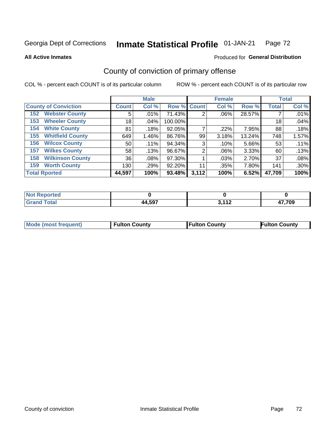#### Inmate Statistical Profile 01-JAN-21 Page 72

**All Active Inmates** 

### Produced for General Distribution

# County of conviction of primary offense

COL % - percent each COUNT is of its particular column

|                                |                 | <b>Male</b> |             |       | <b>Female</b> |        |              | <b>Total</b> |
|--------------------------------|-----------------|-------------|-------------|-------|---------------|--------|--------------|--------------|
| <b>County of Conviction</b>    | <b>Count</b>    | Col %       | Row % Count |       | Col %         | Row %  | <b>Total</b> | Col %        |
| <b>Webster County</b><br>152   | 5               | .01%        | 71.43%      | 2     | $.06\%$       | 28.57% |              | .01%         |
| <b>Wheeler County</b><br>153   | 18 <sub>1</sub> | .04%        | 100.00%     |       |               |        | 18           | .04%         |
| <b>White County</b><br>154     | 81              | .18%        | 92.05%      |       | $.22\%$       | 7.95%  | 88           | .18%         |
| <b>Whitfield County</b><br>155 | 649             | 1.46%       | 86.76%      | 99    | 3.18%         | 13.24% | 748          | 1.57%        |
| <b>Wilcox County</b><br>156    | 50              | .11%        | 94.34%      | 3     | .10%          | 5.66%  | 53           | .11%         |
| <b>Wilkes County</b><br>157    | 58              | .13%        | 96.67%      | 2     | $.06\%$       | 3.33%  | 60           | .13%         |
| <b>Wilkinson County</b><br>158 | 36              | .08%        | 97.30%      |       | .03%          | 2.70%  | 37           | .08%         |
| <b>Worth County</b><br>159     | 130             | .29%        | 92.20%      | 11    | .35%          | 7.80%  | 141          | .30%         |
| <b>Total Rported</b>           | 44,597          | 100%        | 93.48%      | 3,112 | 100%          | 6.52%  | 47,709       | 100%         |

| <b>Not Reported</b> |        |     |        |
|---------------------|--------|-----|--------|
| <b>Total</b>        | 44,597 | 113 | 17,709 |

| Mode (most frequent) | <b>Fulton County</b> | <b>Fulton County</b> | <b>Fulton County</b> |
|----------------------|----------------------|----------------------|----------------------|
|                      |                      |                      |                      |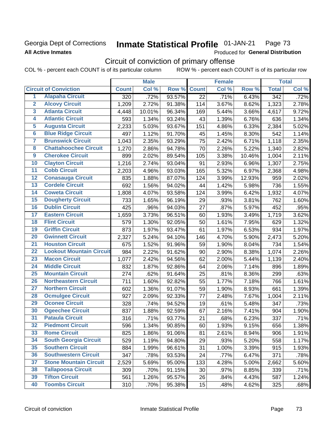# Georgia Dept of Corrections **All Active Inmates**

### **Inmate Statistical Profile 01-JAN-21** Page 73

Produced for General Distribution

# Circuit of conviction of primary offense

COL % - percent each COUNT is of its particular column ROW % - percent each COUNT is of its particular row

|                         |                                 | <b>Male</b>  |        |        | <b>Female</b>   |       |        | <b>Total</b>       |       |
|-------------------------|---------------------------------|--------------|--------|--------|-----------------|-------|--------|--------------------|-------|
|                         | <b>Circuit of Conviction</b>    | <b>Count</b> | Col %  | Row %  | <b>Count</b>    | Col % | Row %  | <b>Total</b>       | Col % |
| $\overline{1}$          | <b>Alapaha Circuit</b>          | 320          | .72%   | 93.57% | $\overline{22}$ | .71%  | 6.43%  | $\overline{342}$   | .72%  |
| $\overline{2}$          | <b>Alcovy Circuit</b>           | 1,209        | 2.72%  | 91.38% | 114             | 3.67% | 8.62%  | 1,323              | 2.78% |
| $\overline{\mathbf{3}}$ | <b>Atlanta Circuit</b>          | 4,448        | 10.01% | 96.34% | 169             | 5.44% | 3.66%  | 4,617              | 9.72% |
| 4                       | <b>Atlantic Circuit</b>         | 593          | 1.34%  | 93.24% | 43              | 1.39% | 6.76%  | 636                | 1.34% |
| 5                       | <b>Augusta Circuit</b>          | 2,233        | 5.03%  | 93.67% | 151             | 4.86% | 6.33%  | $\overline{2,}384$ | 5.02% |
| $6\phantom{a}$          | <b>Blue Ridge Circuit</b>       | 497          | 1.12%  | 91.70% | 45              | 1.45% | 8.30%  | 542                | 1.14% |
| 7                       | <b>Brunswick Circuit</b>        | 1,043        | 2.35%  | 93.29% | 75              | 2.42% | 6.71%  | 1,118              | 2.35% |
| 8                       | <b>Chattahoochee Circuit</b>    | 1,270        | 2.86%  | 94.78% | 70              | 2.26% | 5.22%  | 1,340              | 2.82% |
| $\overline{9}$          | <b>Cherokee Circuit</b>         | 899          | 2.02%  | 89.54% | 105             | 3.38% | 10.46% | 1,004              | 2.11% |
| 10                      | <b>Clayton Circuit</b>          | 1,216        | 2.74%  | 93.04% | 91              | 2.93% | 6.96%  | 1,307              | 2.75% |
| 11                      | <b>Cobb Circuit</b>             | 2,203        | 4.96%  | 93.03% | 165             | 5.32% | 6.97%  | 2,368              | 4.98% |
| 12                      | <b>Conasauga Circuit</b>        | 835          | 1.88%  | 87.07% | 124             | 3.99% | 12.93% | 959                | 2.02% |
| $\overline{13}$         | <b>Cordele Circuit</b>          | 692          | 1.56%  | 94.02% | 44              | 1.42% | 5.98%  | 736                | 1.55% |
| 14                      | <b>Coweta Circuit</b>           | 1,808        | 4.07%  | 93.58% | 124             | 3.99% | 6.42%  | 1,932              | 4.07% |
| 15                      | <b>Dougherty Circuit</b>        | 733          | 1.65%  | 96.19% | 29              | .93%  | 3.81%  | 762                | 1.60% |
| 16                      | <b>Dublin Circuit</b>           | 425          | .96%   | 94.03% | 27              | .87%  | 5.97%  | 452                | .95%  |
| 17                      | <b>Eastern Circuit</b>          | 1,659        | 3.73%  | 96.51% | 60              | 1.93% | 3.49%  | 1,719              | 3.62% |
| 18                      | <b>Flint Circuit</b>            | 579          | 1.30%  | 92.05% | 50              | 1.61% | 7.95%  | 629                | 1.32% |
| 19                      | <b>Griffin Circuit</b>          | 873          | 1.97%  | 93.47% | 61              | 1.97% | 6.53%  | 934                | 1.97% |
| 20                      | <b>Gwinnett Circuit</b>         | 2,327        | 5.24%  | 94.10% | 146             | 4.70% | 5.90%  | 2,473              | 5.20% |
| $\overline{21}$         | <b>Houston Circuit</b>          | 675          | 1.52%  | 91.96% | 59              | 1.90% | 8.04%  | 734                | 1.54% |
| $\overline{22}$         | <b>Lookout Mountain Circuit</b> | 984          | 2.22%  | 91.62% | 90              | 2.90% | 8.38%  | 1,074              | 2.26% |
| 23                      | <b>Macon Circuit</b>            | 1,077        | 2.42%  | 94.56% | 62              | 2.00% | 5.44%  | 1,139              | 2.40% |
| $\overline{24}$         | <b>Middle Circuit</b>           | 832          | 1.87%  | 92.86% | 64              | 2.06% | 7.14%  | 896                | 1.89% |
| 25                      | <b>Mountain Circuit</b>         | 274          | .62%   | 91.64% | 25              | .81%  | 8.36%  | 299                | .63%  |
| 26                      | <b>Northeastern Circuit</b>     | 711          | 1.60%  | 92.82% | 55              | 1.77% | 7.18%  | 766                | 1.61% |
| $\overline{27}$         | <b>Northern Circuit</b>         | 602          | 1.36%  | 91.07% | 59              | 1.90% | 8.93%  | 661                | 1.39% |
| 28                      | <b>Ocmulgee Circuit</b>         | 927          | 2.09%  | 92.33% | 77              | 2.48% | 7.67%  | 1,004              | 2.11% |
| 29                      | <b>Oconee Circuit</b>           | 328          | .74%   | 94.52% | 19              | .61%  | 5.48%  | 347                | .73%  |
| 30                      | <b>Ogeechee Circuit</b>         | 837          | 1.88%  | 92.59% | 67              | 2.16% | 7.41%  | 904                | 1.90% |
| $\overline{31}$         | <b>Pataula Circuit</b>          | 316          | .71%   | 93.77% | 21              | .68%  | 6.23%  | 337                | .71%  |
| 32                      | <b>Piedmont Circuit</b>         | 596          | 1.34%  | 90.85% | 60              | 1.93% | 9.15%  | 656                | 1.38% |
| 33                      | <b>Rome Circuit</b>             | 825          | 1.86%  | 91.06% | 81              | 2.61% | 8.94%  | 906                | 1.91% |
| 34                      | <b>South Georgia Circuit</b>    | 529          | 1.19%  | 94.80% | 29              | .93%  | 5.20%  | 558                | 1.17% |
| 35                      | <b>Southern Circuit</b>         | 884          | 1.99%  | 96.61% | 31              | 1.00% | 3.39%  | 915                | 1.93% |
| 36                      | <b>Southwestern Circuit</b>     | 347          | .78%   | 93.53% | 24              | .77%  | 6.47%  | 371                | .78%  |
| 37                      | <b>Stone Mountain Circuit</b>   | 2,529        | 5.69%  | 95.00% | 133             | 4.28% | 5.00%  | 2,662              | 5.60% |
| 38                      | <b>Tallapoosa Circuit</b>       | 309          | .70%   | 91.15% | 30              | .97%  | 8.85%  | 339                | .71%  |
| 39                      | <b>Tifton Circuit</b>           | 561          | 1.26%  | 95.57% | 26              | .84%  | 4.43%  | 587                | 1.24% |
| 40                      | <b>Toombs Circuit</b>           | 310          | .70%   | 95.38% | 15              | .48%  | 4.62%  | 325                | .68%  |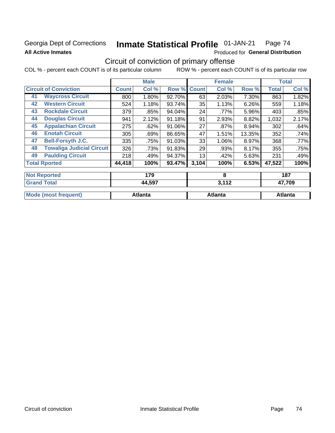### **Georgia Dept of Corrections All Active Inmates**

#### Inmate Statistical Profile 01-JAN-21 Page 74

Produced for General Distribution

# Circuit of conviction of primary offense

|                      |                                  |              | <b>Male</b> |        |              | <b>Female</b> |        | <b>Total</b> |        |
|----------------------|----------------------------------|--------------|-------------|--------|--------------|---------------|--------|--------------|--------|
|                      | <b>Circuit of Conviction</b>     | <b>Count</b> | Col %       | Row %  | <b>Count</b> | Col %         | Row %  | <b>Total</b> | Col %  |
| 41                   | <b>Waycross Circuit</b>          | 800          | 1.80%       | 92.70% | 63           | 2.03%         | 7.30%  | 863          | 1.82%  |
| 42                   | <b>Western Circuit</b>           | 524          | 1.18%       | 93.74% | 35           | 1.13%         | 6.26%  | 559          | 1.18%  |
| 43                   | <b>Rockdale Circuit</b>          | 379          | .85%        | 94.04% | 24           | .77%          | 5.96%  | 403          | .85%   |
| 44                   | <b>Douglas Circuit</b>           | 941          | 2.12%       | 91.18% | 91           | 2.93%         | 8.82%  | 1,032        | 2.17%  |
| 45                   | <b>Appalachian Circuit</b>       | 275          | .62%        | 91.06% | 27           | $.87\%$       | 8.94%  | 302          | .64%   |
| 46                   | <b>Enotah Circuit</b>            | 305          | .69%        | 86.65% | 47           | 1.51%         | 13.35% | 352          | .74%   |
| 47                   | <b>Bell-Forsyth J.C.</b>         | 335          | .75%        | 91.03% | 33           | 1.06%         | 8.97%  | 368          | .77%   |
| 48                   | <b>Towaliga Judicial Circuit</b> | 326          | .73%        | 91.83% | 29           | .93%          | 8.17%  | 355          | .75%   |
| 49                   | <b>Paulding Circuit</b>          | 218          | .49%        | 94.37% | 13           | .42%          | 5.63%  | 231          | .49%   |
| <b>Total Rported</b> |                                  | 44,418       | 100%        | 93.47% | 3,104        | 100%          | 6.53%  | 47,522       | 100%   |
|                      | <b>Not Reported</b>              |              | 179         |        |              | 8             |        |              | 187    |
|                      | <b>Grand Total</b>               |              | 44,597      |        |              | 3,112         |        |              | 47,709 |

| <b>Mode (most frequent)</b> | <b>Atlanta</b> | Atlanta | Atlanta |
|-----------------------------|----------------|---------|---------|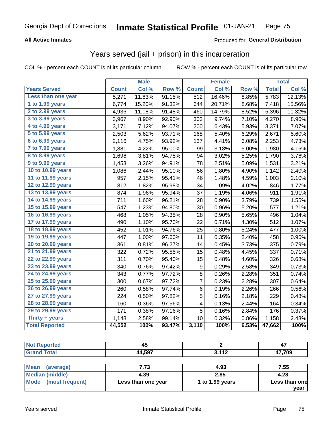### **All Active Inmates**

### Produced for **General Distribution**

## Years served (jail + prison) in this incarceration

|                        |              | <b>Male</b> |        |              | <b>Female</b> |       |              | <b>Total</b> |
|------------------------|--------------|-------------|--------|--------------|---------------|-------|--------------|--------------|
| <b>Years Served</b>    | <b>Count</b> | Col %       | Row %  | <b>Count</b> | Col %         | Row % | <b>Total</b> | Col %        |
| Less than one year     | 5,271        | 11.83%      | 91.15% | 512          | 16.46%        | 8.85% | 5,783        | 12.13%       |
| 1 to 1.99 years        | 6,774        | 15.20%      | 91.32% | 644          | 20.71%        | 8.68% | 7,418        | 15.56%       |
| 2 to 2.99 years        | 4,936        | 11.08%      | 91.48% | 460          | 14.79%        | 8.52% | 5,396        | 11.32%       |
| 3 to 3.99 years        | 3,967        | 8.90%       | 92.90% | 303          | 9.74%         | 7.10% | 4,270        | 8.96%        |
| 4 to 4.99 years        | 3,171        | 7.12%       | 94.07% | 200          | 6.43%         | 5.93% | 3,371        | 7.07%        |
| 5 to 5.99 years        | 2,503        | 5.62%       | 93.71% | 168          | 5.40%         | 6.29% | 2,671        | 5.60%        |
| $6$ to $6.99$ years    | 2,116        | 4.75%       | 93.92% | 137          | 4.41%         | 6.08% | 2,253        | 4.73%        |
| 7 to 7.99 years        | 1,881        | 4.22%       | 95.00% | 99           | 3.18%         | 5.00% | 1,980        | 4.15%        |
| <b>8 to 8.99 years</b> | 1,696        | 3.81%       | 94.75% | 94           | 3.02%         | 5.25% | 1,790        | 3.76%        |
| 9 to 9.99 years        | 1,453        | 3.26%       | 94.91% | 78           | 2.51%         | 5.09% | 1,531        | 3.21%        |
| 10 to 10.99 years      | 1,086        | 2.44%       | 95.10% | 56           | 1.80%         | 4.90% | 1,142        | 2.40%        |
| 11 to 11.99 years      | 957          | 2.15%       | 95.41% | 46           | 1.48%         | 4.59% | 1,003        | 2.10%        |
| 12 to 12.99 years      | 812          | 1.82%       | 95.98% | 34           | 1.09%         | 4.02% | 846          | 1.77%        |
| 13 to 13.99 years      | 874          | 1.96%       | 95.94% | 37           | 1.19%         | 4.06% | 911          | 1.91%        |
| 14 to 14.99 years      | 711          | 1.60%       | 96.21% | 28           | 0.90%         | 3.79% | 739          | 1.55%        |
| 15 to 15.99 years      | 547          | 1.23%       | 94.80% | 30           | 0.96%         | 5.20% | 577          | 1.21%        |
| 16 to 16.99 years      | 468          | 1.05%       | 94.35% | 28           | 0.90%         | 5.65% | 496          | 1.04%        |
| 17 to 17.99 years      | 490          | 1.10%       | 95.70% | 22           | 0.71%         | 4.30% | 512          | 1.07%        |
| 18 to 18.99 years      | 452          | 1.01%       | 94.76% | 25           | 0.80%         | 5.24% | 477          | 1.00%        |
| 19 to 19.99 years      | 447          | 1.00%       | 97.60% | 11           | 0.35%         | 2.40% | 458          | 0.96%        |
| 20 to 20.99 years      | 361          | 0.81%       | 96.27% | 14           | 0.45%         | 3.73% | 375          | 0.79%        |
| 21 to 21.99 years      | 322          | 0.72%       | 95.55% | 15           | 0.48%         | 4.45% | 337          | 0.71%        |
| 22 to 22.99 years      | 311          | 0.70%       | 95.40% | 15           | 0.48%         | 4.60% | 326          | 0.68%        |
| 23 to 23.99 years      | 340          | 0.76%       | 97.42% | 9            | 0.29%         | 2.58% | 349          | 0.73%        |
| 24 to 24.99 years      | 343          | 0.77%       | 97.72% | 8            | 0.26%         | 2.28% | 351          | 0.74%        |
| 25 to 25.99 years      | 300          | 0.67%       | 97.72% | 7            | 0.23%         | 2.28% | 307          | 0.64%        |
| 26 to 26.99 years      | 260          | 0.58%       | 97.74% | 6            | 0.19%         | 2.26% | 266          | 0.56%        |
| 27 to 27.99 years      | 224          | 0.50%       | 97.82% | 5            | 0.16%         | 2.18% | 229          | 0.48%        |
| 28 to 28.99 years      | 160          | 0.36%       | 97.56% | 4            | 0.13%         | 2.44% | 164          | 0.34%        |
| 29 to 29.99 years      | 171          | 0.38%       | 97.16% | 5            | 0.16%         | 2.84% | 176          | 0.37%        |
| Thirty + years         | 1,148        | 2.58%       | 99.14% | 10           | 0.32%         | 0.86% | 1,158        | 2.43%        |
| <b>Total Reported</b>  | 44,552       | 100%        | 93.47% | 3,110        | 100%          | 6.53% | 47,662       | 100%         |

| <b>Not Reported</b>                               | 43     |            | 4,     |
|---------------------------------------------------|--------|------------|--------|
| <b>Grand Total</b>                                | 44,597 | 3,112      | 47,709 |
|                                                   |        |            |        |
| 1.002222<br>$\lambda$ and $\lambda$ and $\lambda$ | 770    | $\sqrt{2}$ | 7 F F  |

| ∣Mean<br>(average)   | 7.73               | 4.93              | 7.55          |
|----------------------|--------------------|-------------------|---------------|
| Median (middle)      | 4.39               | 2.85              | 4.28          |
| Mode (most frequent) | Less than one year | 1 to $1.99$ years | Less than one |
|                      |                    |                   | vear          |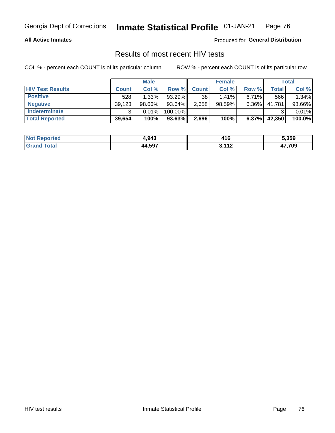#### **All Active Inmates**

Produced for **General Distribution**

### Results of most recent HIV tests

|                         | <b>Male</b>  |           | <b>Female</b> |              |           | <b>Total</b> |        |        |
|-------------------------|--------------|-----------|---------------|--------------|-----------|--------------|--------|--------|
| <b>HIV Test Results</b> | <b>Count</b> | Col %     | Row %I        | <b>Count</b> | Col %     | Row %        | Total  | Col %  |
| <b>Positive</b>         | 528          | 1.33%     | 93.29%        | 38           | 1.41%     | 6.71%        | 566    | 1.34%  |
| <b>Negative</b>         | 39,123       | $98.66\%$ | 93.64%        | 2,658        | $98.59\%$ | 6.36%        | 41,781 | 98.66% |
| <b>Indeterminate</b>    | ີ            | 0.01%     | 100.00%       |              |           |              |        | 0.01%  |
| <b>Total Reported</b>   | 39,654       | 100%      | $93.63\%$     | 2,696        | 100%      | $6.37\%$     | 42,350 | 100.0% |

| <b>Not Reported</b> | 4,943  | .<br>л.<br>41 L | 5,359  |
|---------------------|--------|-----------------|--------|
| Гоtal               | 44,597 | 113             | 17,709 |
| Gran                |        | $\blacksquare$  | - 71 - |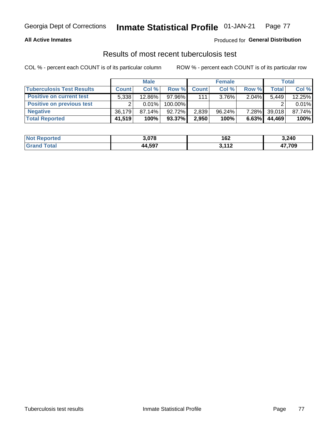### **All Active Inmates**

### Produced for **General Distribution**

### Results of most recent tuberculosis test

|                                  | <b>Male</b>  |           | <b>Female</b> |              |           | Total    |              |        |
|----------------------------------|--------------|-----------|---------------|--------------|-----------|----------|--------------|--------|
| <b>Tuberculosis Test Results</b> | <b>Count</b> | Col%      | Row %I        | <b>Count</b> | Col%      | Row %    | <b>Total</b> | Col %  |
| <b>Positive on current test</b>  | 5,338        | $12.86\%$ | 97.96%        | 111          | $3.76\%$  | 2.04%    | 5,449        | 12.25% |
| <b>Positive on previous test</b> | ົ            | $0.01\%$  | 100.00%       |              |           |          |              | 0.01%  |
| <b>Negative</b>                  | 36.179       | $87.14\%$ | 92.72%        | 2,839        | $96.24\%$ | $7.28\%$ | 39,018       | 87.74% |
| <b>Total Reported</b>            | 41,519       | 100%      | 93.37%        | 2,950        | 100%      | 6.63%    | 44,469       | 100%   |

| <b>Not Reported</b> | 3,078  | 162                      | 3,240            |
|---------------------|--------|--------------------------|------------------|
| Total<br>Gran       | 44,597 | .119<br>$\mathbf{L}$<br> | 17,709<br>- 71 - |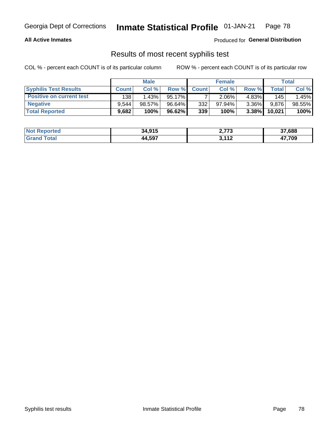#### **All Active Inmates**

Produced for **General Distribution**

### Results of most recent syphilis test

|                                 | <b>Male</b>  |        |        | <b>Female</b> | Total     |          |        |        |
|---------------------------------|--------------|--------|--------|---------------|-----------|----------|--------|--------|
| <b>Syphilis Test Results</b>    | <b>Count</b> | Col%   | Row %I | <b>Count</b>  | Col %     | Row %I   | Total  | Col %  |
| <b>Positive on current test</b> | 138          | 1.43%  | 95.17% |               | $2.06\%$  | $4.83\%$ | 145    | 1.45%  |
| <b>Negative</b>                 | 9.544        | 98.57% | 96.64% | 332           | $97.94\%$ | $3.36\%$ | 9,876  | 98.55% |
| <b>Total Reported</b>           | 9,682        | 100%   | 96.62% | 339           | 100%      | $3.38\%$ | 10,021 | 100%   |

| <b>Not Reported</b> | 34,915 | 2,773     | 37,688 |
|---------------------|--------|-----------|--------|
| <b>Grand Total</b>  | 44,597 | .447<br>. | 47,709 |